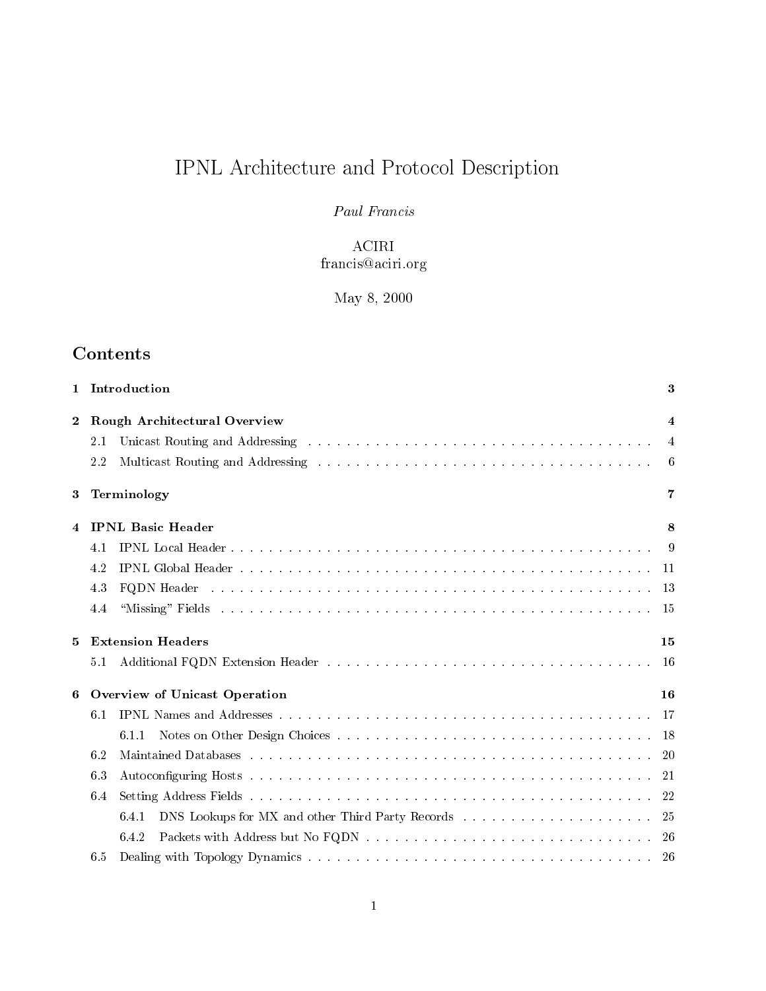# IPNL Architecture and Protocol Description

# Paul Francis

# ACIRI francis@aciri.org

 $\blacksquare$  .  $\blacksquare$  .  $\blacksquare$  .  $\blacksquare$  .  $\blacksquare$  .  $\blacksquare$  .  $\blacksquare$  .  $\blacksquare$  .  $\blacksquare$  .  $\blacksquare$  .  $\blacksquare$  .  $\blacksquare$  .  $\blacksquare$  .  $\blacksquare$  .  $\blacksquare$  .  $\blacksquare$  .  $\blacksquare$  .  $\blacksquare$  .  $\blacksquare$  .  $\blacksquare$  .  $\blacksquare$  .  $\blacksquare$  .  $\blacksquare$  .  $\blacksquare$  .  $\blacksquare$ 

# Contents

|             | 1 Introduction                                                                                                                                                                                                                        | 3   |  |  |  |  |
|-------------|---------------------------------------------------------------------------------------------------------------------------------------------------------------------------------------------------------------------------------------|-----|--|--|--|--|
| $2^{\circ}$ | <b>Rough Architectural Overview</b>                                                                                                                                                                                                   |     |  |  |  |  |
|             | Unicast Routing and Addressing the contract of the contract of the contract of the contract of the contract of the contract of the contract of the contract of the contract of the contract of the contract of the contract of<br>2.1 | 4   |  |  |  |  |
|             | 2.2                                                                                                                                                                                                                                   | 6   |  |  |  |  |
| 3           | Terminology                                                                                                                                                                                                                           | 7   |  |  |  |  |
| 4           | <b>IPNL Basic Header</b>                                                                                                                                                                                                              | 8   |  |  |  |  |
|             | 4.1                                                                                                                                                                                                                                   | -9  |  |  |  |  |
|             | 4.2                                                                                                                                                                                                                                   |     |  |  |  |  |
|             | FQDN Header and a construction of the construction of the construction of the construction of the construction of the construction of the construction of the construction of the construction of the construction of the cons<br>4.3 |     |  |  |  |  |
|             | 4.4                                                                                                                                                                                                                                   |     |  |  |  |  |
|             |                                                                                                                                                                                                                                       |     |  |  |  |  |
| $5^{\circ}$ | <b>Extension Headers</b>                                                                                                                                                                                                              | 15  |  |  |  |  |
|             | 5.1                                                                                                                                                                                                                                   |     |  |  |  |  |
| 6           | Overview of Unicast Operation                                                                                                                                                                                                         | 16  |  |  |  |  |
|             | 6.1                                                                                                                                                                                                                                   |     |  |  |  |  |
|             | 6.1.1                                                                                                                                                                                                                                 |     |  |  |  |  |
|             | 6.2                                                                                                                                                                                                                                   | -20 |  |  |  |  |
|             | 6.3                                                                                                                                                                                                                                   |     |  |  |  |  |
|             | 6.4                                                                                                                                                                                                                                   |     |  |  |  |  |
|             | 6.4.1                                                                                                                                                                                                                                 | 25  |  |  |  |  |
|             | 6.4.2                                                                                                                                                                                                                                 |     |  |  |  |  |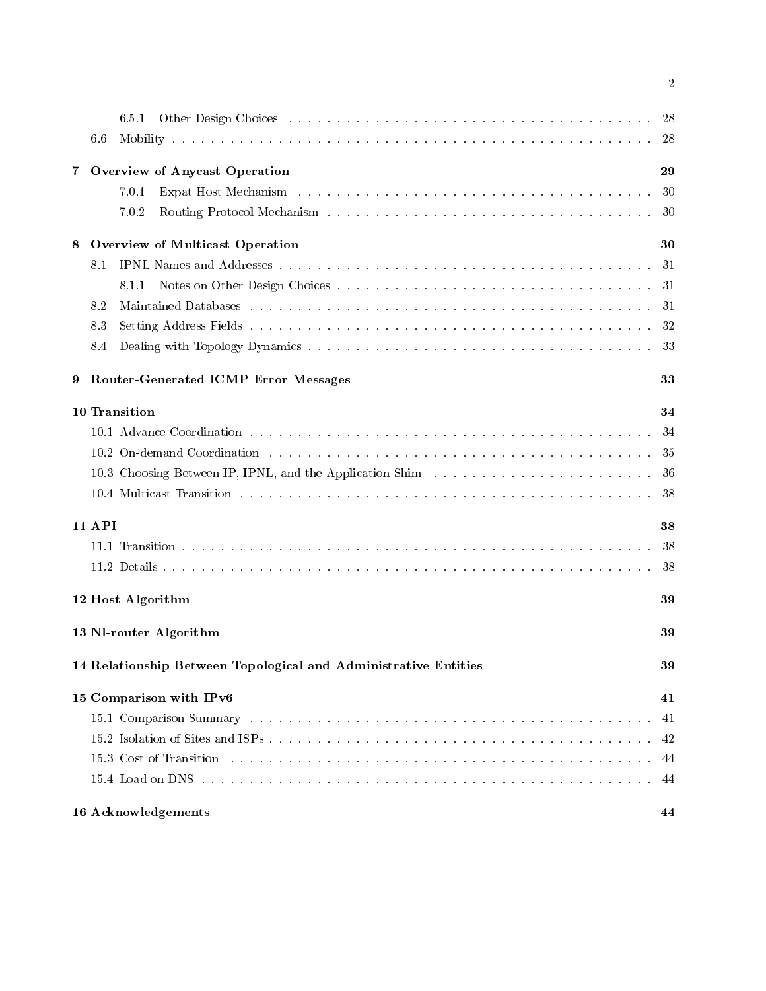|    |               | 6.5.1<br>Other Design Choices (Alberta Alberta Alberta Alberta Alberta Alberta Alberta Alberta Alberta Alberta Alberta A                                                                                                       | -28 |
|----|---------------|--------------------------------------------------------------------------------------------------------------------------------------------------------------------------------------------------------------------------------|-----|
|    | 6.6           |                                                                                                                                                                                                                                | 28  |
| 7. |               | Overview of Anycast Operation                                                                                                                                                                                                  | 29  |
|    |               | 7.0.1                                                                                                                                                                                                                          | 30  |
|    |               | 7.0.2                                                                                                                                                                                                                          | 30  |
| 8  |               | Overview of Multicast Operation                                                                                                                                                                                                | 30  |
|    | 8.1           |                                                                                                                                                                                                                                | 31  |
|    |               | 8.1.1                                                                                                                                                                                                                          | 31  |
|    | 8.2           |                                                                                                                                                                                                                                | 31  |
|    | 83            |                                                                                                                                                                                                                                | 32  |
|    | 8.4           |                                                                                                                                                                                                                                | 33  |
| 9  |               | <b>Router-Generated ICMP Error Messages</b>                                                                                                                                                                                    | 33  |
|    |               | 10 Transition                                                                                                                                                                                                                  | 34  |
|    |               |                                                                                                                                                                                                                                | 34  |
|    |               | 10.2 On-demand Coordination resources in the contract of the contract of the contract of the contract of the contract of the contract of the contract of the contract of the contract of the contract of the contract of the c | 35  |
|    |               | 10.3 Choosing Between IP, IPNL, and the Application Shim and the set of the set of the set of the set of the set of the set of the set of the set of the set of the set of the set of the set of the set of the set of the set | 36  |
|    |               |                                                                                                                                                                                                                                | 38  |
|    | <b>11 API</b> |                                                                                                                                                                                                                                | 38  |
|    |               |                                                                                                                                                                                                                                | 38  |
|    |               |                                                                                                                                                                                                                                | 38  |
|    |               | 12 Host Algorithm                                                                                                                                                                                                              | 39  |
|    |               | 13 Nl-router Algorithm                                                                                                                                                                                                         | 39  |
|    |               | 14 Relationship Between Topological and Administrative Entities                                                                                                                                                                | 39  |
|    |               | 15 Comparison with IPv6                                                                                                                                                                                                        | 41  |
|    |               |                                                                                                                                                                                                                                | 41  |
|    |               |                                                                                                                                                                                                                                | 42  |
|    |               | 15.3 Cost of Transition the contract of the contract of the contract of the contract of the contract of the contract of the contract of the contract of the contract of the contract of the contract of the contract of the co | 44  |
|    |               |                                                                                                                                                                                                                                | 44  |
|    |               | 16 Acknowledgements                                                                                                                                                                                                            | 44  |

 $\overline{2}$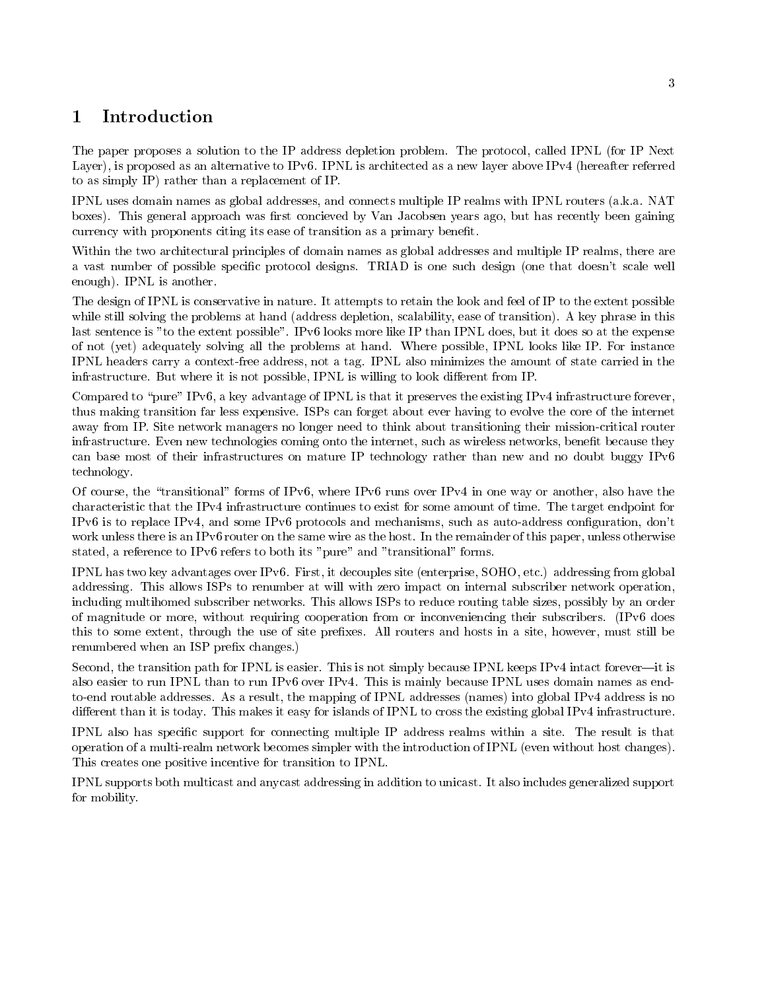### $\mathbf{1}$ Introduction

The paper proposes a solution to the IP address depletion problem. The protocol, called IPNL (for IP Next Layer), is proposed as an alternative to IPv6. IPNL is architected as a new layer above IPv4 (hereafter referred to as simply  $IP$  rather than a replacement of  $IP$ .

IPNL uses domain names as global addresses, and connects multiple IP realms with IPNL routers (a.k.a. NAT boxes). This general approach was first concieved by Van Jacobsen years ago, but has recently been gaining currency with proponents citing its ease of transition as a primary bene
t

Within the two architectural principles of domain names as global addresses and multiple IP realms, there are a vast number of possible specific protocol designs. TRIAD is one such design (one that doesn't scale well enough). IPNL is another.

The design of IPNL is conservative in nature. It attempts to retain the look and feel of IP to the extent possible while still solving the problems at hand (address depletion, scalability, ease of transition). A key phrase in this last sentence is "to the extent possible". IPv6 looks more like IP than IPNL does, but it does so at the expense of not (yet) adequately solving all the problems at hand. Where possible, IPNL looks like IP. For instance IPNL headers carry a context-free address, not a tag. IPNL also minimizes the amount of state carried in the infrastructure. But where it is not possible, IPNL is willing to look different from IP.

Compared to "pure" IPv6, a key advantage of IPNL is that it preserves the existing IPv4 infrastructure forever, thus making transition far less expensive ISPs can forget about ever having to evolve the core of the internet away from IP. Site network managers no longer need to think about transitioning their mission-critical router infrastructure. Even new technologies coming onto the internet, such as wireless networks, benefit because they can base most of their infrastructures on mature IP technology rather than new and no doubt buggy IPv6 technology

Of course, the "transitional" forms of IPv6, where IPv6 runs over IPv4 in one way or another, also have the characteristic that the IPv4 infrastructure continues to exist for some amount of time. The target endpoint for IPv6 is to replace IPv4, and some IPv6 protocols and mechanisms, such as auto-address configuration, don't work unless there is an IPv6 router on the same wire as the host. In the remainder of this paper, unless otherwise stated, a reference to IPv6 refers to both its "pure" and "transitional" forms.

IPNL has two key advantages over IPv6. First, it decouples site (enterprise, SOHO, etc.) addressing from global addressing. This allows ISPs to renumber at will with zero impact on internal subscriber network operation, including multihomed subscriber networks This allows ISPs to reduce routing table sizes possibly by an order of magnitude or more, without requiring cooperation from or inconveniencing their subscribers. (IPv6 does this to some extent, through the use of site prefixes. All routers and hosts in a site, however, must still be renumbered when an ISP prefix changes.)

Second, the transition path for IPNL is easier. This is not simply because IPNL keeps IPv4 intact forever—it is also easier to run IPNL than to run IPv6 over IPv4. This is mainly because IPNL uses domain names as endto-end routable addresses. As a result, the mapping of IPNL addresses (names) into global IPv4 address is no different than it is today. This makes it easy for islands of IPNL to cross the existing global IPv4 infrastructure.

IPNL also has specific support for connecting multiple IP address realms within a site. The result is that operation of a multi-realm network becomes simpler with the introduction of IPNL (even without host changes). This creates one positive incentive for transition to IPNL

IPNL supports both multicast and anycast addressing in addition to unicast It also includes generalized support for mobility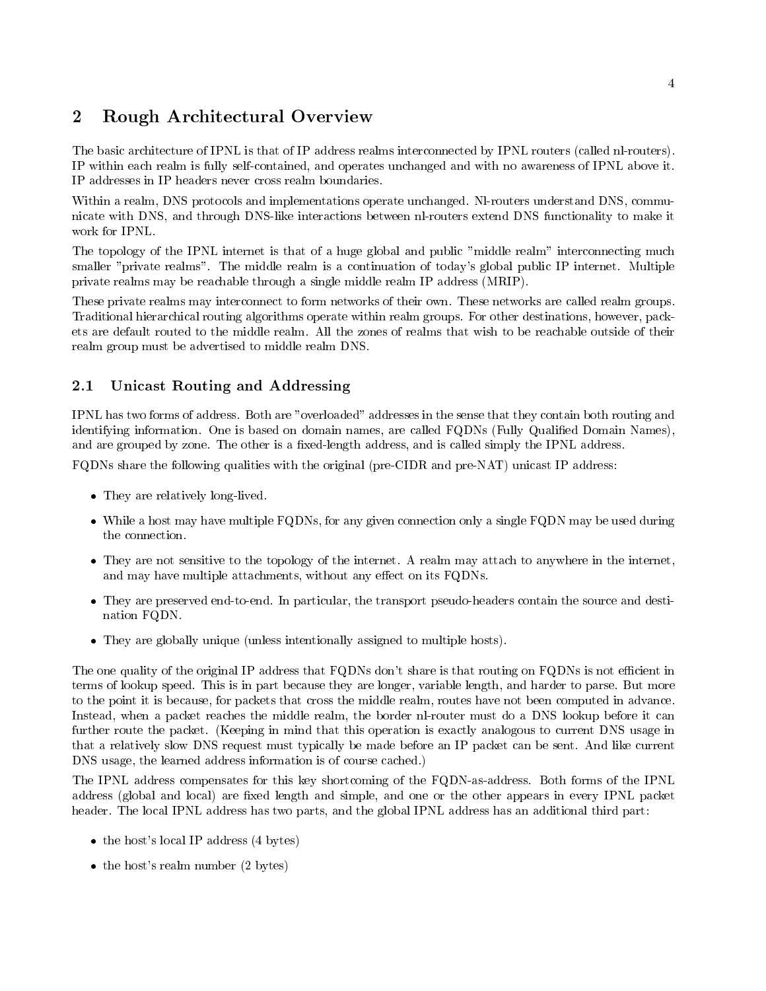# Rough Architectural Overview

The basic architecture of IPNL is that of IP address realms interconnected by IPNL routers (called nl-routers). IP within each realm is fully self-contained, and operates unchanged and with no awareness of IPNL above it. IP addresses in IP headers never cross realm boundaries

Within a realm, DNS protocols and implementations operate unchanged. NI-routers understand DNS, communicate with DNS, and through DNS-like interactions between nl-routers extend DNS functionality to make it work for IPNL

The topology of the IPNL internet is that of a huge global and public "middle realm" interconnecting much smaller "private realms". The middle realm is a continuation of today's global public IP internet. Multiple private realms may be reachable through a single middle realm IP address MRIP

These private realms may interconnect to form networks of their own These networks are called realm groups Traditional hierarchical routing algorithms operate within realm groups For other destinations however pack ets are default routed to the middle realm All the zones of realms that wish to be reachable outside of their realm group must be advertised to middle realm DNS

### $2.1$ Unicast Routing and Addressing

IPNL has two forms of address. Both are "overloaded" addresses in the sense that they contain both routing and identifying information. One is based on domain names, are called FQDNs (Fully Qualified Domain Names), and are grouped by zone. The other is a fixed-length address, and is called simply the IPNL address.

FQDNs share the following qualities with the original (pre-CIDR and pre-NAT) unicast IP address:

- They are relatively longer and they
- While a host most may have multiple FQD states for any given connection only a single FQD may be used during  $\alpha$ the connection
- They are not sensitive to the topology of the internet A realm may attach to anywhere in the internet and may have multiple attachments, without any effect on its FQDNs.
- They are preserved endtoend In particular the transport pseudoheaders contain the source and desti nation FQDN
- They are globally unique unless intentionally assigned to multiple hosts

The one quality of the original IP address that FQDNs don't share is that routing on FQDNs is not efficient in terms of lookup speed. This is in part because they are longer, variable length, and harder to parse. But more to the point it is because, for packets that cross the middle realm, routes have not been computed in advance. Instead, when a packet reaches the middle realm, the border nl-router must do a DNS lookup before it can further route the packet. (Keeping in mind that this operation is exactly analogous to current DNS usage in that a relatively slow DNS request must typically be made before an IP packet can be sent And like current DNS usage, the learned address information is of course cached.)

The IPNL address compensates for this key shortcoming of the FQDN-as-address. Both forms of the IPNL address (global and local) are fixed length and simple, and one or the other appears in every IPNL packet header. The local IPNL address has two parts, and the global IPNL address has an additional third part:

- the following and interest in the set of the set  $\mathcal{L}_{\mathcal{A}}$
- the hosts real material is the state of the state of the state of the state of the state of the state of the s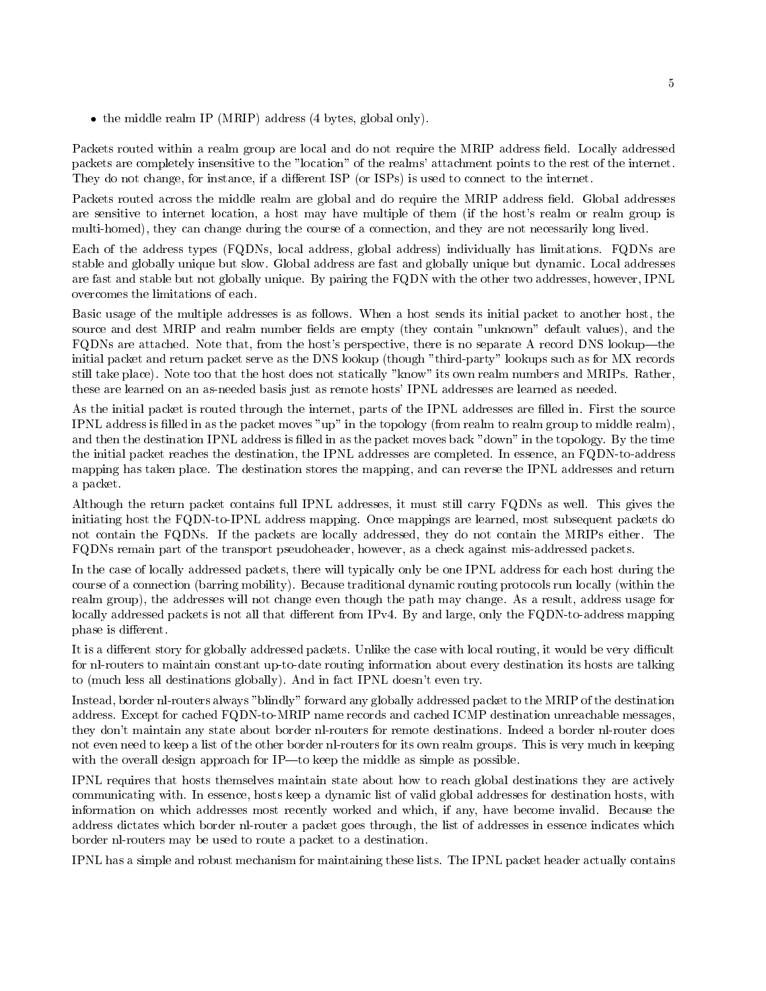the middle real mass  $\sim$  (real mass  $\mu$  and  $\sim$  and  $\mu$  and  $\mu$   $\sim$   $\sim$   $\sim$   $\sim$   $\mu$   $\sim$ 

Packets routed within a realm group are local and do not require the MRIP address field. Locally addressed packets are completely insensitive to the "location" of the realms' attachment points to the rest of the internet. They do not change, for instance, if a different ISP (or ISPs) is used to connect to the internet.

Packets routed across the middle realm are global and do require the MRIP address field. Global addresses are sensitive to internet location, a host may have multiple of them (if the host's realm or realm group is multi-homed), they can change during the course of a connection, and they are not necessarily long lived.

Each of the address types (FQDNs, local address, global address) individually has limitations. FQDNs are stable and globally unique but slow Global address are fast and globally unique but dynamic Local addresses are fast and stable but not globally unique. By pairing the FQDN with the other two addresses, however, IPNL overcomes the limitations of each

Basic usage of the multiple addresses is as follows. When a host sends its initial packet to another host, the source and dest MRIP and realm number fields are empty (they contain "unknown" default values), and the FQDNs are attached. Note that, from the host's perspective, there is no separate A record DNS lookup—the initial packet and return packet serve as the DNS lookup (though "third-party" lookups such as for MX records still take place). Note too that the host does not statically "know" its own realm numbers and MRIPs. Rather, these are learned on an as-needed basis just as remote hosts' IPNL addresses are learned as needed.

As the initial packet is routed through the internet, parts of the IPNL addresses are filled in. First the source IPNL address is filled in as the packet moves "up" in the topology (from realm to realm group to middle realm), and then the destination IPNL address is filled in as the packet moves back "down" in the topology. By the time the initial packet reaches the destination, the IPNL addresses are completed. In essence, an FQDN-to-address mapping has taken place. The destination stores the mapping, and can reverse the IPNL addresses and return a packet

Although the return packet contains full IPNL addresses it must still carry FQDNs as well This gives the initiating host the FQDN-to-IPNL address mapping. Once mappings are learned, most subsequent packets do not contain the FQDNs. If the packets are locally addressed, they do not contain the MRIPs either. The FQDNs remain part of the transport pseudoheader, however, as a check against mis-addressed packets.

In the case of locally addressed packets, there will typically only be one IPNL address for each host during the course of a connection (barring mobility). Because traditional dynamic routing protocols run locally (within the realm group), the addresses will not change even though the path may change. As a result, address usage for locally addressed packets is not all that different from IPv4. By and large, only the FQDN-to-address mapping phase is different.

It is a different story for globally addressed packets. Unlike the case with local routing, it would be very difficult for nl-routers to maintain constant up-to-date routing information about every destination its hosts are talking to (much less all destinations globally). And in fact IPNL doesn't even try.

Instead, border nl-routers always "blindly" forward any globally addressed packet to the MRIP of the destination address. Except for cached FQDN-to-MRIP name records and cached ICMP destination unreachable messages, they don't maintain any state about border nl-routers for remote destinations. Indeed a border nl-router does not even need to keep a list of the other border nl-routers for its own realm groups. This is very much in keeping with the overall design approach for IP—to keep the middle as simple as possible.

IPNL requires that hosts themselves maintain state about how to reach global destinations they are actively communicating with. In essence, hosts keep a dynamic list of valid global addresses for destination hosts, with information on which addresses most recently worked and which, if any, have become invalid. Because the address dictates which border nl-router a packet goes through, the list of addresses in essence indicates which border nl-routers may be used to route a packet to a destination.

IPNL has a simple and robust mechanism for maintaining these lists The IPNL packet header actually contains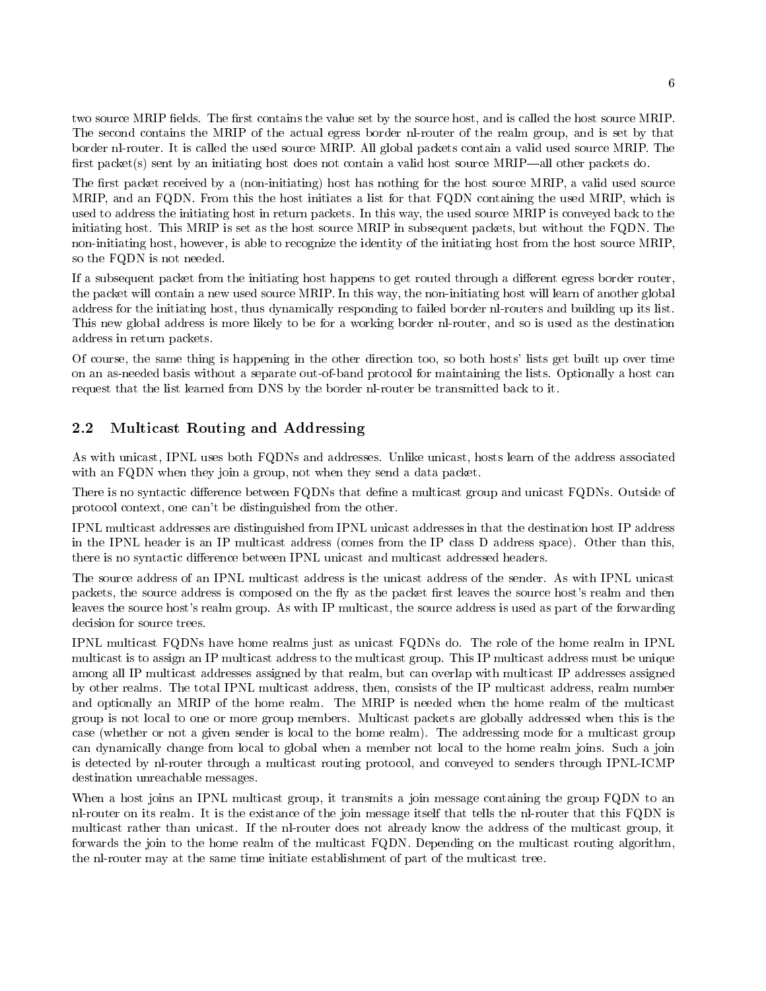two source MRIP fields. The first contains the value set by the source host, and is called the host source MRIP. The second contains the MRIP of the actual egress border nl-router of the realm group, and is set by that border nl-router. It is called the used source MRIP. All global packets contain a valid used source MRIP. The first packet(s) sent by an initiating host does not contain a valid host source  $MRIP$ —all other packets do.

The first packet received by a (non-initiating) host has nothing for the host source MRIP, a valid used source MRIP, and an FQDN. From this the host initiates a list for that FQDN containing the used MRIP, which is used to address the initiating host in return packets In this way the used source MRIP is conveyed back to the initiating host. This MRIP is set as the host source MRIP in subsequent packets, but without the FQDN. The non-initiating host, however, is able to recognize the identity of the initiating host from the host source MRIP, so the FQDN is not needed

If a subsequent packet from the initiating host happens to get routed through a different egress border router, the packet will contain a new used source MRIP. In this way, the non-initiating host will learn of another global address for the initiating host, thus dynamically responding to failed border nl-routers and building up its list. This new global address is more likely to be for a working border nl-router, and so is used as the destination address in return packets

Of course, the same thing is happening in the other direction too, so both hosts' lists get built up over time on an as-needed basis without a separate out-of-band protocol for maintaining the lists. Optionally a host can request that the list learned from DNS by the border nl-router be transmitted back to it.

### 2.2 Multicast Routing and Addressing

As with unicast, IPNL uses both FQDNs and addresses. Unlike unicast, hosts learn of the address associated with an FQDN when they join a group, not when they send a data packet.

There is no syntactic difference between FQDNs that define a multicast group and unicast FQDNs. Outside of protocol context, one can't be distinguished from the other.

IPNL multicast addresses are distinguished from IPNL unicast addresses in that the destination host IP address in the IPNL header is an IP multicast address (comes from the IP class D address space). Other than this, there is no syntactic difference between IPNL unicast and multicast addressed headers.

The source address of an IPNL multicast address is the unicast address of the sender. As with IPNL unicast packets, the source address is composed on the fly as the packet first leaves the source host's realm and then leaves the source host's realm group. As with IP multicast, the source address is used as part of the forwarding decision for source trees

IPNL multicast FQDNs have home realms just as unicast FQDNs do The role of the home realm in IPNL multicast is to assign an IP multicast address to the multicast group This IP multicast address must be unique among all IP multicast addresses assigned by that realm, but can overlap with multicast IP addresses assigned by other realms. The total IPNL multicast address, then, consists of the IP multicast address, realm number and optionally an MRIP of the home realm. The MRIP is needed when the home realm of the multicast group is not local to one or more group members Multicast packets are globally addressed when this is the case (whether or not a given sender is local to the home realm). The addressing mode for a multicast group can dynamically change from local to global when a member not local to the home realm joins Such a join is detected by nl-router through a multicast routing protocol, and conveyed to senders through IPNL-ICMP destination unreachable messages

When a host joins an IPNL multicast group, it transmits a join message containing the group FQDN to an nl-router on its realm. It is the existance of the join message itself that tells the nl-router that this FQDN is multicast rather than unicast. If the nl-router does not already know the address of the multicast group, it forwards the join to the home realm of the multicast FQDN. Depending on the multicast routing algorithm, the nl-router may at the same time initiate establishment of part of the multicast tree.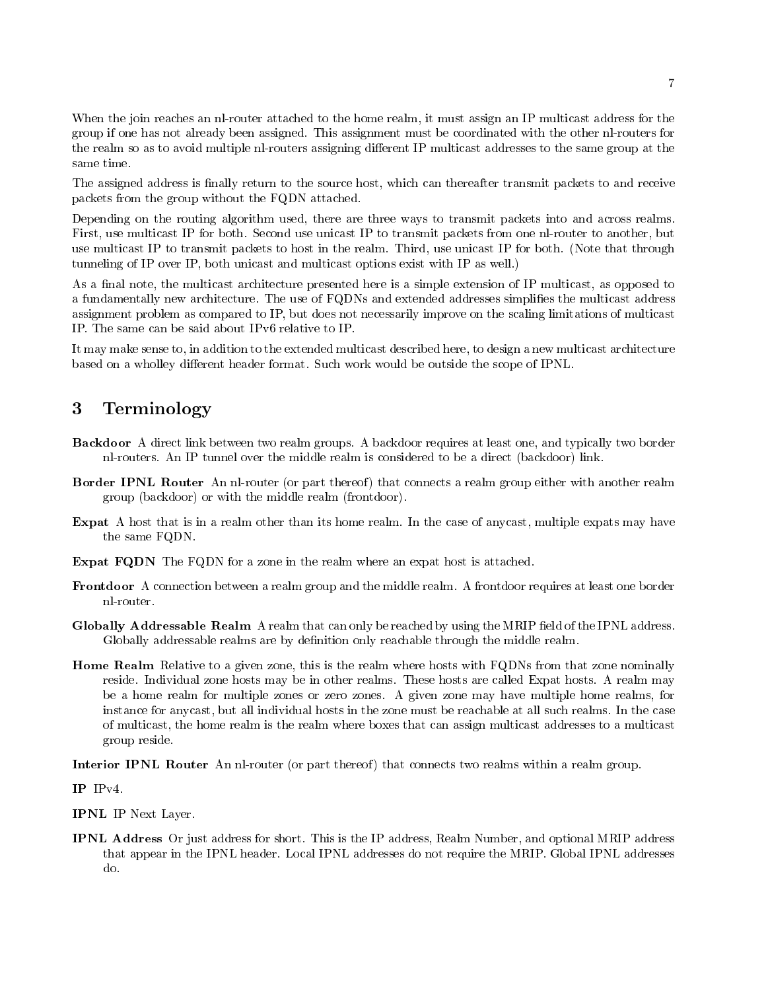When the join reaches an nl-router attached to the home realm, it must assign an IP multicast address for the group if one has not already been assigned This assignment must be coordinated with the other nlrouters for the realm so as to avoid multiple nl-routers assigning different IP multicast addresses to the same group at the same time.

The assigned address is finally return to the source host, which can thereafter transmit packets to and receive packets from the group without the FQDN attached

Depending on the routing algorithm used, there are three ways to transmit packets into and across realms. First, use multicast IP for both. Second use unicast IP to transmit packets from one nl-router to another, but use multicast IP to transmit packets to host in the realm. Third, use unicast IP for both. (Note that through tunneling of IP over IP, both unicast and multicast options exist with IP as well.)

As a final note, the multicast architecture presented here is a simple extension of IP multicast, as opposed to a fundamentally new architecture. The use of FQDNs and extended addresses simplifies the multicast address assignment problem as compared to IP, but does not necessarily improve on the scaling limitations of multicast IP. The same can be said about IPv6 relative to IP.

It may make sense to, in addition to the extended multicast described here, to design a new multicast architecture based on a wholley different header format. Such work would be outside the scope of IPNL.

### 3 Terminology

- Backdoor A direct link between two realm groups A backdoor requires at least one and typically two border nl-routers. An IP tunnel over the middle realm is considered to be a direct (backdoor) link.
- Border IPNL Router An nl-router (or part thereof) that connects a realm group either with another realm group (backdoor) or with the middle realm (frontdoor).
- Expat A host that is in a realm other than its home realm. In the case of any cast, multiple expats may have the same FQDN
- Expat FQDN The FQDN for a zone in the realm where an expat host is attached.
- Frontdoor A connection between a realm group and the middle realm A frontdoor requires at least one border
- Globally Addressable Realm A realm that can only be reached by using the MRIP field of the IPNL address. Globally addressable realms are by definition only reachable through the middle realm.
- Home Realm Relative to a given zone, this is the realm where hosts with FQDNs from that zone nominally reside. Individual zone hosts may be in other realms. These hosts are called Expat hosts. A realm may be a home realm for multiple zones or zero zones. A given zone may have multiple home realms, for instance for any cast, but all individual hosts in the zone must be reachable at all such realms. In the case of multicast the home realm is the realm where boxes that can assign multicast addresses to a multicast group reside

Interior IPNL Router An nl-router (or part thereof) that connects two realms within a realm group.

 $IP$   $IPv4$ .

IPNL IP Next Layer

IPNL Address Or just address for short. This is the IP address, Realm Number, and optional MRIP address that appear in the IPNL header. Local IPNL addresses do not require the MRIP. Global IPNL addresses do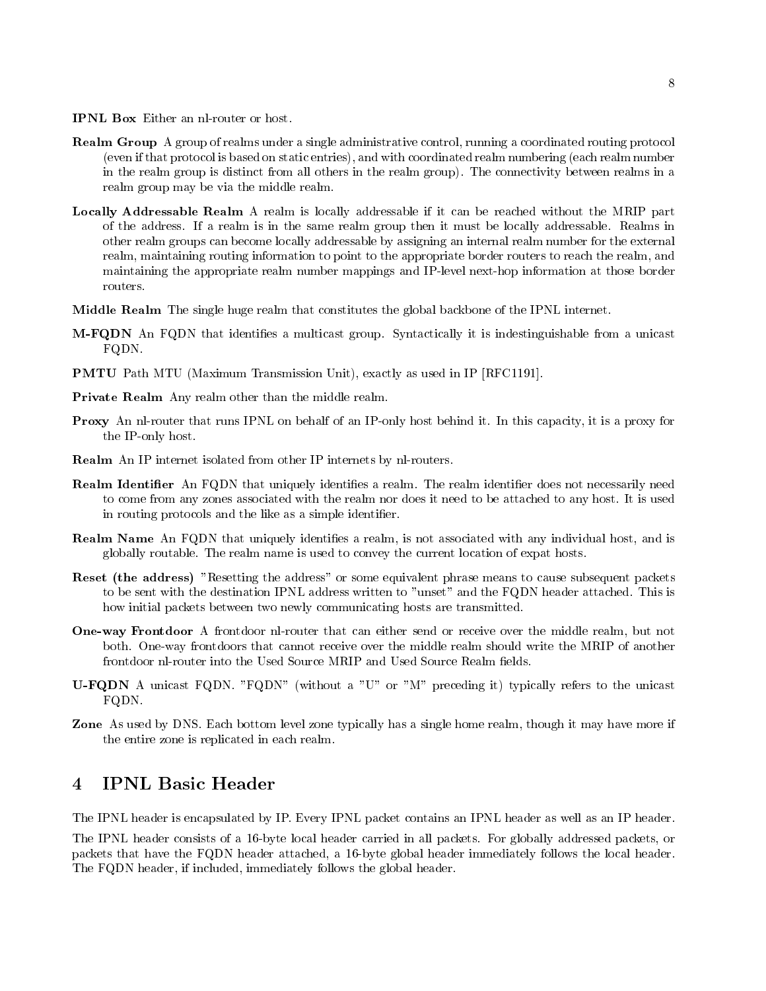IPNL Box Either an nl-router or host.

- **Realm Group** A group of realms under a single administrative control, running a coordinated routing protocol (even if that protocol is based on static entries), and with coordinated realm numbering (each realm number in the realm group is distinct from all others in the realm group). The connectivity between realms in a realm group may be via the middle realm
- Locally Addressable Realm A realm is locally addressable if it can be reached without the MRIP part of the address If a realm is in the same realm group then it must be locally addressable Realms in other realm groups can become locally addressable by assigning an internal realm number for the external realm, maintaining routing information to point to the appropriate border routers to reach the realm, and maintaining the appropriate realm number mappings and IP-level next-hop information at those border routers.
- Middle Realm The single huge realm that constitutes the global backbone of the IPNL internet
- $\mathcal{C}=\mathcal{C}$  . The state is that is independent of multicast group  $\mathcal{C}$  , and it is independent from a unicast  $\mathcal{C}$ FQDN
- PMTU Path MTU Maximum Transmission Unit exactly as used in IP RFC---
- Private Realm Any realm other than the middle realm.
- **Proxy** An nl-router that runs IPNL on behalf of an IP-only host behind it. In this capacity, it is a proxy for the IP-only host.
- Realm An IP internet isolated from other IP internets by nl-routers.
- **Realm Identifier** An FQDN that uniquely identifies a realm. The realm identifier does not necessarily need to come from any zones associated with the realm nor does it need to be attached to any host It is used in routing protocols and the like as a simple identifier.
- **Realm Name** An FQDN that uniquely identifies a realm, is not associated with any individual host, and is globally routable The realm name is used to convey the current location of expat hosts
- Reset (the address) "Resetting the address" or some equivalent phrase means to cause subsequent packets to be sent with the destination IPNL address written to "unset" and the FQDN header attached. This is how initial packets between two newly communicating hosts are transmitted.
- One way Frontdoor A frontdoor nlrouter that can either send or receive over the middle realm but not both Oneway frontdoors that cannot receive over the middle realm should write the MRIP of another frontdoor nl-router into the Used Source MRIP and Used Source Realm fields.
- U FQDN A unicast FQDN FQDN without a U or M preceding it typically refers to the unicast FQDN.
- Zone As used by DNS. Each bottom level zone typically has a single home realm, though it may have more if the entire zone is replicated in each realm

### $\overline{\mathbf{4}}$ **IPNL Basic Header**

The IPNL header is encapsulated by IP. Every IPNL packet contains an IPNL header as well as an IP header.

The IPNL header consists of a -byte local header carried in all packets For globally addressed packets or packets that have the FQDA header attached at the process the local header in the local header in the local h The FQDN header, if included, immediately follows the global header.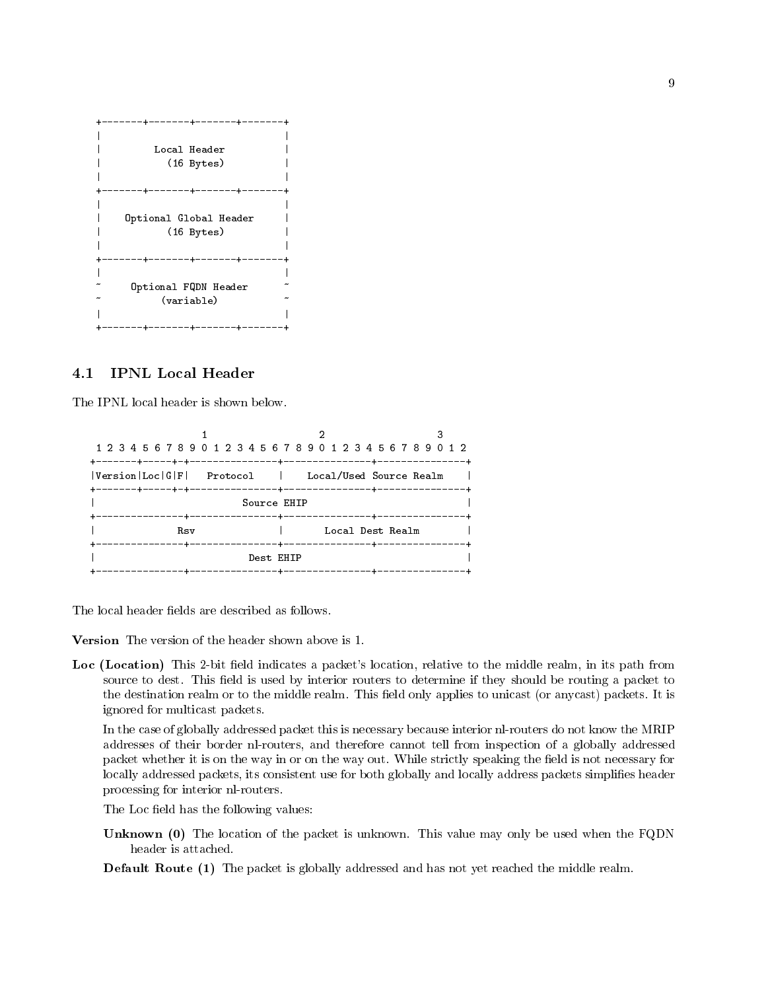```
+-------+-------+-------+-------+
-
                      the contract of the contract of the contract of the contract of the contract of the contract of the contract o
                         Local Header
-
                               (16 Bytes)
\mathbf{I}\mathbf{I}-
\mathsf{I}en de la componentación de la componentación de la componentación de la componentación de la componentación de
+-------+-------+-------+------+
-
                      the contract of the contract of the contract of the contract of the contract of the contract of the contract o
             Optional Global Header
                                                                                    \mathbf{I}-
                              (16 Bytes)
\mathbf{I}\mathbf{I}-
\mathbf{I}-
                      en de la componentación de la componentación de la componentación de la componentación de la componentación de
          ----+-------+-------+------+
+ -\mathsf{I}the contract of the contract of the contract of the contract of the contract of the contract of the contract o
                 Optional FQDN Header 
                              variable 
\mathbf{I}\overline{\phantom{a}}en de la componentación de la componentación de la componentación de la componentación de la componentación de
+-------+-------+-------+------+
```
#### **IPNL Local Header**  $4.1$

The IPNL local header is shown below

```
3
                     \mathbf{1}-
Version-
Loc-
G-
F-
 Protocol -
 LocalUsed Source Realm -
     Source EHIP
-
              ---+---------------+---------------+--
\mathbf{I}Rsv
                                            Local Dest Realm
-
         rsv - Santa Santa Santa Santa Santa Santa Santa Santa Santa Santa Santa Santa Santa Santa Santa Santa Santa Sa
                       -----------+---------------+-------
\mathbf{I}\mathbf{I}-
         destination of the contract of the contract of the contract of the contract of the contract of the contract of
                     ______________+______________
```
The local header fields are described as follows.

Loc (Location) This 2-bit field indicates a packet's location, relative to the middle realm, in its path from source to dest. This field is used by interior routers to determine if they should be routing a packet to the destination realm or to the middle realm. This field only applies to unicast (or anycast) packets. It is ignored for multicast packets

In the case of globally addressed packet this is necessary because interior nlrouters do not know the MRIP addresses of their border nlrouters and therefore cannot tell from inspection of a globally addressed packet whether it is on the way in or on the way out. While strictly speaking the field is not necessary for locally addressed packets, its consistent use for both globally and locally address packets simplifies header processing for interior nl-routers.

The Loc field has the following values:

Unknown (0) The location of the packet is unknown. This value may only be used when the FQDN

**Default Route (1)** The packet is globally addressed and has not yet reached the middle realm.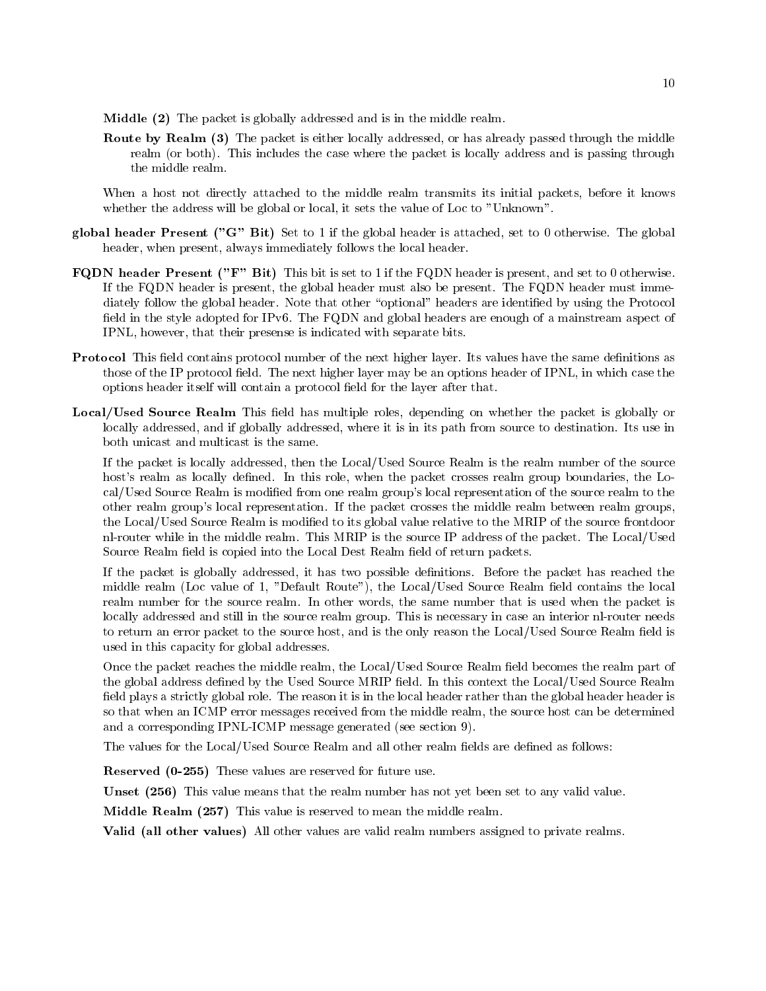- additional ( ) and packet is globally addressed and in the middle realment of the middle
- Route by Realm (3) The packet is either locally addressed, or has already passed through the middle realm (or both). This includes the case where the packet is locally address and is passing through the middle realm

When a host not directly attached to the middle realm transmits its initial packets, before it knows whether the address will be global or local, it sets the value of Loc to "Unknown".

- global header Present G Bit Set to if the global header is attached set to  otherwise The global header, when present, always immediately follows the local header.
- FQDN header Present F Bit This bit is set to if the FQDN header is present and set to  otherwise If the FQDN header is present, the global header must also be present. The FQDN header must immediately follow the global header. Note that other "optional" headers are identified by using the Protocol field in the style adopted for IPv6. The FQDN and global headers are enough of a mainstream aspect of IPNL, however, that their presense is indicated with separate bits.
- Protocol This field contains protocol number of the next higher layer. Its values have the same definitions as those of the IP protocol field. The next higher layer may be an options header of IPNL, in which case the options header itself will contain a protocol field for the layer after that.
- Local/Used Source Realm This field has multiple roles, depending on whether the packet is globally or locally addressed, and if globally addressed, where it is in its path from source to destination. Its use in both unicast and multicast is the same

If the packet is locally addressed, then the Local/Used Source Realm is the realm number of the source host's realm as locally defined. In this role, when the packet crosses realm group boundaries, the Local/Used Source Realm is modified from one realm group's local representation of the source realm to the other realm group's local representation. If the packet crosses the middle realm between realm groups, the Local/Used Source Realm is modified to its global value relative to the MRIP of the source frontdoor nl-router while in the middle realm. This MRIP is the source IP address of the packet. The Local/Used Source Realm field is copied into the Local Dest Realm field of return packets.

If the packet is globally addressed, it has two possible definitions. Before the packet has reached the middle realm (bord value of blockers realment and contains the local source realm contains the local contains realm number for the source realm. In other words, the same number that is used when the packet is locally addressed and still in the source realm group. This is necessary in case an interior nl-router needs to return an error packet to the source host, and is the only reason the Local/Used Source Realm field is used in this capacity for global addresses

Once the packet reaches the middle realm, the Local/Used Source Realm field becomes the realm part of the global address defined by the Used Source MRIP field. In this context the Local/Used Source Realm field plays a strictly global role. The reason it is in the local header rather than the global header header is so that when an ICMP error messages received from the middle realm, the source host can be determined and a corresponding IPNL-ICMP message generated (see section 9).

The values for the Local/Used Source Realm and all other realm fields are defined as follows:

Reserved  - These values are reserved for future use

Unset - This value means that the realm number has not yet been set to any valid value

Middle Realm - This value is reserved to mean the middle realm

Valid (all other values) All other values are valid realm numbers assigned to private realms.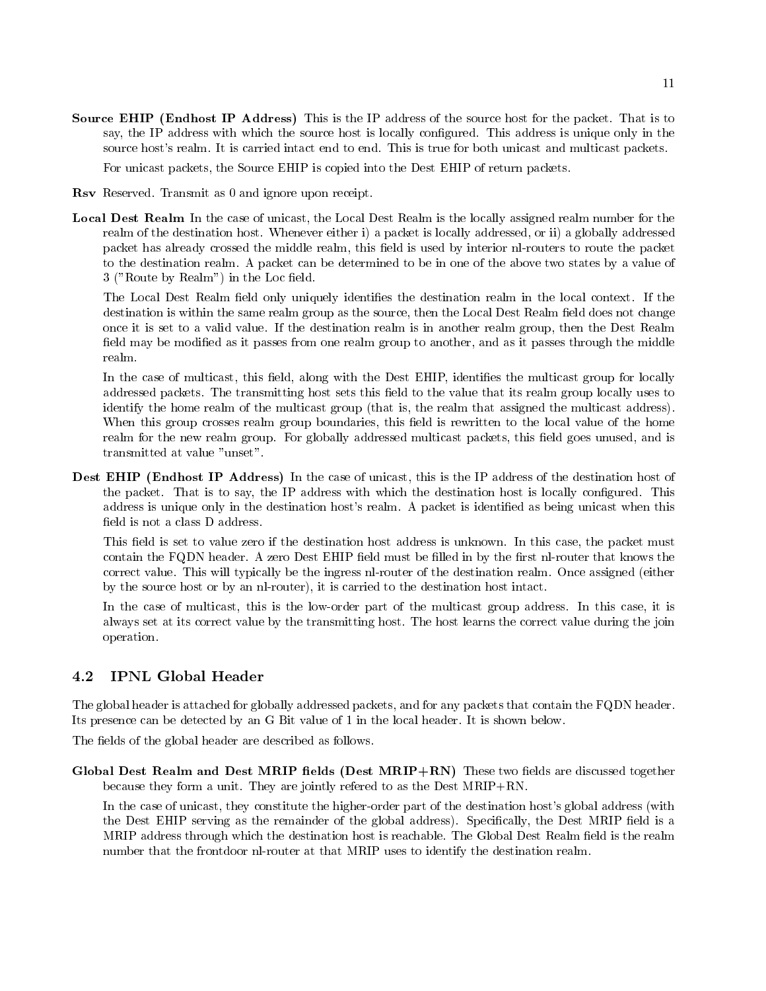Source EHIP (Endhost IP Address) This is the IP address of the source host for the packet. That is to say, the IP address with which the source host is locally configured. This address is unique only in the source host's realm. It is carried intact end to end. This is true for both unicast and multicast packets.

For unicast packets, the Source EHIP is copied into the Dest EHIP of return packets.

Rsv Reserved. Transmit as 0 and ignore upon receipt.

Local Dest Realm In the case of unicast, the Local Dest Realm is the locally assigned realm number for the realm of the destination host. Whenever either i) a packet is locally addressed, or ii) a globally addressed packet has already crossed the middle realm, this field is used by interior nl-routers to route the packet to the destination realm A packet can be determined to be in one of the above two states byavalue of 3 ("Route by Realm") in the Loc field.

The Local Dest Realm field only uniquely identifies the destination realm in the local context. If the destination is within the same realm group as the source, then the Local Dest Realm field does not change once it is set to a valid value If the destination realm is in another realm group then the Dest Realm field may be modified as it passes from one realm group to another, and as it passes through the middle realm

In the case of multicast, this field, along with the Dest EHIP, identifies the multicast group for locally addressed packets. The transmitting host sets this field to the value that its realm group locally uses to identify the home realm of the multicast group (that is, the realm that assigned the multicast address). When this group crosses realm group boundaries, this field is rewritten to the local value of the home realm for the new realm group. For globally addressed multicast packets, this field goes unused, and is transmitted at value "unset".

Dest EHIP (Endhost IP Address) In the case of unicast, this is the IP address of the destination host of the packet. That is to say, the IP address with which the destination host is locally configured. This address is unique only in the destination host's realm. A packet is identified as being unicast when this field is not a class D address.

This field is set to value zero if the destination host address is unknown. In this case, the packet must contain the FQDN header. A zero Dest EHIP field must be filled in by the first nl-router that knows the correct value. This will typically be the ingress nl-router of the destination realm. Once assigned (either by the source host or by an nl-router), it is carried to the destination host intact.

In the case of multicast, this is the low-order part of the multicast group address. In this case, it is always set at its correct value by the transmitting host The host learns the correct value during the join operation

The global header is attached for globally addressed packets and for any packets that contain the FQDN header Its presence can be detected by an G Bit value of - in the local header It is shown below

The fields of the global header are described as follows.

Global Dest Realm and Dest MRIP fields (Dest MRIP+RN) These two fields are discussed together because they form a unit. They are jointly refered to as the Dest  $MRIP+RN$ .

In the case of unicast, they constitute the higher-order part of the destination host's global address (with the Dest EHIP serving as the remainder of the global address). Specifically, the Dest MRIP field is a MRIP address through which the destination host is reachable. The Global Dest Realm field is the realm number that the frontdoor nl-router at that MRIP uses to identify the destination realm.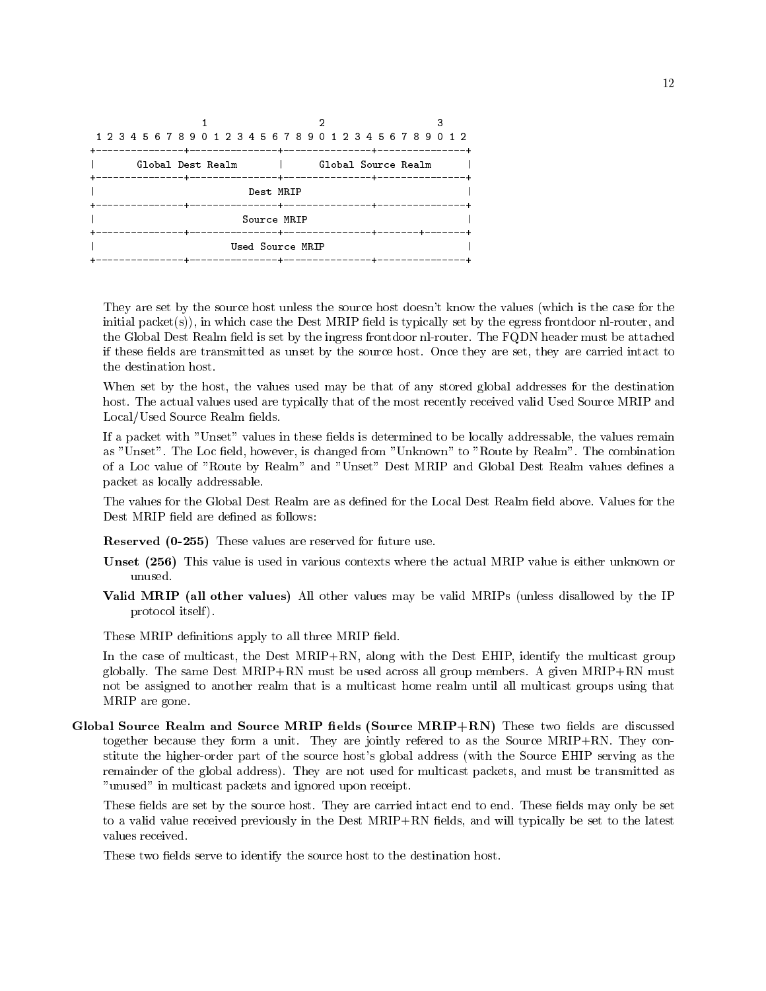| 1 2 3 4 5 6 7 8 9 0 1 2 3 4 5 6 7 8 9 0 1 2 3 4 5 6 7 8 9 0 1 2 |                                                            |                     |  |
|-----------------------------------------------------------------|------------------------------------------------------------|---------------------|--|
| Global Dest Realm                                               | and the state of the state                                 | Global Source Realm |  |
|                                                                 | Dest MRIP                                                  |                     |  |
|                                                                 | Source MRIP                                                |                     |  |
|                                                                 | Used Source MRIP<br>--------------+---------------+------- |                     |  |

They are set by the source host unless the source host doesn't know the values (which is the case for the initial packet $(s)$ ), in which case the Dest MRIP field is typically set by the egress frontdoor nl-router, and the Global Dest Realm field is set by the ingress frontdoor nl-router. The FQDN header must be attached if these fields are transmitted as unset by the source host. Once they are set, they are carried intact to the destination host

When set by the host, the values used may be that of any stored global addresses for the destination host. The actual values used are typically that of the most recently received valid Used Source MRIP and Local/Used Source Realm fields.

If a packet with "Unset" values in these fields is determined to be locally addressable, the values remain as "Unset". The Loc field, however, is changed from "Unknown" to "Route by Realm". The combination of a Loc value of "Route by Realm" and "Unset" Dest MRIP and Global Dest Realm values defines a packet as locally addressable

The values for the Global Dest Realm are as defined for the Local Dest Realm field above. Values for the Dest MRIP field are defined as follows:

Reserved  - These values are reserved for future use

- Unset - This value is used in various contexts where the actual MRIP value is either unknown or unused
- Valid MRIP (all other values) All other values may be valid MRIPs (unless disallowed by the IP protocol itself

These MRIP definitions apply to all three MRIP field.

In the case of multicast, the Dest  $MRIP+RN$ , along with the Dest EHIP, identify the multicast group globally. The same Dest MRIP+RN must be used across all group members. A given MRIP+RN must not be assigned to another realm that is a multicast home realm until all multicast groups using that MRIP are gone

Global Source Realm and Source MRIP fields (Source  $MRIP+RN$ ) These two fields are discussed together because they form a unit. They are jointly refered to as the Source MRIP+RN. They constitute the higher-order part of the source host's global address (with the Source EHIP serving as the remainder of the global address). They are not used for multicast packets, and must be transmitted as "unused" in multicast packets and ignored upon receipt.

These fields are set by the source host. They are carried intact end to end. These fields may only be set to a valid value received previously in the Dest MRIP+RN fields, and will typically be set to the latest values received

These two fields serve to identify the source host to the destination host.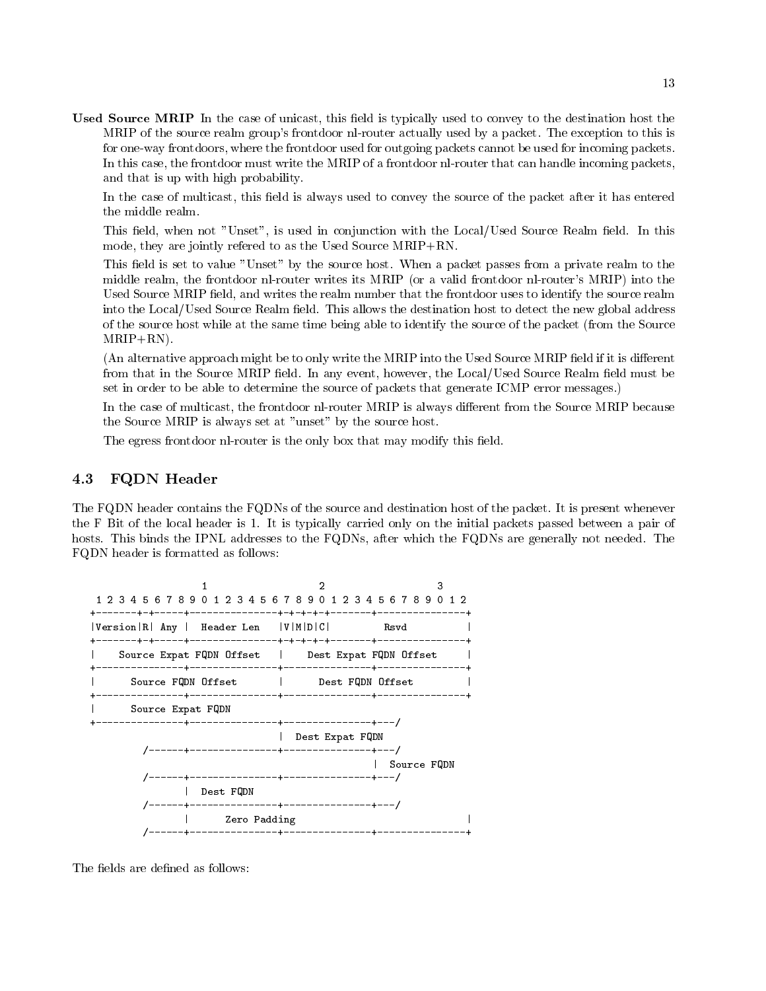Used Source MRIP In the case of unicast, this field is typically used to convey to the destination host the MRIP of the source realm group's frontdoor nl-router actually used by a packet. The exception to this is for one-way frontdoors, where the frontdoor used for outgoing packets cannot be used for incoming packets. In this case, the frontdoor must write the MRIP of a frontdoor nl-router that can handle incoming packets, and that is up with high probability

In the case of multicast, this field is always used to convey the source of the packet after it has entered the middle realm.

This field, when not "Unset", is used in conjunction with the Local/Used Source Realm field. In this mode, they are jointly refered to as the Used Source  $MRIP+RN$ .

This field is set to value "Unset" by the source host. When a packet passes from a private realm to the middle realm, the frontdoor nl-router writes its MRIP (or a valid frontdoor nl-router's MRIP) into the Used Source MRIP field, and writes the realm number that the frontdoor uses to identify the source realm into the Local/Used Source Realm field. This allows the destination host to detect the new global address of the source host while at the same time being able to identify the source of the packet from the Source  $MRIP+RN$ ).

(An alternative approach might be to only write the MRIP into the Used Source MRIP field if it is different from that in the Source MRIP field. In any event, however, the Local/Used Source Realm field must be set in order to be able to determine the source of packets that generate ICMP error messages.)

In the case of multicast, the frontdoor nl-router MRIP is always different from the Source MRIP because the Source MRIP is always set at "unset" by the source host.

The egress frontdoor nl-router is the only box that may modify this field.

### FQDN Header

The FQDN header contains the FQDNs of the source and destination host of the packet. It is present whenever the F Bit of the local header is - It is typically carried only on the initial packets passed between a pair of hosts. This binds the IPNL addresses to the FQDNs, after which the FQDNs are generally not needed. The FQDN header is formatted as follows



The fields are defined as follows: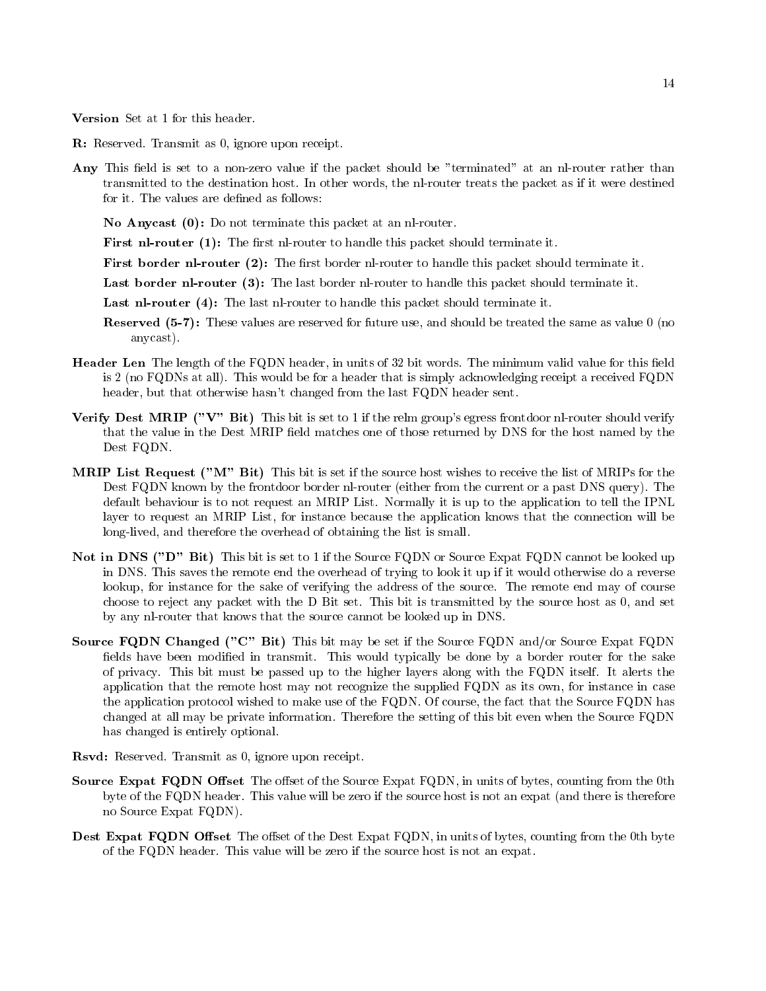Version Set at 1 for this header. Version Set at 1 for this header.

- R: Reserved. Transmit as 0, ignore upon receipt.
- Any This field is set to a non-zero value if the packet should be "terminated" at an nl-router rather than transmitted to the destination host. In other words, the nl-router treats the packet as if it were destined for it. The values are defined as follows:

No Anycast  $(0)$ : Do not terminate this packet at an nl-router.

First nl router  The 
rst nlrouter to handle this packet should terminate it

First border nl router - The 
rst border nlrouter to handle this packet should terminate it

Last border nl router  The last border nlrouter to handle this packet should terminate it

Last nl router  The last nlrouter to handle this packet should terminate it

- $\mathbf{N}$  . These values are reserved for future use and showledge the same as value  $\mathbf{N}$ anycast
- **Header Len** The length of the FQDN header, in units of 32 bit words. The minimum valid value for this field is 2 (no FQDNs at all). This would be for a header that is simply acknowledging receipt a received FQDN header, but that otherwise hasn't changed from the last FQDN header sent.
- $N$  bit is set to if the relations from groups equation is set to if the relations  $N$ that the value in the Dest MRIP field matches one of those returned by DNS for the host named by the Dest FQDN
- **MRIP List Request ("M" Bit)** This bit is set if the source host wishes to receive the list of MRIPs for the Dest FQDN known by the frontdoor border nl-router (either from the current or a past DNS query). The default behaviour is to not request an MRIP List. Normally it is up to the application to tell the IPNL layer to request an MRIP List, for instance because the application knows that the connection will be long-lived, and therefore the overhead of obtaining the list is small.
- Not in DNS D Bit This bit is set to if the Source FQDN or Source Expat FQDN cannot be looked up in DNS This saves the remote end the overhead of trying to look it up if it would otherwise do a reverse lookup, for instance for the sake of verifying the address of the source. The remote end may of course choose to reject any packet with the D Bit set. This bit is transmitted by the source host as 0, and set by any nl-router that knows that the source cannot be looked up in DNS.
- Source FQDN Changed ("C" Bit) This bit may be set if the Source FQDN and/or Source Expat FQDN fields have been modified in transmit. This would typically be done by a border router for the sake of privacy This bit must be passed up to the higher layers along with the FQDN itself It alerts the application that the remote host may not recognize the supplied FQDN as its own for instance in case the application protocol wished to make use of the FQDN. Of course, the fact that the Source FQDN has changed at all may be private information. Therefore the setting of this bit even when the Source FQDN has changed is entirely optional
- Rsvd: Reserved. Transmit as 0, ignore upon receipt.
- Source Expat FQDN Offset The offset of the Source Expat FQDN, in units of bytes, counting from the 0th byte of the FQDN header. This value will be zero if the source host is not an expat (and there is therefore no Source Expat FQDN
- Dest Expat FQDN Offset The offset of the Dest Expat FQDN, in units of bytes, counting from the 0th byte of the FQDN header. This value will be zero if the source host is not an expat.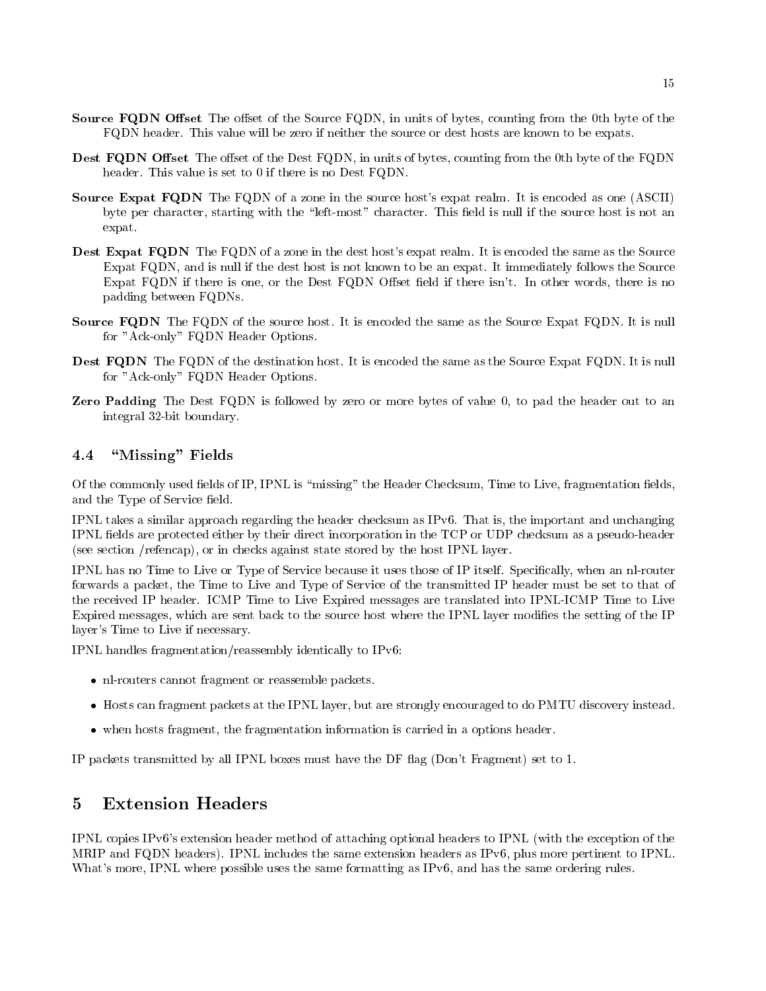- **Source FQDN Offset** The offset of the Source FQDN, in units of bytes, counting from the 0th byte of the FQDN header. This value will be zero if neither the source or dest hosts are known to be expats.
- Dest FQDN Offset The offset of the Dest FQDN, in units of bytes, counting from the 0th byte of the FQDN header. This value is set to 0 if there is no Dest FQDN.
- Source Expat FQDN The FQDN of a zone in the source host's expat realm. It is encoded as one (ASCII) byte per character, starting with the "left-most" character. This field is null if the source host is not an expat
- Dest Expat FQDN The FQDN of a zone in the dest host's expat realm. It is encoded the same as the Source Expat FQDN, and is null if the dest host is not known to be an expat. It immediately follows the Source Expat FQDN if there is one, or the Dest FQDN Offset field if there isn't. In other words, there is no padding between FQDNs
- Source FQDN The FQDN of the source host. It is encoded the same as the Source Expat FQDN. It is null for "Ack-only" FQDN Header Options.
- Dest FQDN The FQDN of the destination host. It is encoded the same as the Source Expat FQDN. It is null for "Ack-only" FQDN Header Options.
- **Zero Padding** The Dest  $FQDN$  is followed by zero or more bytes of value 0, to pad the header out to an integral 32-bit boundary.

### "Missing" Fields 4.4

Of the commonly used fields of IP, IPNL is "missing" the Header Checksum, Time to Live, fragmentation fields, and the Type of Service field.

IPNL takes a similar approach regarding the header checksum as IP $v$ 6. That is, the important and unchanging IPNL fields are protected either by their direct incorporation in the TCP or UDP checksum as a pseudo-header (see section / $refencap$ ), or in checks against state stored by the host IPNL layer.

IPNL has no Time to Live or Type of Service because it uses those of IP itself. Specifically, when an nl-router forwards a packet, the Time to Live and Type of Service of the transmitted IP header must be set to that of the received IP header. ICMP Time to Live Expired messages are translated into IPNL-ICMP Time to Live Expired messages, which are sent back to the source host where the IPNL layer modifies the setting of the IP layer's Time to Live if necessary.

IPNL handles fragmentation/reassembly identically to IPv6:

- nlarouters cannot fragment or reason fragment packets.
- Hosts can fragment packets at the IPNL layer but are strongly encouraged to do PMTU discovery instead
- when hosts fragmentation is carried information in the fragmentation in a carried in a part car resource in

IP packets transmitted by all IPNL boxes must have the DF ag Dont Fragment set to -

# Extension Headers

IPNL copies IPv6's extension header method of attaching optional headers to IPNL (with the exception of the MRIP and FQDN headers). IPNL includes the same extension headers as IPv6, plus more pertinent to IPNL. What's more, IPNL where possible uses the same formatting as IP $\nu$ 6, and has the same ordering rules.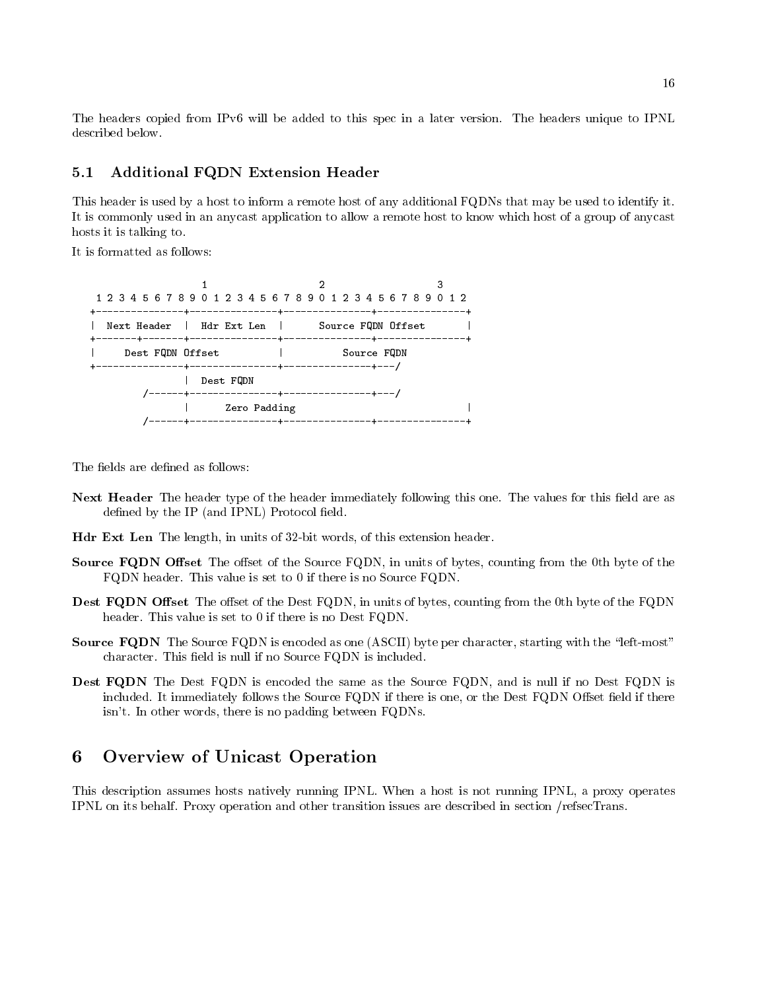The headers copied from IPv6 will be added to this spec in a later version. The headers unique to IPNL described below.

#### $5.1$ Additional FQDN Extension Header

This header is used by a host to inform a remote host of any additional FQDNs that may be used to identify it It is commonly used in an anycast application to allow a remote host to know which host of a group of anycast hosts it is talking to

It is formatted as follows



The fields are defined as follows:

- Next Header The header type of the header immediately following this one. The values for this field are as defined by the IP (and IPNL) Protocol field.
- Hdr Ext Len The length, in units of 32-bit words, of this extension header.
- **Source FQDN Offset** The offset of the Source FQDN, in units of bytes, counting from the 0th byte of the FQDN header. This value is set to  $0$  if there is no Source FQDN.
- Dest FQDN Offset The offset of the Dest FQDN, in units of bytes, counting from the 0th byte of the FQDN header. This value is set to  $0$  if there is no Dest FQDN.
- Source FQDN The Source FQDN is encoded as one (ASCII) byte per character, starting with the "left-most" character. This field is null if no Source FQDN is included.
- Dest FQDN The Dest FQDN is encoded the same as the Source FQDN, and is null if no Dest FQDN is included. It immediately follows the Source  $FQDN$  if there is one, or the Dest  $FQDN$  Offset field if there isn't. In other words, there is no padding between FQDNs.

### Overview of Unicast Operation

This description assumes hosts natively running IPNL When a host is not running IPNL a proxy operates IPNL on its behalf. Proxy operation and other transition issues are described in section /refsecTrans.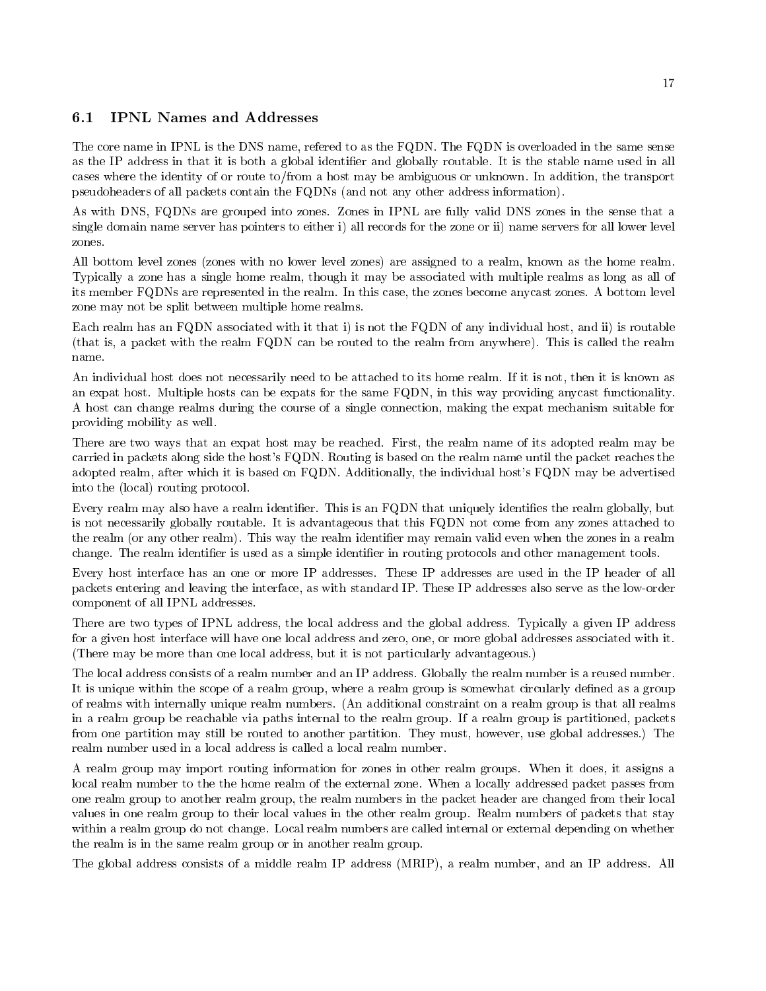#### $6.1$ IPNL Names and Addresses

The core name in IPNL is the DNS name, refered to as the FQDN. The FQDN is overloaded in the same sense as the IP address in that it is both a global identifier and globally routable. It is the stable name used in all cases where the identity of or route to/from a host may be ambiguous or unknown. In addition, the transport pseudoheaders of all packets contain the FQDNs (and not any other address information).

As with DNS, FQDNs are grouped into zones. Zones in IPNL are fully valid DNS zones in the sense that a single domain name server has pointers to either i) all records for the zone or ii) name servers for all lower level zones.

All bottom level zones (zones with no lower level zones) are assigned to a realm, known as the home realm. Typically a zone has a single home realm, though it may be associated with multiple realms as long as all of its member FQDNs are represented in the realm. In this case, the zones become any cast zones. A bottom level zone may not be split between multiple home realms

Each realm has an FQDN associated with it that i) is not the FQDN of any individual host, and ii) is routable (that is, a packet with the realm FQDN can be routed to the realm from anywhere). This is called the realm name.

An individual host does not necessarily need to be attached to its home realm. If it is not, then it is known as an expat host. Multiple hosts can be expats for the same FQDN, in this way providing anycast functionality. A host can change realms during the course of a single connection, making the expat mechanism suitable for providing mobility as well

There are two ways that an expat host may be reached. First, the realm name of its adopted realm may be carried in packets along side the host's FQDN. Routing is based on the realm name until the packet reaches the adopted realm, after which it is based on FQDN. Additionally, the individual host's FQDN may be advertised into the (local) routing protocol.

Every realm may also have a realm identifier. This is an FQDN that uniquely identifies the realm globally, but is not necessarily globally routable. It is advantageous that this FQDN not come from any zones attached to the realm (or any other realm). This way the realm identifier may remain valid even when the zones in a realm change. The realm identifier is used as a simple identifier in routing protocols and other management tools.

Every host interface has an one or more IP addresses. These IP addresses are used in the IP header of all packets entering and leaving the interface as with standard IP These IP addresses also serve as the loworder component of all IPNL addresses

There are two types of IPNL address the local address and the global address Typically a given IP address for a given host interface will have one local address and zero, one, or more global addresses associated with it. (There may be more than one local address, but it is not particularly advantageous.)

The local address consists of a realm number and an IP address Globally the realm number is a reused number It is unique within the scope of a realm group, where a realm group is somewhat circularly defined as a group of realms with internally unique realm numbers. (An additional constraint on a realm group is that all realms in a realm group be reachable via paths internal to the realm group. If a realm group is partitioned, packets from one partition may still be routed to another partition. They must, however, use global addresses.) The realm number used in a local address is called a local realm number

A realm group may import routing information for zones in other realm groups When it does it assigns a local realm number to the the home realm of the external zone When a locally addressed packet passes from one realm group to another realm group the realm numbers in the packet header are changed from their local values in one realm group to their local values in the other realm group Realm numbers of packets that stay within a realm group do not change. Local realm numbers are called internal or external depending on whether the realm is in the same realm group or in another realm group

The global address consists of a middle realm IP address (MRIP), a realm number, and an IP address. All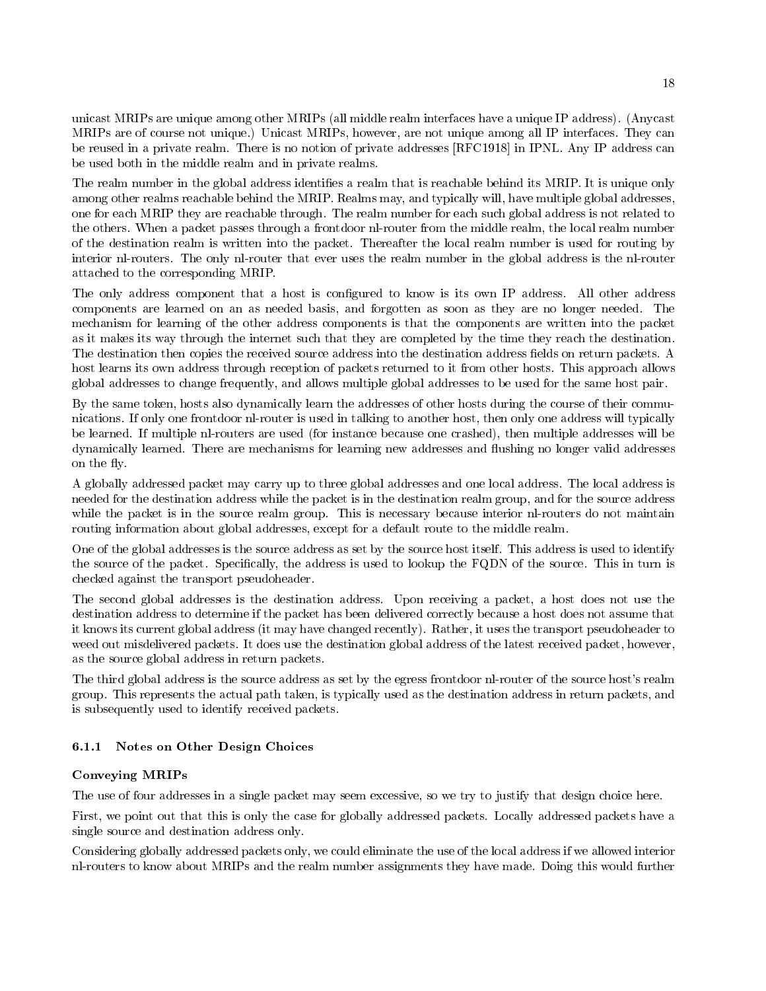unicast MRIPs are unique among other MRIPs (all middle realm interfaces have a unique IP address). (Anycast MRIPs are of course not unique.) Unicast MRIPs, however, are not unique among all IP interfaces. They can be reused in a private realm There is no notion of private addresses RFC-- in IPNL Any IP address can be used both in the middle realm and in private realms

The realm number in the global address identifies a realm that is reachable behind its MRIP. It is unique only among other realms reachable behind the MRIP. Realms may, and typically will, have multiple global addresses, one for each MRIP they are reachable through. The realm number for each such global address is not related to the others. When a packet passes through a frontdoor nl-router from the middle realm, the local realm number of the destination realm is written into the packet Thereafter the local realm number is used for routing by interior nl-routers. The only nl-router that ever uses the realm number in the global address is the nl-router attached to the corresponding MRIP

The only address component that a host is configured to know is its own IP address. All other address components are learned on an as needed basis, and forgotten as soon as they are no longer needed. The mechanism for learning of the other address components is that the components are written into the packet as it makes its way through the internet such that they are completed by the time they reach the destination The destination then copies the received source address into the destination address fields on return packets. A host learns its own address through reception of packets returned to it from other hosts This approach allows global addresses to change frequently and allows multiple global addresses to be used for the same host pair

By the same token, hosts also dynamically learn the addresses of other hosts during the course of their communications. If only one frontdoor nl-router is used in talking to another host, then only one address will typically be learned. If multiple nl-routers are used (for instance because one crashed), then multiple addresses will be dynamically learned. There are mechanisms for learning new addresses and flushing no longer valid addresses on the fly. on the y

A globally addressed packet may carry up to three global addresses and one local address The local address is needed for the destination address while the packet is in the destination realm group and for the source address while the packet is in the source realm group. This is necessary because interior nl-routers do not maintain routing information about global addresses, except for a default route to the middle realm.

One of the global addresses is the source address as set by the source host itself. This address is used to identify the source of the packet. Specifically, the address is used to lookup the FQDN of the source. This in turn is checked against the transport pseudoheader

The second global addresses is the destination address. Upon receiving a packet, a host does not use the destination address to determine if the packet has been delivered correctly because a host does not assume that it knows its current global address (it may have changed recently). Rather, it uses the transport pseudoheader to weed out misdelivered packets. It does use the destination global address of the latest received packet, however, as the source global address in return packets

The third global address is the source address as set by the egress frontdoor nl-router of the source host's realm group. This represents the actual path taken, is typically used as the destination address in return packets, and is subsequently used to identify received packets

### 6.1.1 Notes on Other Design Choices

### Conveying MRIPs

The use of four addresses in a single packet may seem excessive, so we try to justify that design choice here.

First, we point out that this is only the case for globally addressed packets. Locally addressed packets have a single source and destination address only

Considering globally addressed packets only we could eliminate the use of the local address if we allowed interior nlrouters to know about MRIPs and the realm number assignments they have made Doing this would further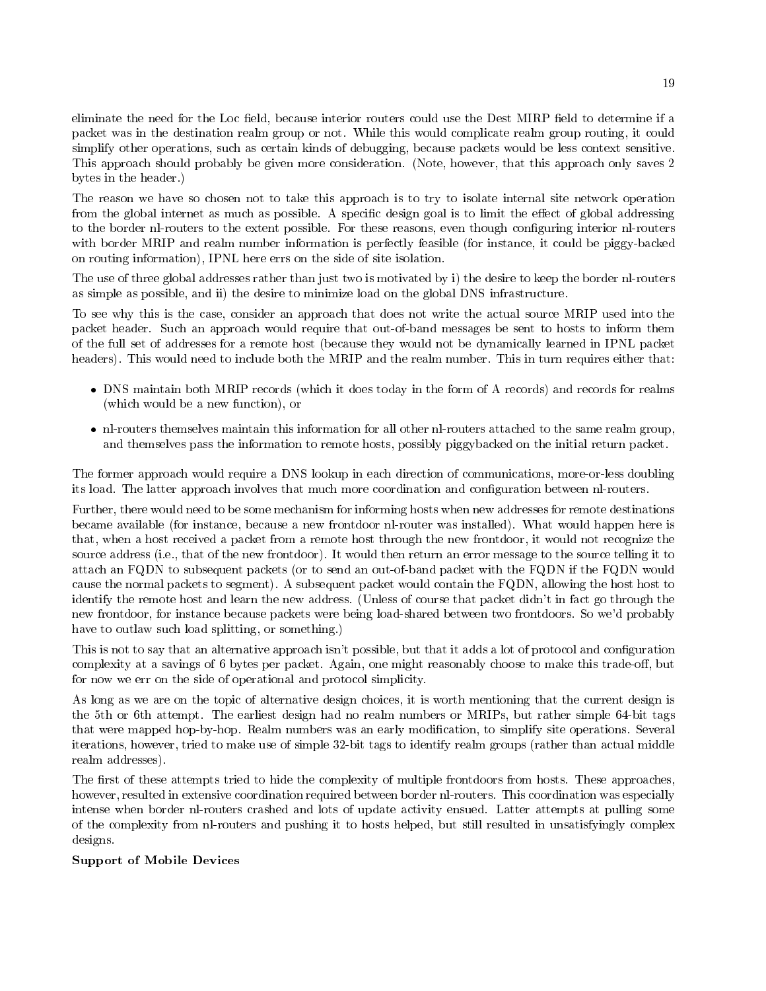eliminate the need for the Loc field, because interior routers could use the Dest MIRP field to determine if a packet was in the destination realm group or not While this would complicate realm group routing it could simplify other operations, such as certain kinds of debugging, because packets would be less context sensitive. This approach should probably be given more consideration. (Note, however, that this approach only saves 2 bytes in the header

The reason we have so chosen not to take this approach is to try to isolate internal site network operation from the global internet as much as possible. A specific design goal is to limit the effect of global addressing to the border nl-routers to the extent possible. For these reasons, even though configuring interior nl-routers with border MRIP and realm number information is perfectly feasible (for instance, it could be piggy-backed on routing information), IPNL here errs on the side of site isolation.

The use of three global addresses rather than just two is motivated by i) the desire to keep the border nl-routers as simple as possible, and ii) the desire to minimize load on the global DNS infrastructure.

To see why this is the case, consider an approach that does not write the actual source MRIP used into the packet header. Such an approach would require that out-of-band messages be sent to hosts to inform them of the full set of addresses for a remote host because they would not be dynamically learned in IPNL packet headers). This would need to include both the MRIP and the realm number. This in turn requires either that:

- DNS maintain both MRIP records which it does today in the form of A records and records for realms (which would be a new function), or
- nlar themselves themselves maintained this information for all other nlrowers attached to the same realm group and themselves pass the information to remote hosts, possibly piggybacked on the initial return packet.

The former approach would require a DNS lookup in each direction of communications, more-or-less doubling its load. The latter approach involves that much more coordination and configuration between nl-routers.

Further, there would need to be some mechanism for informing hosts when new addresses for remote destinations became available (for instance, because a new frontdoor nl-router was installed). What would happen here is that, when a host received a packet from a remote host through the new frontdoor, it would not recognize the source address (i.e., that of the new frontdoor). It would then return an error message to the source telling it to attach an FQDN to subsequent packets (or to send an out-of-band packet with the FQDN if the FQDN would cause the normal packets to segment). A subsequent packet would contain the FQDN, allowing the host host to identify the remote host and learn the new address. (Unless of course that packet didn't in fact go through the new frontdoor, for instance because packets were being load-shared between two frontdoors. So we'd probably have to outlaw such load splitting, or something.)

This is not to say that an alternative approach isn't possible, but that it adds a lot of protocol and configuration complexity at a savings of 6 bytes per packet. Again, one might reasonably choose to make this trade-off, but for now we err on the side of operational and protocol simplicity

As long as we are on the topic of alternative design choices it is worth mentioning that the current design is the 5th or 6th attempt. The earliest design had no realm numbers or MRIPs, but rather simple 64-bit tags that were mapped hop-by-hop. Realm numbers was an early modification, to simplify site operations. Several iterations, however, tried to make use of simple 32-bit tags to identify realm groups (rather than actual middle realment addresses and provide a set of the set of the set of the set of the set of the set of the set of the

The first of these attempts tried to hide the complexity of multiple frontdoors from hosts. These approaches, however, resulted in extensive coordination required between border nl-routers. This coordination was especially intense when border nl-routers crashed and lots of update activity ensued. Latter attempts at pulling some of the complexity from nl-routers and pushing it to hosts helped, but still resulted in unsatisfyingly complex designs

### Support of Mobile Devices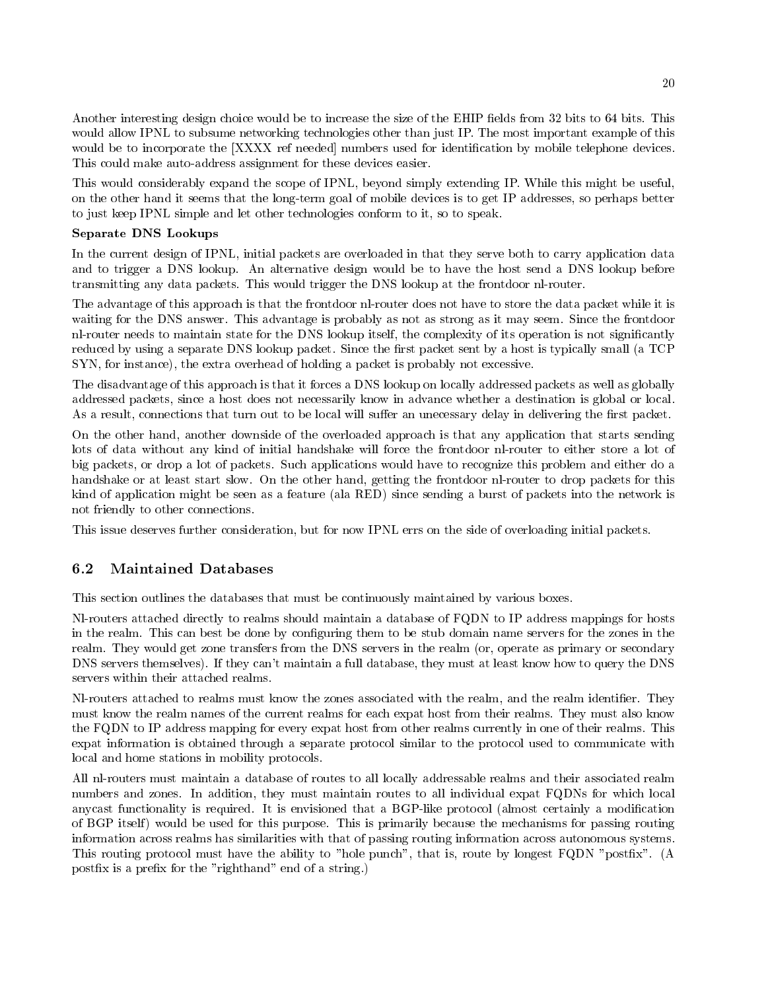Another interesting design choice would be to increase the size of the EHIP fields from 32 bits to 64 bits. This would allow IPNL to subsume networking technologies other than just IP. The most important example of this would be to incorporate the [XXXX ref needed] numbers used for identification by mobile telephone devices. This could make auto-address assignment for these devices easier.

This would considerably expand the scope of IPNL, beyond simply extending IP. While this might be useful, on the other hand it seems that the long-term goal of mobile devices is to get IP addresses, so perhaps better to just keep IPNL simple and let other technologies conform to it, so to speak.

### Separate DNS Lookups

In the current design of IPNL initial packets are overloaded in that they serve both to carry application data and to trigger a DNS lookup. An alternative design would be to have the host send a DNS lookup before transmitting any data packets. This would trigger the DNS lookup at the frontdoor nl-router.

The advantage of this approach is that the frontdoor nl-router does not have to store the data packet while it is waiting for the DNS answer. This advantage is probably as not as strong as it may seem. Since the frontdoor nl-router needs to maintain state for the DNS lookup itself, the complexity of its operation is not significantly reduced by using a separate DNS lookup packet. Since the first packet sent by a host is typically small (a TCP  $SYN$ , for instance), the extra overhead of holding a packet is probably not excessive.

The disadvantage of this approach is that it forces a DNS lookup on locally addressed packets as well as globally addressed packets, since a host does not necessarily know in advance whether a destination is global or local. As a result, connections that turn out to be local will suffer an unecessary delay in delivering the first packet.

On the other hand, another downside of the overloaded approach is that any application that starts sending lots of data without any kind of initial handshake will force the frontdoor nl-router to either store a lot of big packets or drop a lot of packets Such applications would have to recognize this problem and either do a handshake or at least start slow. On the other hand, getting the frontdoor nl-router to drop packets for this kind of application might be seen as a feature (ala RED) since sending a burst of packets into the network is not friendly to other connections

This issue deserves further consideration, but for now IPNL errs on the side of overloading initial packets.

### 6.2 Maintained Databases

This section outlines the databases that must be continuously maintained by various boxes

Nl-routers attached directly to realms should maintain a database of FQDN to IP address mappings for hosts in the realm This can best be done by con
guring them to be stub domain name servers for the zones in the realm. They would get zone transfers from the DNS servers in the realm (or, operate as primary or secondary DNS servers themselves). If they can't maintain a full database, they must at least know how to query the DNS servers within their attached realms.

Nl-routers attached to realms must know the zones associated with the realm, and the realm identifier. They must know the realm names of the current realms for each expat host from their realms They must also know the FQDN to IP address mapping for every expat host from other realms currently in one of their realms This expat information is obtained through a separate protocol similar to the protocol used to communicate with local and home stations in mobility protocols

All nl-routers must maintain a database of routes to all locally addressable realms and their associated realm numbers and zones. In addition, they must maintain routes to all individual expat FQDNs for which local anycast functionality is required. It is envisioned that a BGP-like protocol (almost certainly a modification of BGP itself would be used for this purpose This is primarily because the mechanisms for passing routing information across realms has similarities with that of passing routing information across autonomous systems This routing protocol must have the ability to "hole punch", that is, route by longest FQDN "postfix". (A postfix is a prefix for the "righthand" end of a string.)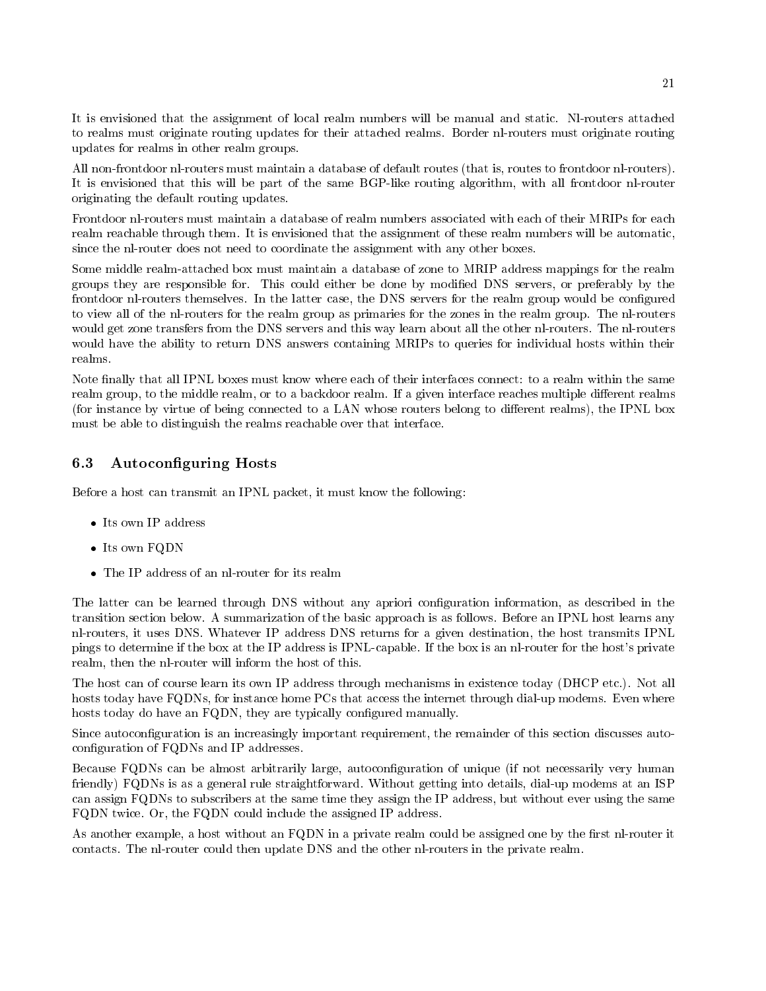It is envisioned that the assignment of local realm numbers will be manual and static Nlrouters attached to realms must originate routing updates for their attached realms. Border nl-routers must originate routing updates for realms in other realm groups

All non-frontdoor nl-routers must maintain a database of default routes (that is, routes to frontdoor nl-routers). It is envisioned that this will be part of the same BGP-like routing algorithm, with all frontdoor nl-router originating the default routing updates

Frontdoor nlrouters must maintain a database of realm numbers associated with each of their MRIPs for each realm reachable through them. It is envisioned that the assignment of these realm numbers will be automatic, since the nl-router does not need to coordinate the assignment with any other boxes.

Some middle realm-attached box must maintain a database of zone to MRIP address mappings for the realm groups they are responsible for. This could either be done by modified DNS servers, or preferably by the frontdoor nl-routers themselves. In the latter case, the DNS servers for the realm group would be configured to view all of the nl-routers for the realm group as primaries for the zones in the realm group. The nl-routers would get zone transfers from the DNS servers and this way learn about all the other nl-routers. The nl-routers would have the ability to return DNS answers containing MRIPs to queries for individual hosts within their realms

Note finally that all IPNL boxes must know where each of their interfaces connect: to a realm within the same realm group, to the middle realm, or to a backdoor realm. If a given interface reaches multiple different realms (for instance by virtue of being connected to a LAN whose routers belong to different realms), the IPNL box must be able to distinguish the realms reachable over that interface.

#### 6.3 Autoconfiguring Hosts

Before a host can transmit an IPNL packet, it must know the following:

- Its own IP address
- $\blacksquare$  FOND FOND FOND FOND  $\blacksquare$
- The IP address of an its real matrix  $\sim$  is real matrix of  $\sim$

The latter can be learned through DNS without any apriori con
guration information as described in the transition section below A summarization of the basic approach is as follows Before an IPNL host learns any nl-routers, it uses DNS. Whatever IP address DNS returns for a given destination, the host transmits IPNL pings to determine if the box at the IP address is IPNL-capable. If the box is an nl-router for the host's private realm, then the nl-router will inform the host of this.

The host can of course learn its own IP address through mechanisms in existence today (DHCP etc.). Not all hosts today have FQDNs, for instance home PCs that access the internet through dial-up modems. Even where hosts today do have an FQDN, they are typically configured manually.

Since autoconfiguration is an increasingly important requirement, the remainder of this section discusses autoconfiguration of FQDNs and IP addresses.

Because FQDNs can be almost arbitrarily large, autoconfiguration of unique (if not necessarily very human friendly) FQDNs is as a general rule straightforward. Without getting into details, dial-up modems at an ISP can assign FQDNs to subscribers at the same time they assign the IP address but without ever using the same FQDN twice. Or, the FQDN could include the assigned IP address.

As another example, a host without an FQDN in a private realm could be assigned one by the first nl-router it contacts. The nl-router could then update DNS and the other nl-routers in the private realm.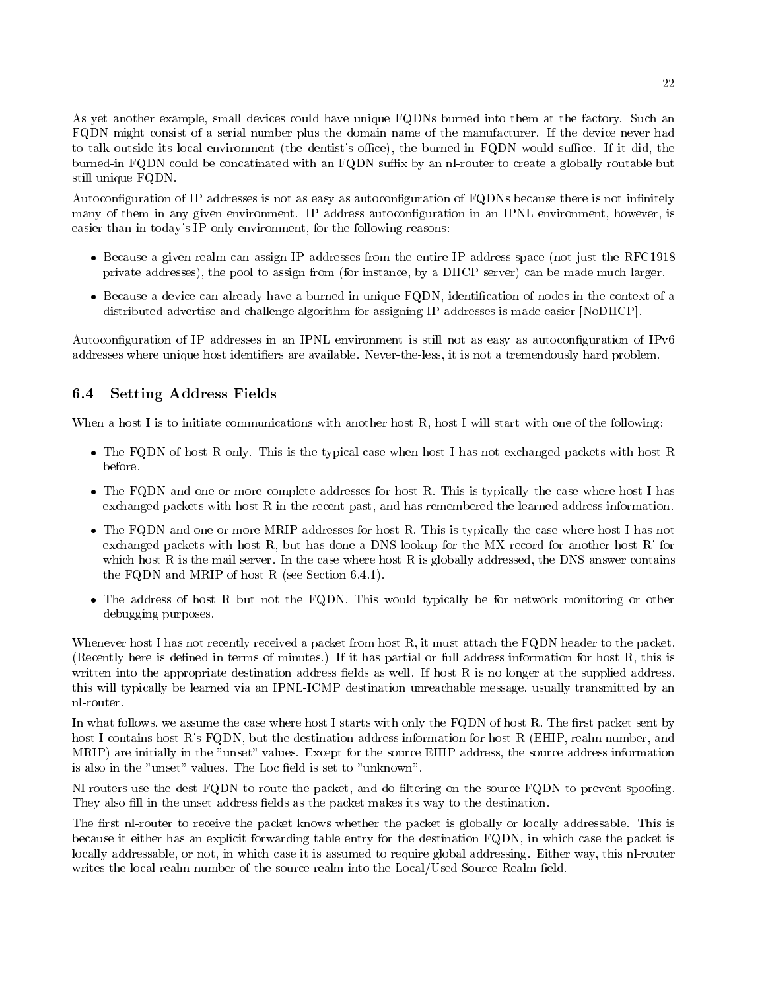As yet another example, small devices could have unique FQDNs burned into them at the factory. Such an FQDN might consist of a serial number plus the domain name of the manufacturer. If the device never had to talk outside its local environment (the dentist's office), the burned-in FQDN would suffice. If it did, the burned-in FQDN could be concatinated with an FQDN suffix by an nl-router to create a globally routable but still unique FQDN

Autoconfiguration of IP addresses is not as easy as autoconfiguration of FQDNs because there is not infinitely many of them in any given environment. IP address autoconfiguration in an IPNL environment, however, is easier than in today's IP-only environment, for the following reasons:

- Because a given realm can assign IP addresses from the entire IP address space not just the RFC-private addresses), the pool to assign from (for instance, by a  $DHCP$  server) can be made much larger.
- Because a device can already have a burnedin unique FQDN identi
cation of nodes in the context of a distributed advertise-and-challenge algorithm for assigning IP addresses is made easier  $[NoDHCP]$ .

Autoconfiguration of IP addresses in an IPNL environment is still not as easy as autoconfiguration of IPv6 addresses where unique host identifiers are available. Never-the-less, it is not a tremendously hard problem.

#### 6.4 Setting Address Fields

When a host I is to initiate communications with another host R, host I will start with one of the following:

- The FQD of the FRD of the following the typical case when host I has not exchanged packets with host R of the before
- The FQD and the FDN and or more complete addresses for host R This is typically the case where where  $\sim$ exchanged packets with host R in the recent past, and has remembered the learned address information.
- The FQDN and one or more MRIP addresses for host R This is typically the case where host I has not exchanged packets with host  $R$ , but has done a DNS lookup for the MX record for another host  $R'$  for which host R is the mail server. In the case where host R is globally addressed, the DNS answer contains the FQD and MRIP of host R see Section - And MRIP of host R see Section - And MRIP of host R see Section - And
- The address of host R but not the FQDN This would typically be for network monitoring or other debugging purposes

Whenever host I has not recently received a packet from host R, it must attach the FQDN header to the packet. (Recently here is defined in terms of minutes.) If it has partial or full address information for host R, this is written into the appropriate destination address fields as well. If host  $R$  is no longer at the supplied address, this will typically be learned via an IPNL-ICMP destination unreachable message, usually transmitted by an nl-router.

In what follows, we assume the case where host I starts with only the FQDN of host R. The first packet sent by host I contains host R's FQDN, but the destination address information for host R (EHIP, realm number, and MRIP) are initially in the "unset" values. Except for the source EHIP address, the source address information is also in the "unset" values. The Loc field is set to "unknown".

Nl-routers use the dest FQDN to route the packet, and do filtering on the source FQDN to prevent spoofing. They also fill in the unset address fields as the packet makes its way to the destination.

The first nl-router to receive the packet knows whether the packet is globally or locally addressable. This is because it either has an explicit forwarding table entry for the destination FQDN in which case the packet is locally addressable, or not, in which case it is assumed to require global addressing. Either way, this nl-router writes the local realm number of the source realm into the Local/Used Source Realm field.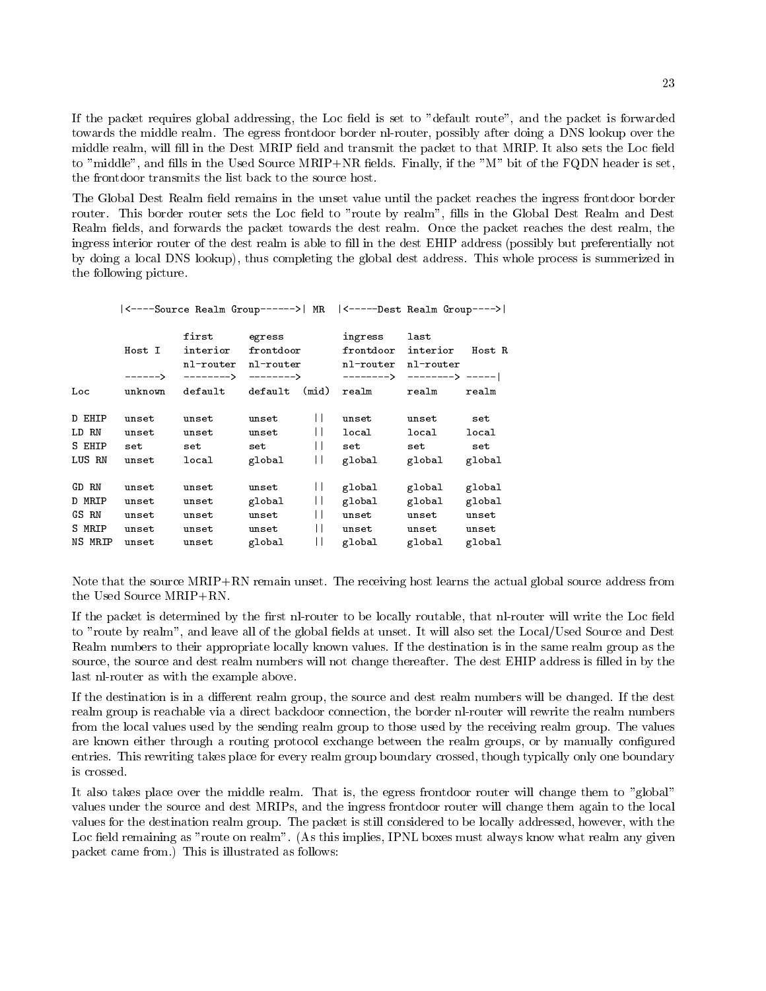If the packet requires global addressing, the Loc field is set to "default route", and the packet is forwarded towards the middle realm. The egress frontdoor border nl-router, possibly after doing a DNS lookup over the middle realm, will fill in the Dest MRIP field and transmit the packet to that MRIP. It also sets the Loc field to "middle", and fills in the Used Source MRIP+NR fields. Finally, if the "M" bit of the FQDN header is set, the frontdoor transmits the list back to the source host

The Global Dest Realm field remains in the unset value until the packet reaches the ingress frontdoor border router. This border router sets the Loc field to "route by realm", fills in the Global Dest Realm and Dest Realm fields, and forwards the packet towards the dest realm. Once the packet reaches the dest realm, the ingress interior router of the dest realm is able to 
ll in the dest EHIP address possibly but preferentially not by doing a local DNS lookup), thus completing the global dest address. This whole process is summerized in the following picture

|  |  |  | $ $ <----Source Realm Group------>   MR $ $ <-----Dest Realm Group----> |  |  |
|--|--|--|-------------------------------------------------------------------------|--|--|
|--|--|--|-------------------------------------------------------------------------|--|--|

|                                     | Host I<br>------>              | first<br>interior<br>nl-router<br>--------> | egress<br>frontdoor<br>nl-router<br>$------&$ |                              | ingress<br>frontdoor<br>nl-router<br>--------> | last<br>interior<br>nl-router<br>$------>$ ----- | Host R                        |
|-------------------------------------|--------------------------------|---------------------------------------------|-----------------------------------------------|------------------------------|------------------------------------------------|--------------------------------------------------|-------------------------------|
| Loc                                 | unknown                        | default                                     | default                                       | (mid)                        | realm                                          | realm                                            | realm                         |
| D EHIP<br>LD RN<br>S EHIP<br>LUS RN | unset<br>unset<br>set<br>unset | unset<br>unset<br>set<br>local              | unset<br>unset<br>set<br>global               | $\mathsf{I}$<br>$\mathsf{I}$ | unset<br>local<br>set<br>global                | unset<br>local<br>set<br>global                  | set<br>local<br>set<br>global |
| GD RN                               | unset                          | unset                                       | unset                                         |                              | global                                         | global                                           | global                        |
| D MRIP                              | unset                          | unset                                       | global                                        | $\mathsf{L}$                 | global                                         | global                                           | global                        |
| GS RN                               | unset                          | unset                                       | unset                                         |                              | unset                                          | unset                                            | unset                         |
| S MRIP                              | unset                          | unset                                       | unset                                         |                              | unset                                          | unset                                            | unset                         |
| NS MRIP                             | unset                          | unset                                       | global                                        |                              | global                                         | global                                           | global                        |

Note that the source  $MRIP+RN$  remain unset. The receiving host learns the actual global source address from the Used Source  $MRIP+RN$ .

If the packet is determined by the first nl-router to be locally routable, that nl-router will write the Loc field to "route by realm", and leave all of the global fields at unset. It will also set the Local/Used Source and Dest Realm numbers to their appropriate locally known values If the destination is in the same realm group as the source, the source and dest realm numbers will not change thereafter. The dest EHIP address is filled in by the last nl-router as with the example above.

If the destination is in a different realm group, the source and dest realm numbers will be changed. If the dest realm group is reachable via a direct backdoor connection, the border nl-router will rewrite the realm numbers from the local values used by the sending realm group to those used by the receiving realm group The values are known either through a routing protocol exchange between the realm groups, or by manually configured entries. This rewriting takes place for every realm group boundary crossed, though typically only one boundary is crossed

It also takes place over the middle realm. That is, the egress frontdoor router will change them to "global" values under the source and dest MRIPs, and the ingress frontdoor router will change them again to the local values for the destination realm group. The packet is still considered to be locally addressed, however, with the Loc field remaining as "route on realm". (As this implies, IPNL boxes must always know what realm any given packet came from.) This is illustrated as follows: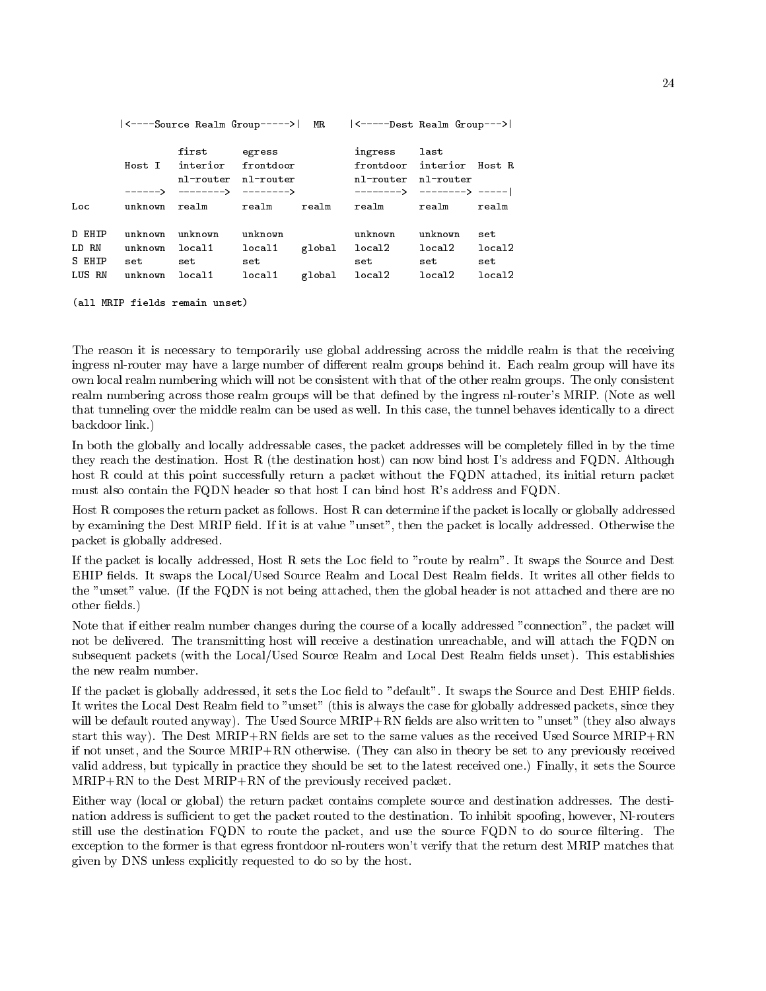|        | <----Source Realm Group----->   MR      <-----Dest Realm Group---> |                                           |                     |  |                                                                  |         |        |
|--------|--------------------------------------------------------------------|-------------------------------------------|---------------------|--|------------------------------------------------------------------|---------|--------|
|        |                                                                    | first egress<br>Host I interior frontdoor | nl-router nl-router |  | ingress last<br>frontdoor interior Host R<br>nl-router nl-router |         |        |
|        |                                                                    | $\leftarrow$ ------> --------> -------->  |                     |  |                                                                  |         |        |
| Loc    |                                                                    | unknown realm irealm irealm               |                     |  | realm realm realm                                                |         |        |
| D EHIP | unknown                                                            | unknown                                   | unknown             |  | unknown                                                          | unknown | set    |
| LD RN  | unknown                                                            | local1                                    | local1              |  | global local2 local2                                             |         | local2 |
| S EHIP |                                                                    | set set $\sim$                            | set                 |  | set                                                              | set     | set    |
| LUS RN |                                                                    | unknown local1                            | local1              |  | global local2 local2                                             |         | local2 |

```
all MRIP fields remain unset
```
The reason it is necessary to temporarily use global addressing across the middle realm is that the receiving ingress nl-router may have a large number of different realm groups behind it. Each realm group will have its own local realm numbering which will not be consistent with that of the other realm groups The only consistent realm numbering across those realm groups will be that defined by the ingress nl-router's MRIP. (Note as well that tunneling over the middle realm can be used as well In this case the tunnel behaves identically to a direct backdoor link

In both the globally and locally addressable cases, the packet addresses will be completely filled in by the time they reach the destination. Host R (the destination host) can now bind host I's address and FQDN. Although host R could at this point successfully return a packet without the FQDN attached, its initial return packet must also contain the FQDN header so that host I can bind host R's address and FQDN.

Host R composes the return packet as follows. Host R can determine if the packet is locally or globally addressed by examining the Dest MRIP field. If it is at value "unset", then the packet is locally addressed. Otherwise the packet is globally addresed

If the packet is locally addressed, Host R sets the Loc field to "route by realm". It swaps the Source and Dest EHIP fields. It swaps the Local/Used Source Realm and Local Dest Realm fields. It writes all other fields to the "unset" value. If the FQDN is not being attached, then the global header is not attached and there are no other fields.)

Note that if either realm number changes during the course of a locally addressed "connection", the packet will not be delivered. The transmitting host will receive a destination unreachable, and will attach the FQDN on subsequent packets (with the Local/Used Source Realm and Local Dest Realm fields unset). This establishies the new realm number.

If the packet is globally addressed, it sets the Loc field to "default". It swaps the Source and Dest EHIP fields. It writes the Local Dest Realm field to "unset" (this is always the case for globally addressed packets, since they will be default routed anyway). The Used Source MRIP+RN fields are also written to "unset" (they also always start this way). The Dest  $MRIP + RN$  fields are set to the same values as the received Used Source  $MRIP + RN$ if not unset, and the Source MRIP+RN otherwise. (They can also in theory be set to any previously received valid address, but typically in practice they should be set to the latest received one.) Finally, it sets the Source  $MRIP+RN$  to the Dest  $MRIP+RN$  of the previously received packet.

Either way (local or global) the return packet contains complete source and destination addresses. The destination address is sufficient to get the packet routed to the destination. To inhibit spoofing, however, Nl-routers still use the destination FQDN to route the packet, and use the source FQDN to do source filtering. The exception to the former is that egress frontdoor nl-routers won't verify that the return dest MRIP matches that given by DNS unless explicitly requested to do so by the host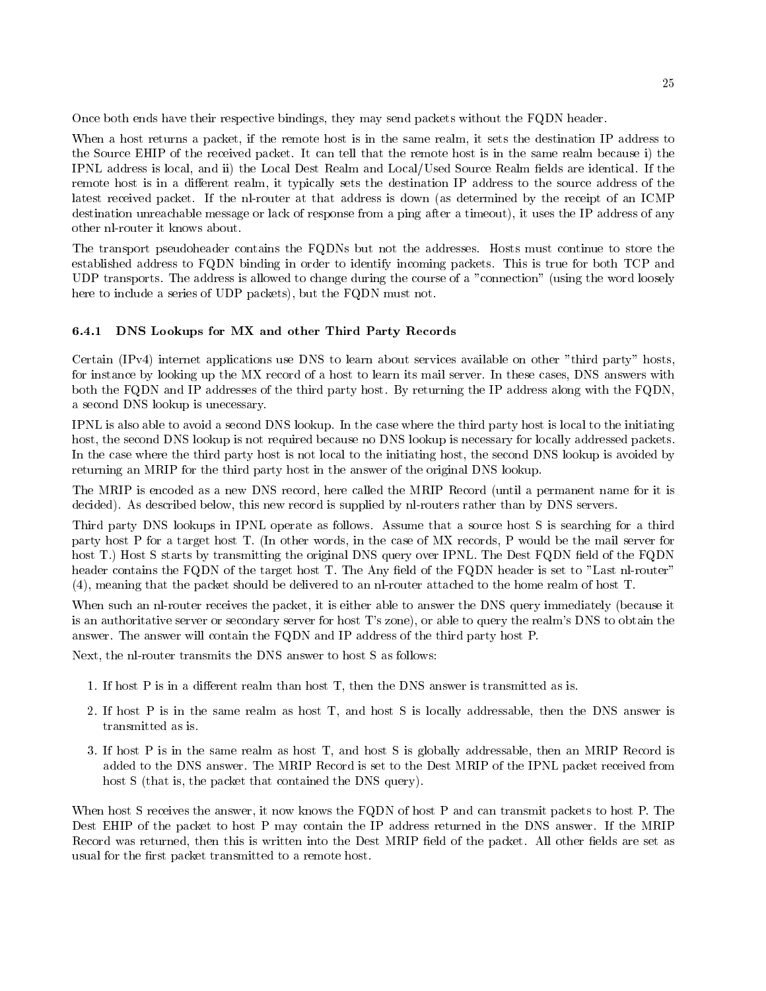Once both ends have their respective bindings, they may send packets without the FQDN header.

When a host returns a packet, if the remote host is in the same realm, it sets the destination IP address to the Source EHIP of the received packet. It can tell that the remote host is in the same realm because i) the IPNL address is local, and ii) the Local Dest Realm and Local/Used Source Realm fields are identical. If the remote host is in a different realm, it typically sets the destination IP address to the source address of the latest received packet. If the nl-router at that address is down (as determined by the receipt of an ICMP destination unreachable message or lack of response from a ping after a timeout), it uses the IP address of any other nl-router it knows about.

The transport pseudoheader contains the FQDNs but not the addresses Hosts must continue to store the established address to FQDN binding in order to identify incoming packets This is true for both TCP and UDP transports. The address is allowed to change during the course of a "connection" (using the word loosely here to include a series of UDP packets), but the  $FQDN$  must not.

### 6.4.1 DNS Lookups for MX and other Third Party Records

Certain  $(IPv4)$  internet applications use DNS to learn about services available on other "third party" hosts, for instance by looking up the MX record of a host to learn its mail server. In these cases, DNS answers with both the FQDN and IP addresses of the third party host. By returning the IP address along with the FQDN, a second DNS lookup is unecessary

IPNL is also able to avoid a second DNS lookup In the case where the third party host is local to the initiating host, the second DNS lookup is not required because no DNS lookup is necessary for locally addressed packets. In the case where the third party host is not local to the initiating host, the second DNS lookup is avoided by returning an MRIP for the third party host in the answer of the original DNS lookup

The MRIP is encoded as a new DNS record, here called the MRIP Record (until a permanent name for it is decided). As described below, this new record is supplied by nl-routers rather than by DNS servers.

Third party DNS lookups in IPNL operate as follows Assume that a source host S issearching for a third party host P for a target host T. (In other words, in the case of MX records, P would be the mail server for host T.) Host S starts by transmitting the original DNS query over IPNL. The Dest FQDN field of the FQDN header contains the FQDN of the target host T. The Any field of the FQDN header is set to "Last nl-router"  $(4)$ , meaning that the packet should be delivered to an nl-router attached to the home realm of host T.

When such an nl-router receives the packet, it is either able to answer the DNS query immediately (because it is an authoritative server or secondary server for host T's zone), or able to query the realm's DNS to obtain the answer. The answer will contain the FQDN and IP address of the third party host P.

Next, the nl-router transmits the DNS answer to host S as follows:

- If host P is in a dierent realm than host T then the DNS answer is transmitted as is
- 2. If host P is in the same realm as host T, and host S is locally addressable, then the DNS answer is transmitted as is.
- 3. If host P is in the same realm as host T, and host S is globally addressable, then an MRIP Record is added to the DNS answer. The MRIP Record is set to the Dest MRIP of the IPNL packet received from host  $S$  (that is, the packet that contained the DNS query).

When host S receives the answer, it now knows the FQDN of host P and can transmit packets to host P. The Dest EHIP of the packet to host P may contain the IP address returned in the DNS answer. If the MRIP Record was returned, then this is written into the Dest MRIP field of the packet. All other fields are set as usual for the first packet transmitted to a remote host.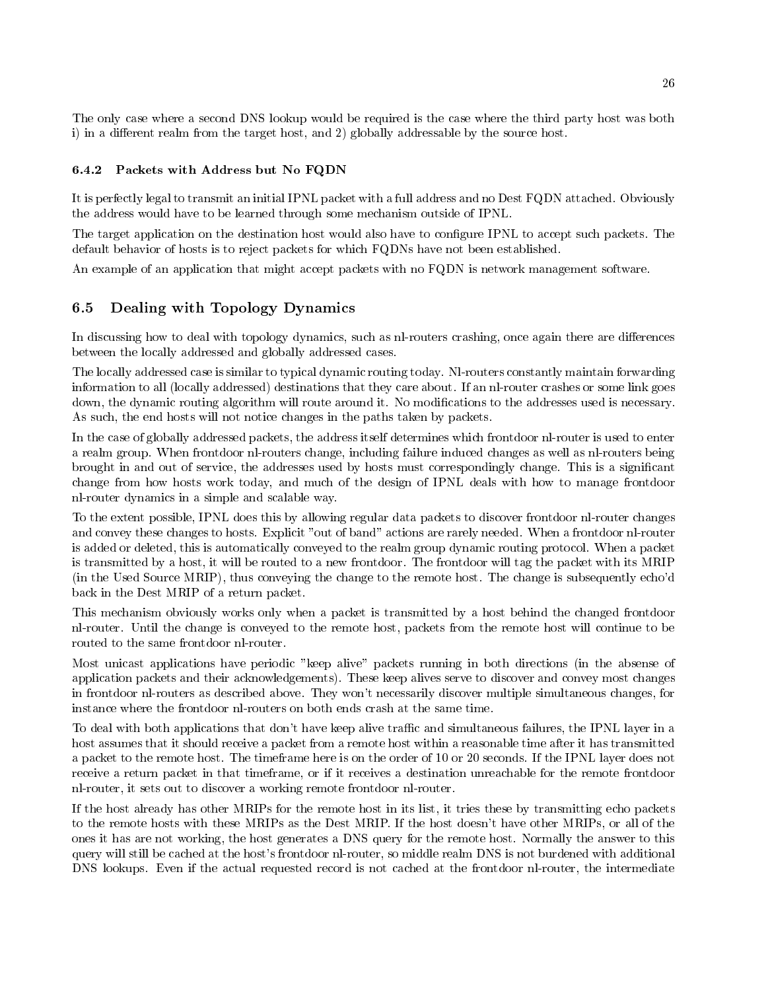The only case where a second DNS lookup would be required is the case where the third party host was both i) in a different realm from the target host, and  $2)$  globally addressable by the source host.

#### $6.4.2$ Packets with Address but No FQDN

It is perfectly legal to transmit an initial IPNL packet with a full address and no Dest FQDN attached. Obviously the address would have to be learned through some mechanism outside of IPNL

The target application on the destination host would also have to configure IPNL to accept such packets. The default behavior of hosts is to reject packets for which FQDNs have not been established

An example of an application that might accept packets with no FQDN is network management software.

#### 6.5 Dealing with Topology Dynamics

In discussing how to deal with topology dynamics, such as nl-routers crashing, once again there are differences between the locally addressed and globally addressed cases

The locally addressed case is similar to typical dynamic routing today. Nl-routers constantly maintain forwarding information to all (locally addressed) destinations that they care about. If an nl-router crashes or some link goes down, the dynamic routing algorithm will route around it. No modifications to the addresses used is necessary. As such, the end hosts will not notice changes in the paths taken by packets.

In the case of globally addressed packets, the address itself determines which frontdoor nl-router is used to enter a realm group. When frontdoor nl-routers change, including failure induced changes as well as nl-routers being brought in and out of service, the addresses used by hosts must correspondingly change. This is a significant change from how hosts work today, and much of the design of IPNL deals with how to manage frontdoor nl-router dynamics in a simple and scalable way.

To the extent possible IPNL does this by allowing regular data packets to discover frontdoor nlrouter changes and convey these changes to hosts. Explicit "out of band" actions are rarely needed. When a frontdoor nl-router is added or deleted, this is automatically conveyed to the realm group dynamic routing protocol. When a packet is transmitted by a host, it will be routed to a new frontdoor. The frontdoor will tag the packet with its MRIP  $\{$  (in the Used Source MRIP), thus conveying the change to the remote host. The change is subsequently echo'd back in the Dest MRIP of a return packet

This mechanism obviously works only when a packet is transmitted by a host behind the changed frontdoor nl-router. Until the change is conveyed to the remote host, packets from the remote host will continue to be routed to the same frontdoor nl-router.

Most unicast applications have periodic "keep alive" packets running in both directions (in the absense of application packets and their acknowledgements). These keep alives serve to discover and convey most changes in frontdoor nl-routers as described above. They won't necessarily discover multiple simultaneous changes, for instance where the frontdoor nl-routers on both ends crash at the same time.

To deal with both applications that don't have keep alive traffic and simultaneous failures, the IPNL layer in a host assumes that it should receive a packet from a remote host within a reasonable time after it has transmitted a packet to the remote host Theory and the time here is on the order of the IPNL layer is only in the IPNL lay receive a return packet in that timeframe, or if it receives a destination unreachable for the remote frontdoor nl-router, it sets out to discover a working remote frontdoor nl-router.

If the host already has other MRIPs for the remote host in its list it tries these by transmitting echo packets to the remote hosts with these MRIPs as the Dest MRIP. If the host doesn't have other MRIPs, or all of the ones it has are not working, the host generates a DNS query for the remote host. Normally the answer to this query will still be cached at the host's frontdoor nl-router, so middle realm DNS is not burdened with additional DNS lookups. Even if the actual requested record is not cached at the frontdoor nl-router, the intermediate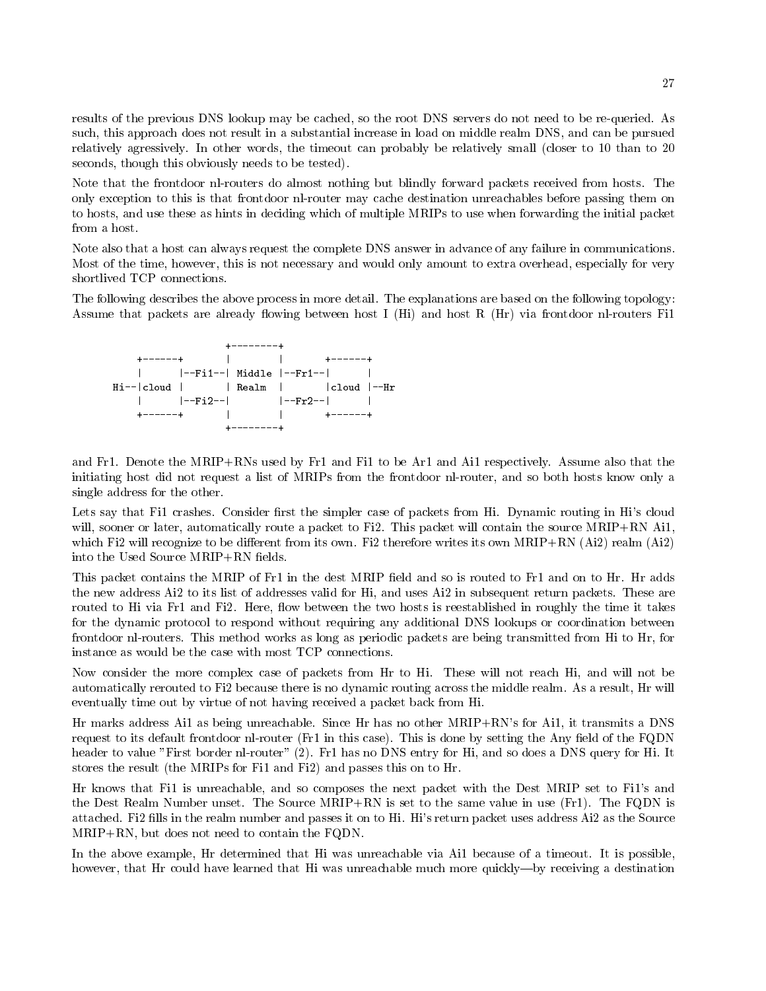results of the previous DNS lookup may be cached, so the root DNS servers do not need to be re-queried. As such, this approach does not result in a substantial increase in load on middle realm DNS, and can be pursued relatively agressively the control words the time-can can probably be relatively smaller to -control to -control to -co seconds, though this obviously needs to be tested).

Note that the frontdoor nl-routers do almost nothing but blindly forward packets received from hosts. The only exception to this is that frontdoor nlrouter may cache destination unreachables before passing them on to hosts and use these as hints in deciding which of multiple MRIPs to use when forwarding the initial packet from a host

Note also that a host can always request the complete DNS answer in advance of any failure in communications Most of the time, however, this is not necessary and would only amount to extra overhead, especially for very shortlived TCP connections.

The following describes the above process in more detail. The explanations are based on the following topology: Assume that packets are already flowing between host I (Hi) and host R (Hr) via frontdoor nl-routers Fi1



and Fr-C to be Mripress used by Freed by Fr-C was the Ai- and Ai- and Ai- and Ai- and Ai- and Ai- and Ai- and initiating host did not request a list of MRIPs from the frontdoor nl-router, and so both hosts know only a single address for the other

Lets say that Fi- crashes Consider 
rst the simpler case of packets from Hi Dynamic routing in His cloud will, sooner or later, automatically route a packet to Fi2. This packet will contain the source  $MRIP+RN$  Ai1. which Fi2 will recognize to be different from its own. Fi2 therefore writes its own MRIP+RN  $(Ai2)$  realm  $(Ai2)$ into the Used Source MRIP+RN fields.

this packet contains the MRIP of Fr- and the dest MRIP of Hrip of Andrew is the dest MRIP of The MRIP of The M the new address Ai2 to its list of addresses valid for Hi, and uses Ai2 in subsequent return packets. These are routed to His time Fri Hims I and Finally is a statement is reason in roughly the time it takes the time it takes for the dynamic protocol to respond without requiring any additional DNS lookups or coordination between frontdoor nl-routers. This method works as long as periodic packets are being transmitted from Hi to Hr, for instance as would be the case with most TCP connections

Now consider the more complex case of packets from Hr to Hi. These will not reach Hi, and will not be automatically rerouted to Fi2 because there is no dynamic routing across the middle realm. As a result, Hr will eventually time out by virtue of not having received a packet back from Hi

Hr marks address Ai- as being unreachable Since Hr has no other MRIPRNs for Ai- it transmits a DNS request to its definite in this is done by setting the Angle Company of the Angle Company the Angle Company of the FQDNN  $\sim$ header to value First border nlrouter Fr- has no DNS entry for Hi and so does a DNS query for Hi It stores the result the MRIPs for Fi- and Fi and passes this on to Hr

Hr knows that Fi- is unreachable and so composes the next packet with the Dest MRIP set to Fi-s and the Dest Realm Number unset The Source Marie in use Free to the same value in use Fr-Ripple in use Fr-Ripple in u attached. Fi2 fills in the realm number and passes it on to Hi. Hi's return packet uses address Ai2 as the Source  $MRIP+RN$ , but does not need to contain the FQDN.

in the above the determined that Hillsberg distributed that Him was unreached that time and the time of a time of the state of the state of the state of the state of the state of the state of the state of the state of the however, that Hr could have learned that Hi was unreachable much more quickly—by receiving a destination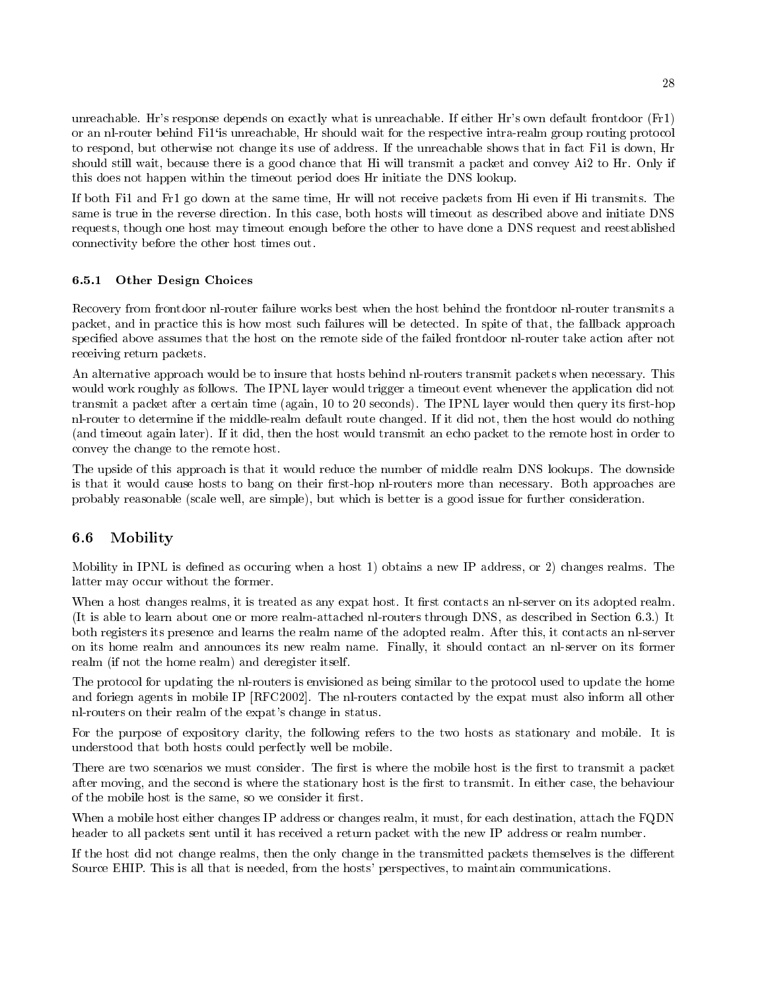unreachable Hrs response depends on exactly what is unreachable If either Hrs own default from the free  $\mathcal{F}$ is unreachable behind Fi-matrix wait for the respective intrarealm and respective intrarealm group routineg protocol to respond but otherwise not change its use of address If the unreachable shows that it is down Hr is down Hr should still wait, because there is a good chance that Hi will transmit a packet and convey Ai2 to Hr. Only if this does not happen within the timeout period does Hr initiate the DNS lookup

If a code first Fi-  $\alpha$  and the same time time time Hr will not receive packets from Hi even if Hi transmits T same is true in the reverse direction. In this case, both hosts will timeout as described above and initiate DNS requests though one host may timeout enough before the other to have done a DNS request and reestablished connectivity before the other host times out

### 6.5.1 Other Design Choices

Recovery from frontdoor nlrouter failure works best when the host behind the frontdoor nlrouter transmits a packet, and in practice this is how most such failures will be detected. In spite of that, the fallback approach specified above assumes that the host on the remote side of the failed frontdoor nl-router take action after not receiving return packets

An alternative approach would be to insure that hosts behind nl-routers transmit packets when necessary. This would work roughly as follows The IPNL layer would trigger a timeout event whenever the application did not transmit a packet after a certain time  $\{m_{\alpha\beta},\alpha\}$  , would the IPNL layer would then  $\eta$  and  $\eta$  are most proposed nl-router to determine if the middle-realm default route changed. If it did not, then the host would do nothing (and timeout again later). If it did, then the host would transmit an echo packet to the remote host in order to convey the change to the remote host

The upside of this approach is that it would reduce the number of middle realm DNS lookups. The downside is that it would cause hosts to bang on their first-hop nl-routers more than necessary. Both approaches are probably reasonable (scale well, are simple), but which is better is a good issue for further consideration.

### 6.6 Mobility

Mobility in IPNL is de
ned as occuring when a host - obtains a new IP address or changes realms The latter may occur without the former

When a host changes realms, it is treated as any expat host. It first contacts an nl-server on its adopted realm. It is able to learn about one or more realm-attached nl-routers through DNS, as described in Section 6.3.) It both registers its presence and learns the realm name of the adopted realm After this it contacts an nlserver on its home realm and announces its new realm name. Finally, it should contact an nl-server on its former realm (if not the home realm) and deregister itself.

The protocol for updating the nlrouters is envisioned as being similar to the protocol used to update the home and foriegn agents in mobile IP [RFC2002]. The nl-routers contacted by the expat must also inform all other nl-routers on their realm of the expat's change in status.

For the purpose of expository clarity, the following refers to the two hosts as stationary and mobile. It is understood that both hosts could perfectly well be mobile

There are two scenarios we must consider. The first is where the mobile host is the first to transmit a packet after moving, and the second is where the stationary host is the first to transmit. In either case, the behaviour of the mobile host is the same, so we consider it first.

When a mobile host either changes IP address or changes realm, it must, for each destination, attach the FQDN header to all packets sent until it has received a return packet with the new IP address or realm number

If the host did not change realms, then the only change in the transmitted packets themselves is the different Source EHIP. This is all that is needed, from the hosts' perspectives, to maintain communications.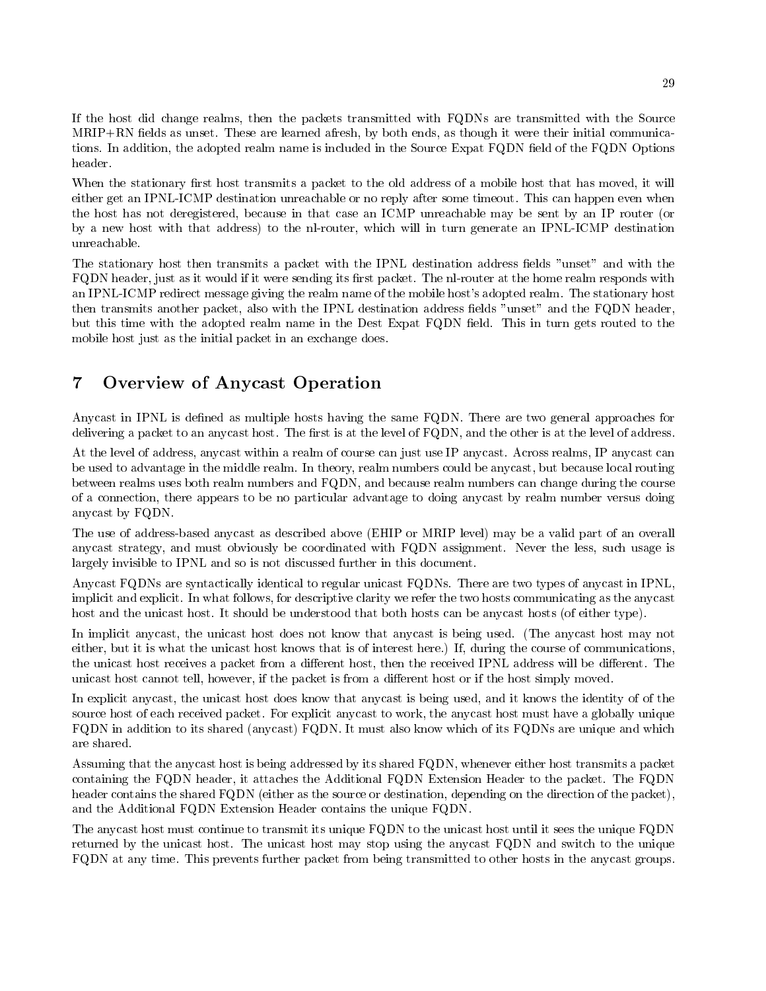If the host did change realms, then the packets transmitted with FQDNs are transmitted with the Source  $MRIP+RN$  fields as unset. These are learned afresh, by both ends, as though it were their initial communications. In addition, the adopted realm name is included in the Source Expat FQDN field of the FQDN Options header.

When the stationary first host transmits a packet to the old address of a mobile host that has moved, it will either get an IPNL-ICMP destination unreachable or no reply after some timeout. This can happen even when the host has not deregistered, because in that case an ICMP unreachable may be sent by an IP router (or by a new host with that address) to the nl-router, which will in turn generate an IPNL-ICMP destination unreachable

The stationary host then transmits a packet with the IPNL destination address fields "unset" and with the FQDN header, just as it would if it were sending its first packet. The nl-router at the home realm responds with an IPNL-ICMP redirect message giving the realm name of the mobile host's adopted realm. The stationary host then transmits another packet, also with the IPNL destination address fields "unset" and the FQDN header, but this time with the adopted realm name in the Dest Expat FQDN field. This in turn gets routed to the mobile host just as the initial packet in an exchange does.

# Overview of Anycast Operation

Anycast in IPNL is defined as multiple hosts having the same FQDN. There are two general approaches for delivering a packet to an any cast host. The first is at the level of FQDN, and the other is at the level of address.

At the level of address, anycast within a realm of course can just use IP anycast. Across realms, IP anycast can be used to advantage in the middle realm. In theory, realm numbers could be any cast, but because local routing between realms uses both realm numbers and FQDN, and because realm numbers can change during the course of a connection, there appears to be no particular advantage to doing any cast by realm number versus doing anycast by FQDN

The use of address-based anycast as described above (EHIP or MRIP level) may be a valid part of an overall anycast strategy, and must obviously be coordinated with FQDN assignment. Never the less, such usage is largely invisible to IPNL and so is not discussed further in this document.

Anycast FQDNs are syntactically identical to regular unicast FQDNs There are two types of anycast in IPNL implicit and explicit In what follows for descriptive clarity we refer the two hosts communicating as the anycast host and the unicast host. It should be understood that both hosts can be any cast hosts (of either type).

In implicit any cast, the unicast host does not know that any cast is being used. (The any cast host may not either, but it is what the unicast host knows that is of interest here.) If, during the course of communications, the unicast host receives a packet from a different host, then the received IPNL address will be different. The unicast host cannot tell, however, if the packet is from a different host or if the host simply moved.

In explicit any cast, the unicast host does know that any cast is being used, and it knows the identity of of the source host of each received packet. For explicit anycast to work, the anycast host must have a globally unique FQDN in addition to its shared (anycast) FQDN. It must also know which of its FQDNs are unique and which are shared

Assuming that the anycast host is being addressed by its shared FQDN, whenever either host transmits a packet containing the FQDN header, it attaches the Additional FQDN Extension Header to the packet. The FQDN header contains the shared FQDN (either as the source or destination, depending on the direction of the packet), and the Additional FQDN Extension Header contains the unique FQDN

The anycast host must continue to transmit its unique FQDN to the unicast host until it sees the unique FQDN returned by the unicast host The unicast host may stop using the anycast FQDN and switch to the unique FQDN at any time This prevents further packet from being transmitted to other hosts in the anycast groups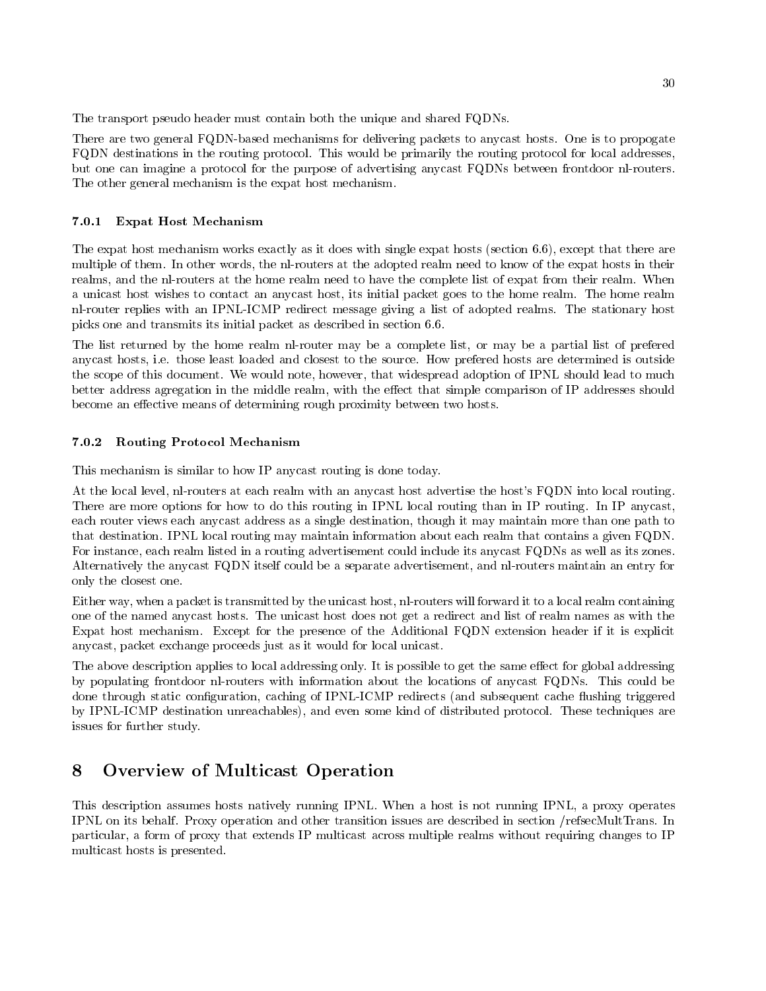The transport pseudo header must contain both the unique and shared FQDNs

There are two general FQDN-based mechanisms for delivering packets to anycast hosts. One is to propogate FQDN destinations in the routing protocol. This would be primarily the routing protocol for local addresses, but one can imagine a protocol for the purpose of advertising any cast FQDNs between frontdoor nl-routers. The other general mechanism is the expat host mechanism

### Expat Host Mechanism

The expat host mechanism works exactly as it does with single expat hosts (section  $6.6$ ), except that there are multiple of them. In other words, the nl-routers at the adopted realm need to know of the expat hosts in their realms, and the nl-routers at the home realm need to have the complete list of expat from their realm. When a unicast host wishes to contact an anycast host its initial packet goes to the home realm The home realm nl-router replies with an IPNL-ICMP redirect message giving a list of adopted realms. The stationary host picks one and transmits its initial packet as described in section

The list returned by the home realm nl-router may be a complete list, or may be a partial list of prefered anycast hosts ie those least loaded and closest to the source How prefered hosts are determined is outside the scope of this document. We would note, however, that widespread adoption of IPNL should lead to much better address agregation in the middle realm, with the effect that simple comparison of IP addresses should become an effective means of determining rough proximity between two hosts.

#### $7.0.2$ Routing Protocol Mechanism

This mechanism is similar to how IP anycast routing is done today

At the local level, nl-routers at each realm with an anycast host advertise the host's FQDN into local routing. There are more options for how to do this routing in IPNL local routing than in IP routing. In IP anycast, each router views each anycast address as a single destination though it may maintain more than one path to that destination IPNL local routing may maintain information about each realm that contains a given FQDN For instance, each realm listed in a routing advertisement could include its anycast FQDNs as well as its zones. Alternatively the any cast FQDN itself could be a separate advertisement, and nl-routers maintain an entry for only the closest one

Either way, when a packet is transmitted by the unicast host, nl-routers will forward it to a local realm containing one of the named anycast hosts The unicast host does not get a redirect and list of realm names as with the Expat host mechanism Except for the presence of the Additional FQDN extension header if it is explicit anycast, packet exchange proceeds just as it would for local unicast.

The above description applies to local addressing only. It is possible to get the same effect for global addressing by populating frontdoor nl-routers with information about the locations of anycast FQDNs. This could be done through static configuration, caching of IPNL-ICMP redirects (and subsequent cache flushing triggered by IPNL-ICMP destination unreachables), and even some kind of distributed protocol. These techniques are issues for further study

# Overview of Multicast Operation

This description assumes hosts natively running IPNL When a host is not running IPNL a proxy operates IPNL on its behalf. Proxy operation and other transition issues are described in section /refsecMultTrans. In particular a form of proxy that extends IP multicast across multiple realms without requiring changes to IP multicast hosts is presented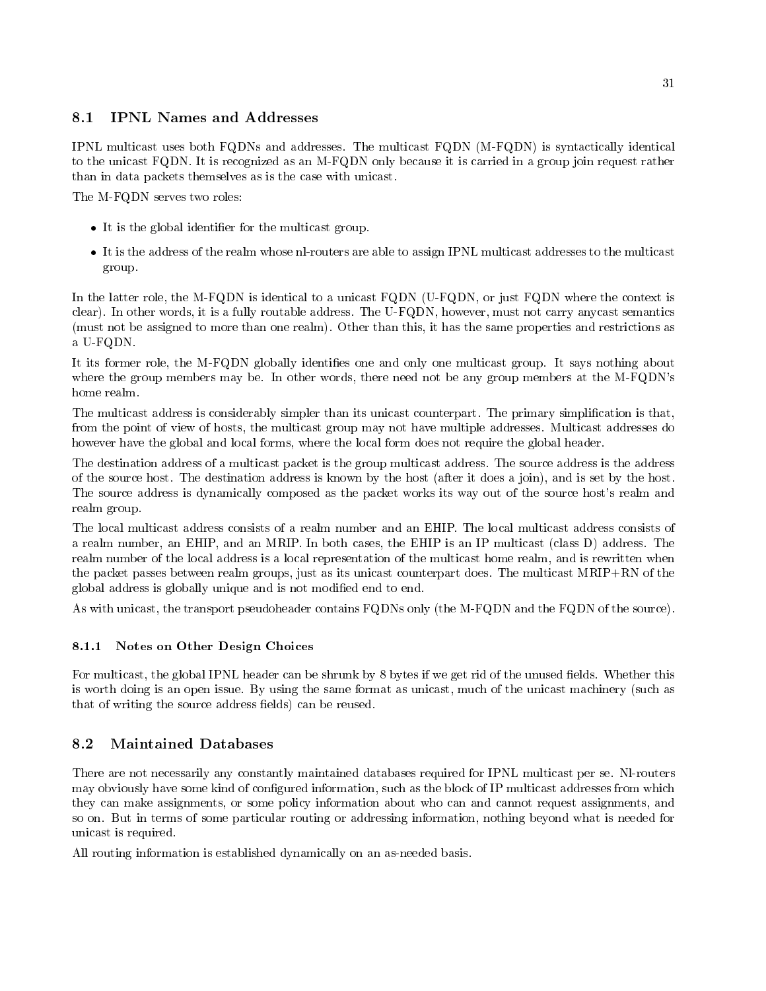### 8.1 **IPNL Names and Addresses**

IPNL multicast uses both FQDNs and addresses The multicast FQDN MFQDN is syntactically identical to the unicast FQDN It is recognized as an MFQDN only because it is carried in a group join request rather than in data packets themselves as is the case with unicast

The M-FQDN serves two roles:

- er for the global interesting and the multicast group.
- It is the address of the realm whose nlrouters are able to assign IPNL multicast addresses to the multicast group

In the latter role, the M-FQDN is identical to a unicast FQDN (U-FQDN, or just FQDN where the context is clear). In other words, it is a fully routable address. The U-FQDN, however, must not carry anycast semantics (must not be assigned to more than one realm). Other than this, it has the same properties and restrictions as a U-FQDN.

It its former role, the M-FQDN globally identifies one and only one multicast group. It says nothing about where the group members may be. In other words, there need not be any group members at the M-FQDN's home realm

The multicast address is considerably simpler than its unicast counterpart. The primary simplification is that, from the point of view of hosts, the multicast group may not have multiple addresses. Multicast addresses do however have the global and local forms, where the local form does not require the global header.

The destination address of a multicast packet is the group multicast address The source address is the address of the source host. The destination address is known by the host (after it does a join), and is set by the host. The source address is dynamically composed as the packet works its way out of the source host's realm and realm group

The local multicast address consists of a realm number and an EHIP The local multicast address consists of a realm number, an EHIP, and an MRIP. In both cases, the EHIP is an IP multicast (class D) address. The realm number of the local address is a local representation of the multicast home realm and is rewritten when the packet passes between realm groups, just as its unicast counterpart does. The multicast  $MRIP + RN$  of the global address is globally unique and is not modified end to end.

As with unicast, the transport pseudoheader contains FQDNs only (the M-FQDN and the FQDN of the source).

### 8.1.1 Notes on Other Design Choices

For multicast, the global IPNL header can be shrunk by 8 bytes if we get rid of the unused fields. Whether this is worth doing is an open issue. By using the same format as unicast, much of the unicast machinery (such as that of writing the source address fields) can be reused.

### Maintained Databases 8.2

There are not necessarily any constantly maintained databases required for IPNL multicast per se Nlrouters may obviously have some kind of configured information, such as the block of IP multicast addresses from which they can make assignments, or some policy information about who can and cannot request assignments, and so on. But in terms of some particular routing or addressing information, nothing beyond what is needed for unicast is required

All routing information is established dynamically on an as-needed basis.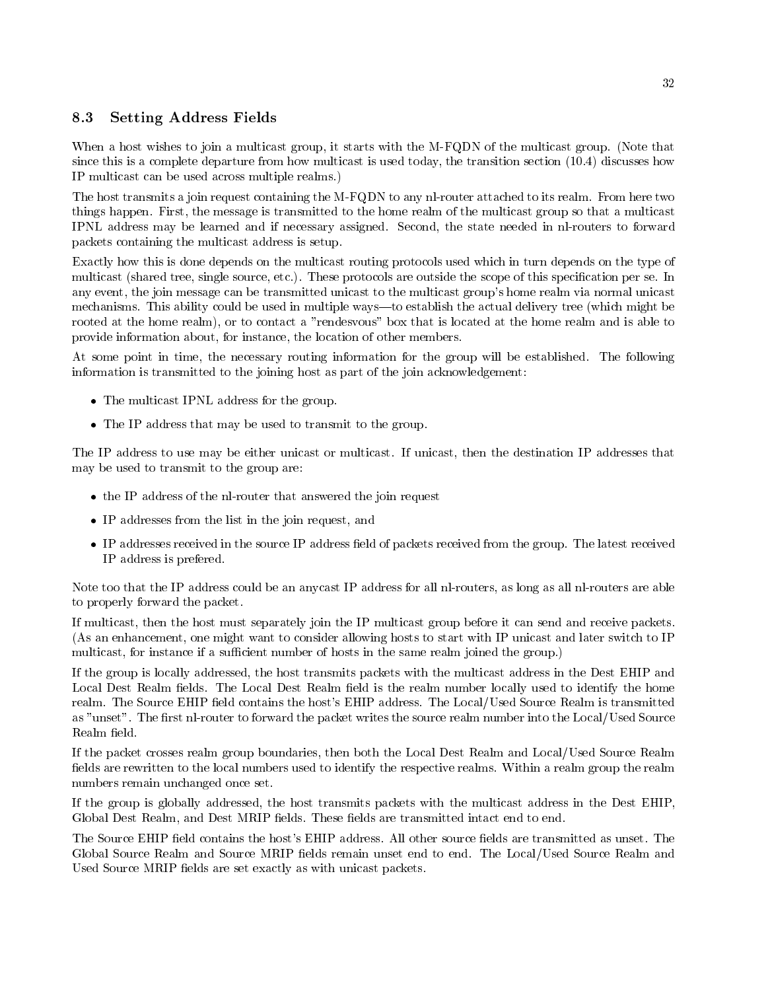### 8.3 Setting Address Fields

When a host wishes to join a multicast group, it starts with the M-FQDN of the multicast group. (Note that since this is a complete departure from how multicast is used today the transition section - discusses how IP multicast can be used across multiple realms

The host transmits a join request containing the M-FQDN to any nl-router attached to its realm. From here two things happen. First, the message is transmitted to the home realm of the multicast group so that a multicast IPNL address may be learned and if necessary assigned. Second, the state needed in nl-routers to forward packets containing the multicast address is setup

Exactly how this is done depends on the multicast routing protocols used which in turn depends on the type of multicast (shared tree, single source, etc.). These protocols are outside the scope of this specification per se. In any event, the join message can be transmitted unicast to the multicast group's home realm via normal unicast mechanisms. This ability could be used in multiple ways—to establish the actual delivery tree (which might be rooted at the home realm), or to contact a "rendesvous" box that is located at the home realm and is able to provide information about, for instance, the location of other members.

At some point in time, the necessary routing information for the group will be established. The following information is transmitted to the joining host as part of the join acknowledgement

- The multicast IPNL and the state of the group of the group of the group of the group of the group of the group of the group of the group of the group of the group of the group of the group of the group of the group of the
- The IP address that may be used to transmitted to transmitted to the group of  $\mathbf{H}$  and  $\mathbf{H}$  and  $\mathbf{H}$

The IP address to use may be either unicast or multicast. If unicast, then the destination IP addresses that may be used to transmit to the group are

- the IP address of the IP address that an intervention request  $\mathcal{L}_{\mathcal{A}}$
- IP addresses from the list in the join request and
- IP addresses received in the source IP address 
eld of packets received from the group The latest received IP address is prefered

Note too that the IP address could be an anycast IP address for all nl-routers, as long as all nl-routers are able to properly forward the packet

If multicast then the host must separately join the IP multicast group before it can send and receive packets (As an enhancement, one might want to consider allowing hosts to start with IP unicast and later switch to IP multicast, for instance if a sufficient number of hosts in the same realm joined the group.)

If the group is locally addressed, the host transmits packets with the multicast address in the Dest EHIP and Local Dest Realm fields. The Local Dest Realm field is the realm number locally used to identify the home realm. The Source EHIP field contains the host's EHIP address. The Local/Used Source Realm is transmitted as "unset". The first nl-router to forward the packet writes the source realm number into the Local/Used Source Realm field.

If the packet crosses realm group boundaries, then both the Local Dest Realm and Local/Used Source Realm fields are rewritten to the local numbers used to identify the respective realms. Within a realm group the realm numbers remain unchanged once set

If the group is globally addressed, the host transmits packets with the multicast address in the Dest EHIP, Global Dest Realm, and Dest MRIP fields. These fields are transmitted intact end to end.

The Source EHIP field contains the host's EHIP address. All other source fields are transmitted as unset. The Global Source Realm and Source MRIP fields remain unset end to end. The Local/Used Source Realm and Used Source MRIP fields are set exactly as with unicast packets.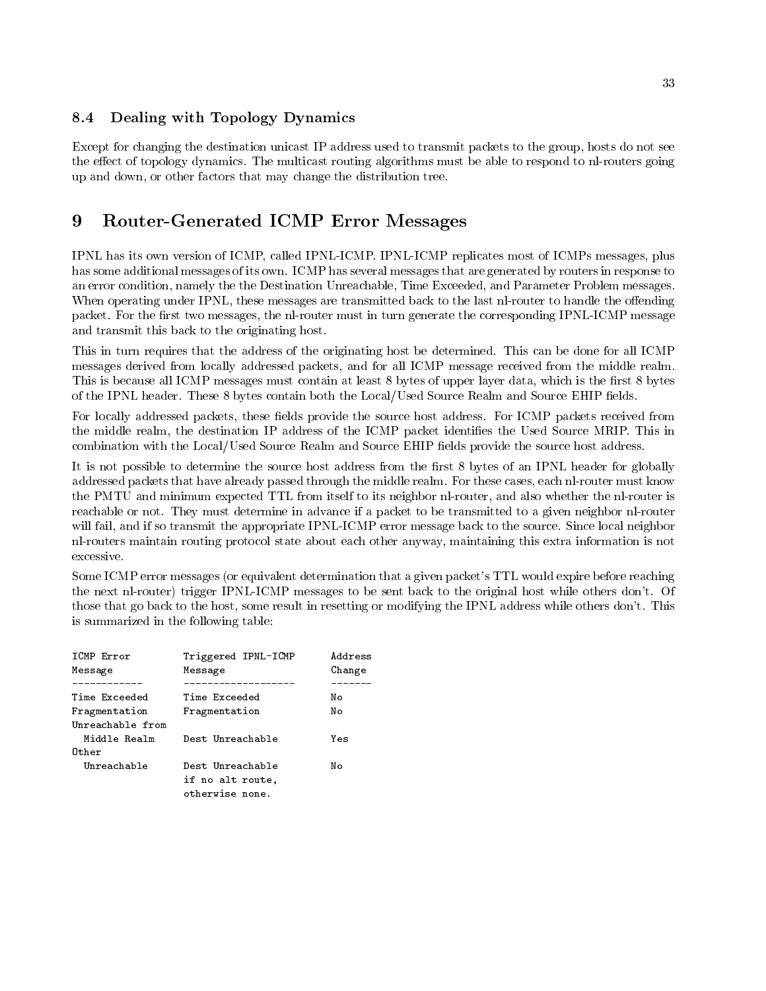### 8.4 Dealing with Topology Dynamics

Except for changing the destination unicast IP address used to transmit packets to the group, hosts do not see the effect of topology dynamics. The multicast routing algorithms must be able to respond to nl-routers going up and down, or other factors that may change the distribution tree.

### 9 Router-Generated ICMP Error Messages

IPNL has its own version of ICMP, called IPNL-ICMP. IPNL-ICMP replicates most of ICMPs messages, plus has some additional messages of its own. ICMP has several messages that are generated by routers in response to an error condition, namely the the Destination Unreachable, Time Exceeded, and Parameter Problem messages. When operating under IPNL, these messages are transmitted back to the last nl-router to handle the offending packet. For the first two messages, the nl-router must in turn generate the corresponding IPNL-ICMP message and transmit this back to the originating host

This in turn requires that the address of the originating host be determined. This can be done for all ICMP messages derived from locally addressed packets, and for all ICMP message received from the middle realm. This is because all ICMP messages must contain at least 8 bytes of upper layer data, which is the first 8 bytes of the IPNL header. These 8 bytes contain both the Local/Used Source Realm and Source EHIP fields.

For locally addressed packets, these fields provide the source host address. For ICMP packets received from the middle realm, the destination IP address of the ICMP packet identifies the Used Source MRIP. This in combination with the Local/Used Source Realm and Source EHIP fields provide the source host address.

It is not possible to determine the source host address from the first 8 bytes of an IPNL header for globally addressed packets that have already passed through the middle realm. For these cases, each nl-router must know the PMTU and minimum expected TTL from itself to its neighbor nl-router, and also whether the nl-router is reachable or not. They must determine in advance if a packet to be transmitted to a given neighbor nl-router will fail, and if so transmit the appropriate IPNL-ICMP error message back to the source. Since local neighbor nlrouters maintain routing protocol state about each other anyway maintaining this extra information is not excessive

Some ICMP error messages (or equivalent determination that a given packet's TTL would expire before reaching the next nl-router) trigger IPNL-ICMP messages to be sent back to the original host while others don't. Of those that go back to the host, some result in resetting or modifying the IPNL address while others don't. This is summarized in the following table

| ICMP Error<br>Message             | Triggered IPNL-ICMP<br>Message                          | Address<br>Change |
|-----------------------------------|---------------------------------------------------------|-------------------|
| Time Exceeded                     | Time Exceeded                                           | Nο                |
| Fragmentation<br>Unreachable from | Fragmentation                                           | No                |
| Middle Realm                      | Dest Unreachable                                        | Yes               |
| Other                             |                                                         |                   |
| Unreachable                       | Dest Unreachable<br>if no alt route,<br>otherwise none. | Nο                |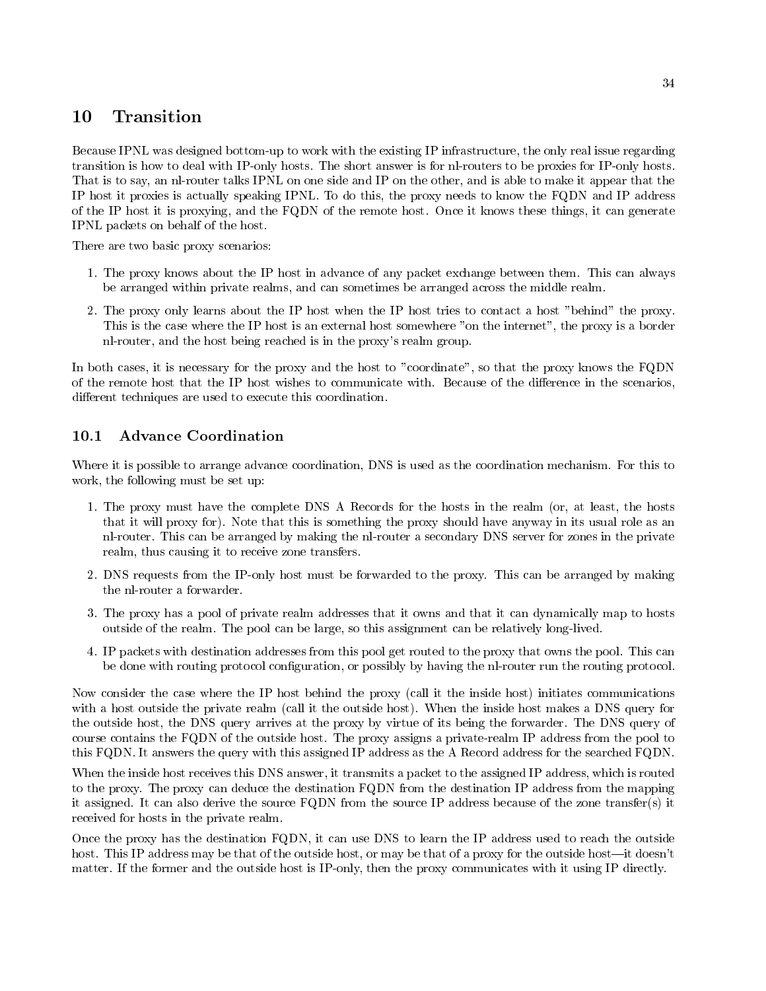### 10 Transition

Because IPNL was designed bottom-up to work with the existing IP infrastructure, the only real issue regarding transition is how to deal with IP-only hosts. The short answer is for nl-routers to be proxies for IP-only hosts. That is to say, an nl-router talks IPNL on one side and IP on the other, and is able to make it appear that the IP host it proxies is actually speaking IPNL To do this the proxy needs to know the FQDN and IP address of the IP host it is proxying and the FQDN of the remote host Once it knows these things it can generate IPNL packets on behalf of the host

There are two basic proxy scenarios

- The proxy knows about the IP host in advance of any packet exchange between them This can always be arranged within private realms, and can sometimes be arranged across the middle realm.
- 2. The proxy only learns about the IP host when the IP host tries to contact a host "behind" the proxy. This is the case where the IP host is an external host somewhere "on the internet", the proxy is a border nl-router, and the host being reached is in the proxy's realm group.

In both cases, it is necessary for the proxy and the host to "coordinate", so that the proxy knows the FQDN of the remote host that the IP host wishes to communicate with. Because of the difference in the scenarios, different techniques are used to execute this coordination.

#### 10.1 **Advance Coordination**

Where it is possible to arrange advance coordination, DNS is used as the coordination mechanism. For this to work, the following must be set up:

- The proxy must have the complete DNS A Records for the hosts in the realm or atleast the hosts that it will proxy for). Note that this is something the proxy should have anyway in its usual role as an nl-router. This can be arranged by making the nl-router a secondary DNS server for zones in the private realm, thus causing it to receive zone transfers.
- 2. DNS requests from the IP-only host must be forwarded to the proxy. This can be arranged by making the nl-router a forwarder.
- 3. The proxy has a pool of private realm addresses that it owns and that it can dynamically map to hosts outside of the realm. The pool can be large, so this assignment can be relatively long-lived.
- IP packets with destination addresses from this pool get routed to the proxy that owns the pool This can be done with routing protocol configuration, or possibly by having the nl-router run the routing protocol.

Now consider the case where the IP host behind the proxy (call it the inside host) initiates communications with a host outside the private realm (call it the outside host). When the inside host makes a DNS query for the outside host, the DNS query arrives at the proxy by virtue of its being the forwarder. The DNS query of course contains the FQDN of the outside host The proxy assigns a privaterealm IP address from the pool to this FQDN. It answers the query with this assigned IP address as the A Record address for the searched FQDN.

When the inside host receives this DNS answer, it transmits a packet to the assigned IP address, which is routed to the proxy The proxy can deduce the destination FQDN from the destination IP address from the mapping it assigned. It can also derive the source  $FQDN$  from the source IP address because of the zone transfer(s) it received for hosts in the private realm

Once the proxy has the destination FQDN, it can use DNS to learn the IP address used to reach the outside host. This IP address may be that of the outside host, or may be that of a proxy for the outside host—it doesn't matter. If the former and the outside host is IP-only, then the proxy communicates with it using IP directly.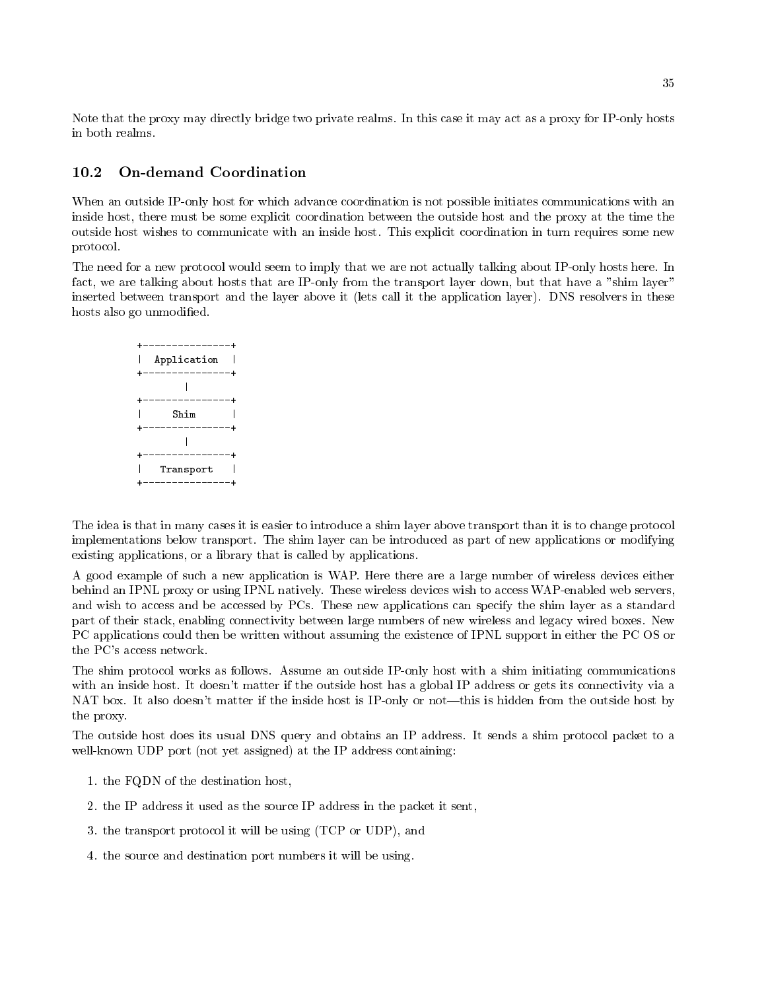Note that the proxy may directly bridge two private realms. In this case it may act as a proxy for IP-only hosts in both realms.

#### 10.2 **On-demand Coordination**

When an outside IP-only host for which advance coordination is not possible initiates communications with an inside host there must be some explicit coordination between the outside host and the proxy at the time the outside host wishes to communicate with an inside host This explicit coordination in turn requires some new protocol

The need for a new protocol would seem to imply that we are not actually talking about IP-only hosts here. In fact, we are talking about hosts that are IP-only from the transport layer down, but that have a "shim layer" inserted between transport and the layer above it (lets call it the application layer). DNS resolvers in these hosts also go unmodified.

| $- - - -$     |            |
|---------------|------------|
| Application   |            |
|               | ---------+ |
|               |            |
|               |            |
| Shim          |            |
| ----------    |            |
|               |            |
| $\frac{1}{2}$ |            |
| Transport     |            |
|               |            |

The idea is that in many cases it is easier to introduce a shim layer above transport than it is to change protocol implementations below transport. The shim layer can be introduced as part of new applications or modifying existing applications, or a library that is called by applications.

A good example of such <sup>a</sup> new application is WAP Here there are <sup>a</sup> large number of wireless devices either behind an IPNL proxy or using IPNL natively. These wireless devices wish to access WAP-enabled web servers, and wish to access and be accessed by PCs. These new applications can specify the shim layer as a standard part of their stack enabling connectivity between large numbers of new wireless and legacy wired boxes New PC applications could then be written without assuming the existence of IPNL support in either the PC OS or the PC's access network.

The shim protocol works as follows. Assume an outside IP-only host with a shim initiating communications with an inside host. It doesn't matter if the outside host has a global IP address or gets its connectivity via a NAT box. It also doesn't matter if the inside host is IP-only or not—this is hidden from the outside host by the proxy

The outside host does its usual DNS query and obtains an IP address. It sends a shim protocol packet to a well-known UDP port (not yet assigned) at the IP address containing:

- -the FQD of the destination host destination host destination host destination of the destination of the destination of the destination of the destination of the destination of the destination of the destination of the des
- 2. the IP address it used as the source IP address in the packet it sent,
- 3. the transport protocol it will be using  $(TCP \text{ or } UDP)$ , and
- 4. the source and destination port numbers it will be using.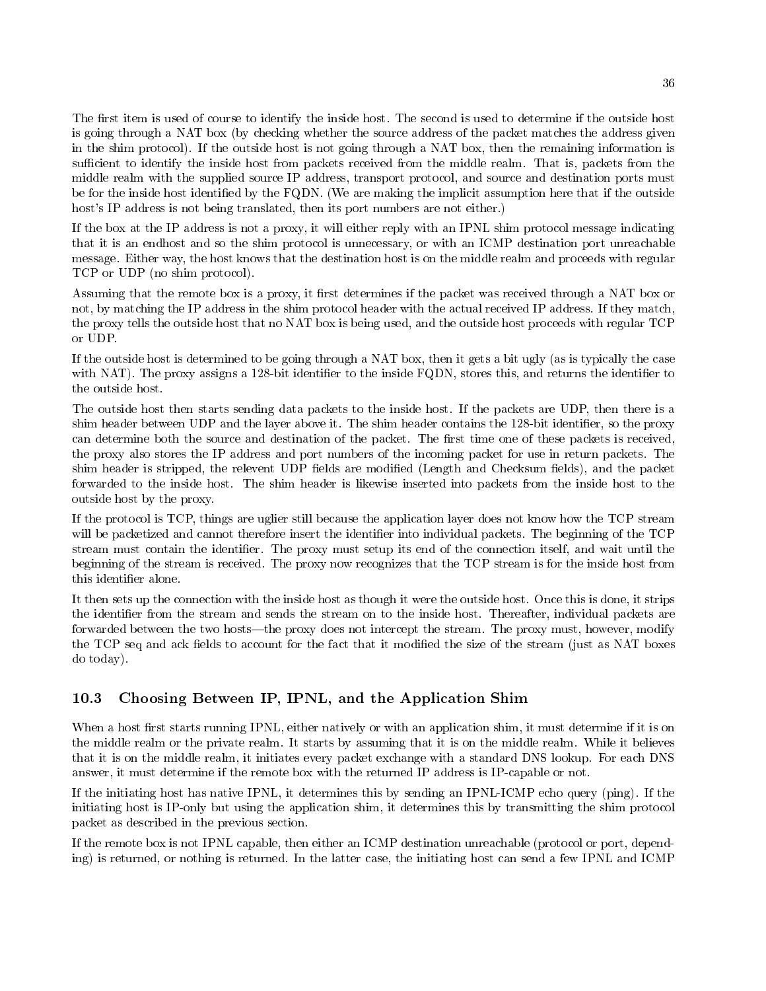The first item is used of course to identify the inside host. The second is used to determine if the outside host is going through a NAT box (by checking whether the source address of the packet matches the address given in the shim protocol). If the outside host is not going through a NAT box, then the remaining information is sufficient to identify the inside host from packets received from the middle realm. That is, packets from the middle realm with the supplied source IP address, transport protocol, and source and destination ports must be for the inside host identified by the FQDN. (We are making the implicit assumption here that if the outside host's IP address is not being translated, then its port numbers are not either.)

If the box at the IP address is not a proxy it will either reply with an IPNL shim protocol message indicating that it is an endhost and so the shim protocol is unnecessary or with an ICMP destination port unreachable message Either way the host knows that the destination host is on the middle realm and proceeds with regular TCP or UDP (no shim protocol).

Assuming that the remote box is a proxy, it first determines if the packet was received through a NAT box or not, by matching the IP address in the shim protocol header with the actual received IP address. If they match, the proxy tells the outside host that no NAT box is being used and the outside host proceeds with regular TCP or UDP

If the outside host is determined to be going through a NAT box, then it gets a bit ugly (as is typically the case with NAT The proxy assigns a - to the inside FQDN stores the inside FQDN stores that is and returns the identity of the identity of the identity of the identity of the identity of the identity of the identity of the identi the outside host.

The outside host then starts sending data packets to the inside host. If the packets are UDP, then there is a shim header between UDP and the layer above it The shim header contains the -bit identi
er so the proxy can determine both the source and destination of the packet. The first time one of these packets is received, the proxy also stores the IP address and port numbers of the incoming packet for use in return packets. The shim header is stripped, the relevent UDP fields are modified (Length and Checksum fields), and the packet forwarded to the inside host The shim header is likewise inserted into packets from the inside host to the outside host by the proxy

If the protocol is TCP, things are uglier still because the application layer does not know how the TCP stream will be packetized and cannot therefore insert the identifier into individual packets. The beginning of the TCP stream must contain the identifier. The proxy must setup its end of the connection itself, and wait until the beginning of the stream is received The proxy now recognizes that the TCP stream is for the inside host from this identifier alone.

It then sets up the connection with the inside host as though it were the outside host. Once this is done, it strips the identifier from the stream and sends the stream on to the inside host. Thereafter, individual packets are forwarded between the two hosts—the proxy does not intercept the stream. The proxy must, however, modify the TCP seq and ack fields to account for the fact that it modified the size of the stream (just as NAT boxes do today

### $10.3$ Choosing Between IP IPNL and the Application Shim

When a host first starts running IPNL, either natively or with an application shim, it must determine if it is on the middle realm or the private realm It starts by assuming that it is on the middle realm While it believes that it is on the middle realm, it initiates every packet exchange with a standard DNS lookup. For each DNS answer, it must determine if the remote box with the returned IP address is IP-capable or not.

If the initiating host has native IPNL, it determines this by sending an IPNL-ICMP echo query (ping). If the initiating host is IP-only but using the application shim, it determines this by transmitting the shim protocol packet as described in the previous section

If the remote box is not IPNL capable, then either an ICMP destination unreachable (protocol or port, depending) is returned, or nothing is returned. In the latter case, the initiating host can send a few IPNL and ICMP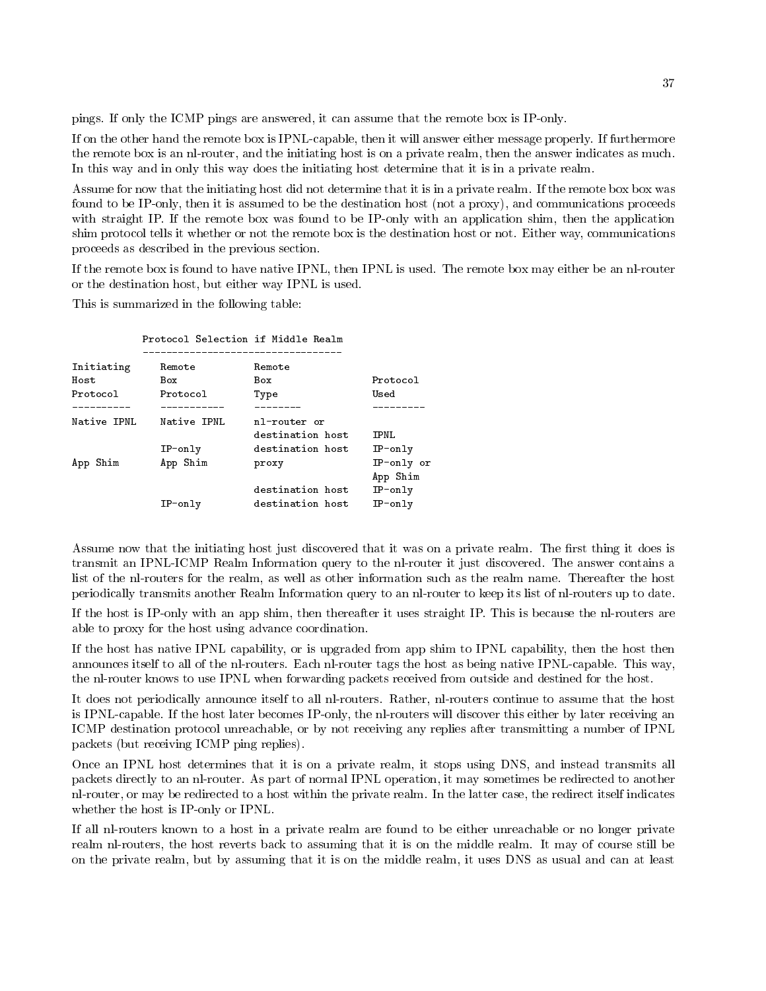pings. If only the ICMP pings are answered, it can assume that the remote box is IP-only.

If on the other hand the remote box is IPNL-capable, then it will answer either message properly. If furthermore the remote box is an nl-router, and the initiating host is on a private realm, then the answer indicates as much. In this way and in only this way does the initiating host determine that it is in a private realm.

Assume for now that the initiating host did not determine that it is in a private realm If the remote box box was found to be IP-only, then it is assumed to be the destination host (not a proxy), and communications proceeds with straight IP. If the remote box was found to be IP-only with an application shim, then the application shim protocol tells it whether or not the remote box is the destination host or not Either way communications proceeds as described in the previous section

If the remote box is found to have native IPNL, then IPNL is used. The remote box may either be an nl-router or the destination host, but either way IPNL is used.

This is summarized in the following table

|             | Protocol Selection if Middle Realm |                  |            |
|-------------|------------------------------------|------------------|------------|
| Initiating  | Remote                             | Remote           |            |
| Host        | Box                                | Box              | Protocol   |
| Protocol    | Protocol                           | Type             | Used       |
|             |                                    |                  |            |
| Native IPNL | Native IPNL                        | nl-router or     |            |
|             |                                    | destination host | IPNL       |
|             | $IP-only$                          | destination host | $IP-only$  |
| App Shim    | App Shim                           | proxy            | IP-only or |
|             |                                    |                  | App Shim   |
|             |                                    | destination host | $IP-only$  |
|             | $IP-only$                          | destination host | $IP-only$  |

Assume now that the initiating host just discovered that it was on a private realm. The first thing it does is transmit an IPNL-ICMP Realm Information query to the nl-router it just discovered. The answer contains a list of the nl-routers for the realm, as well as other information such as the realm name. Thereafter the host periodically transmits another Realm Information query to an nlrouter to keep its list of nlrouters up to date

If the host is IP-only with an app shim, then thereafter it uses straight IP. This is because the nl-routers are able to proxy for the host using advance coordination

If the host has native IPNL capability, or is upgraded from app shim to IPNL capability, then the host then announces itself to all of the nl-routers. Each nl-router tags the host as being native IPNL-capable. This way, the nl-router knows to use IPNL when forwarding packets received from outside and destined for the host.

It does not periodically announce itself to all nl-routers. Rather, nl-routers continue to assume that the host is IPNL-capable. If the host later becomes IP-only, the nl-routers will discover this either by later receiving an ICMP destination protocol unreachable or by not receiving any replies after transmitting a number of IPNL packets (but receiving ICMP ping replies).

Once an IPNL host determines that it is on a private realm, it stops using DNS, and instead transmits all packets directly to an nlrouter As part of normal IPNL operation it may sometimes be redirected to another nl-router, or may be redirected to a host within the private realm. In the latter case, the redirect itself indicates whether the host is IP-only or IPNL.

If all nlrouters known to a host in a private realm are found to be either unreachable or no longer private realm nl-routers, the host reverts back to assuming that it is on the middle realm. It may of course still be on the private realm but by assuming that it is on the middle realm it uses DNS as usual and can at least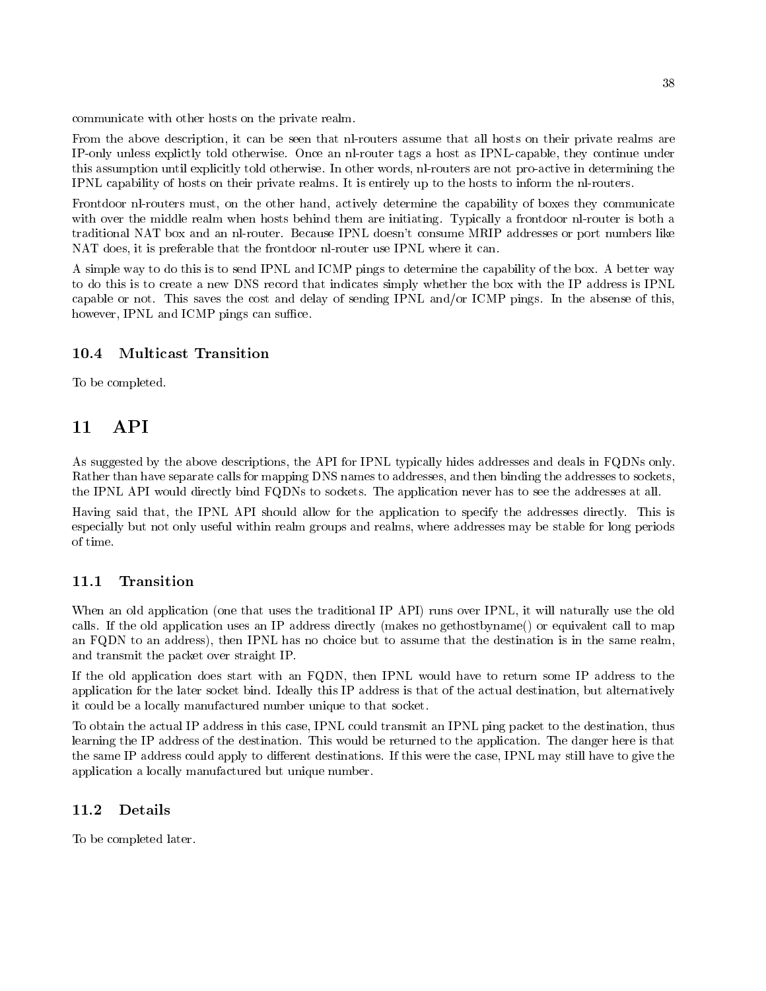communicate with other hosts on the private realm

From the above description, it can be seen that nl-routers assume that all hosts on their private realms are IP-only unless explictly told otherwise. Once an nl-router tags a host as IPNL-capable, they continue under this assumption until explicitly told otherwise. In other words, nl-routers are not pro-active in determining the IPNL capability of hosts on their private realms It is entirely up to the hosts to inform the nlrouters

Frontdoor nl-routers must, on the other hand, actively determine the capability of boxes they communicate with over the middle realm when hosts behind them are initiating. Typically a frontdoor nl-router is both a traditional NAT box and an nl-router. Because IPNL doesn't consume MRIP addresses or port numbers like NAT does, it is preferable that the frontdoor nl-router use IPNL where it can.

A simple way to do this is to send IPNL and ICMP pings to determine the capability of the box A better way to do this is to create a new DNS record that indicates simply whether the box with the IP address is IPNL capable or not. This saves the cost and delay of sending IPNL and/or ICMP pings. In the absense of this, however, IPNL and ICMP pings can suffice.

#### 10.4 Multicast Transition

To be completed

As suggested by the above descriptions, the API for IPNL typically hides addresses and deals in FQDNs only. Rather than have separate calls for mapping DNS names to addresses, and then binding the addresses to sockets, the IPNL API would directly bind FQDNs to sockets The application never has to see the addresses at all

Having said that, the IPNL API should allow for the application to specify the addresses directly. This is especially but not only useful within realm groups and realms where addresses may be stable for long periods

### Transition

When an old application (one that uses the traditional IP API) runs over IPNL, it will naturally use the old calls. If the old application uses an IP address directly (makes no gethostbyname() or equivalent call to map an FQDN to an address), then IPNL has no choice but to assume that the destination is in the same realm, and transmit the packet over straight IP

If the old application does start with an FQDN, then IPNL would have to return some IP address to the application for the later socket bind. Ideally this IP address is that of the actual destination, but alternatively it could be a locally manufactured number unique to that socket

To obtain the actual IP address in this case, IPNL could transmit an IPNL ping packet to the destination, thus learning the IP address of the destination. This would be returned to the application. The danger here is that the same IP address could apply to different destinations. If this were the case, IPNL may still have to give the application a locally manufactured but unique number

### Details

To be completed later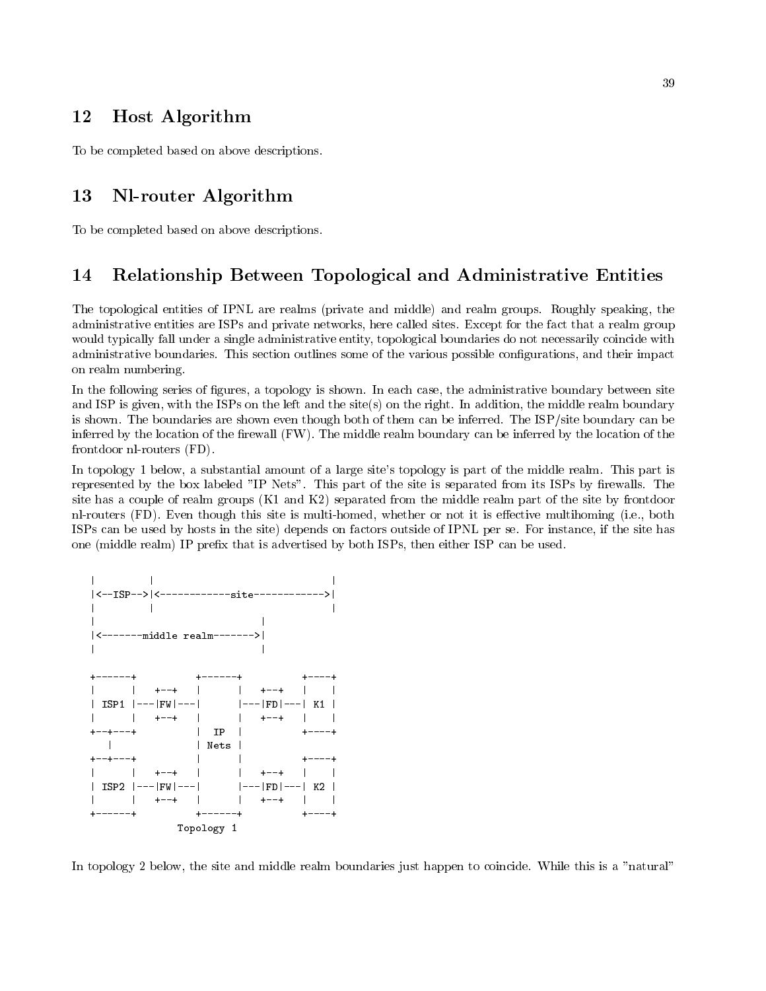### 12 Host Algorithm

To be completed based on above descriptions

### 13 Nl-router Algorithm

To be completed based on above descriptions

### Relationship Between Topological and Administrative Entities

The topological entities of IPNL are realms (private and middle) and realm groups. Roughly speaking, the administrative entities are ISPs and private networks here called sites Except for the fact that a realm group would typically fall under a single administrative entity topological boundaries do not necessarily coincide with administrative boundaries This section outlines some of the various possible con
gurations and their impact on realm numbering

In the following series of figures, a topology is shown. In each case, the administrative boundary between site and ISP is given, with the ISPs on the left and the site(s) on the right. In addition, the middle realm boundary is shown. The boundaries are shown even though both of them can be inferred. The  $ISP/\text{site boundary}$  can be inferred by the location of the firewall  $(FW)$ . The middle realm boundary can be inferred by the location of the frontdoor  $n$ -routers  $(FD)$ .

In topology - below a substantial amount of a large sites topology is part of the middle realm This part is represented by the box labeled "IP Nets". This part of the site is separated from its ISPs by firewalls. The site has a couple of realment groups (--- and ---) siparated from the middle realm part of the site by frontdoor nl-routers (FD). Even though this site is multi-homed, whether or not it is effective multihoming (i.e., both ISPs can be used by hosts in the site) depends on factors outside of IPNL per se. For instance, if the site has one (middle realm) IP prefix that is advertised by both ISPs, then either ISP can be used.



In topology 2 below, the site and middle realm boundaries just happen to coincide. While this is a "natural"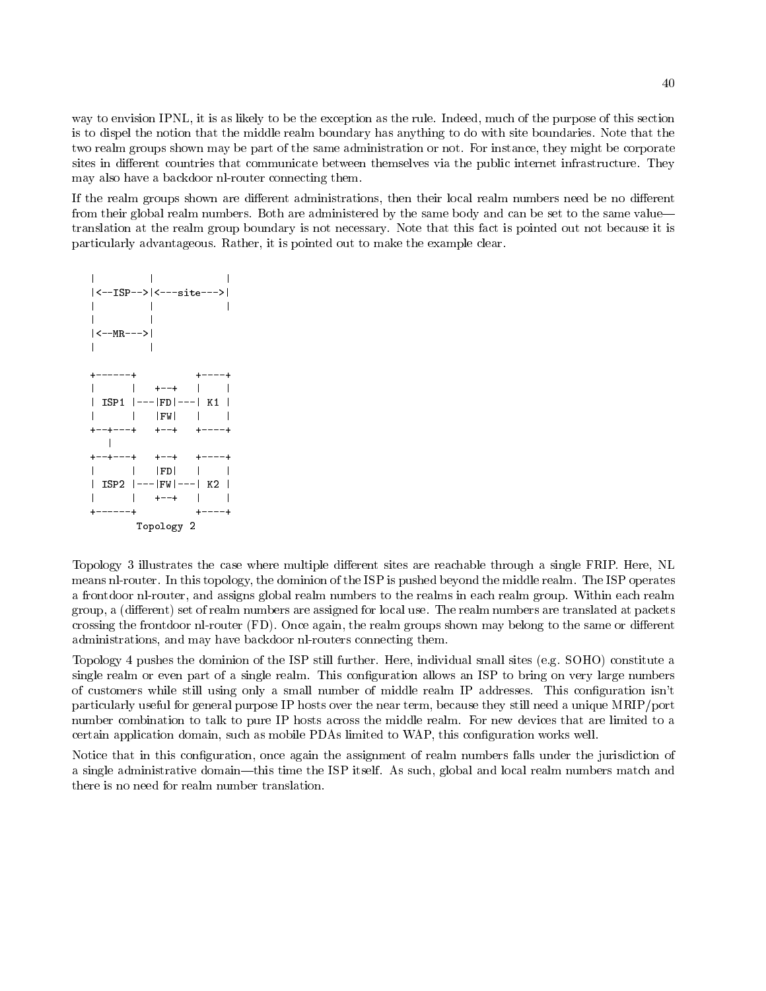way to envision IPNL, it is as likely to be the exception as the rule. Indeed, much of the purpose of this section is to dispel the notion that the middle realm boundary has anything to do with site boundaries Note that the two realm groups shown may be part of the same administration or not. For instance, they might be corporate sites in different countries that communicate between themselves via the public internet infrastructure. They may also have a backdoor nl-router connecting them.

If the realm groups shown are different administrations, then their local realm numbers need be no different from their global realm numbers. Both are administered by the same body and can be set to the same value translation at the realm group boundary is not necessary Note that this fact is pointed out not because it is particularly advantageous. Rather, it is pointed out to make the example clear.



Topology 3 illustrates the case where multiple different sites are reachable through a single FRIP. Here, NL means nl-router. In this topology, the dominion of the ISP is pushed beyond the middle realm. The ISP operates a frontdoor nl-router, and assigns global realm numbers to the realms in each realm group. Within each realm group, a (different) set of realm numbers are assigned for local use. The realm numbers are translated at packets crossing the frontdoor nl-router (FD). Once again, the realm groups shown may belong to the same or different administrations, and may have backdoor nl-routers connecting them.

Topology 4 pushes the dominion of the ISP still further. Here, individual small sites (e.g. SOHO) constitute a single realm or even part of a single realm. This configuration allows an ISP to bring on very large numbers of customers while still using only a small number of middle realm IP addresses. This configuration isn't particularly useful for general purpose IP hosts over the near term, because they still need a unique MRIP/port number combination to talk to pure IP hosts across the middle realm. For new devices that are limited to a certain application domain, such as mobile PDAs limited to WAP, this configuration works well.

Notice that in this configuration, once again the assignment of realm numbers falls under the jurisdiction of a single administrative domain—this time the ISP itself. As such, global and local realm numbers match and there is no need for realm number translation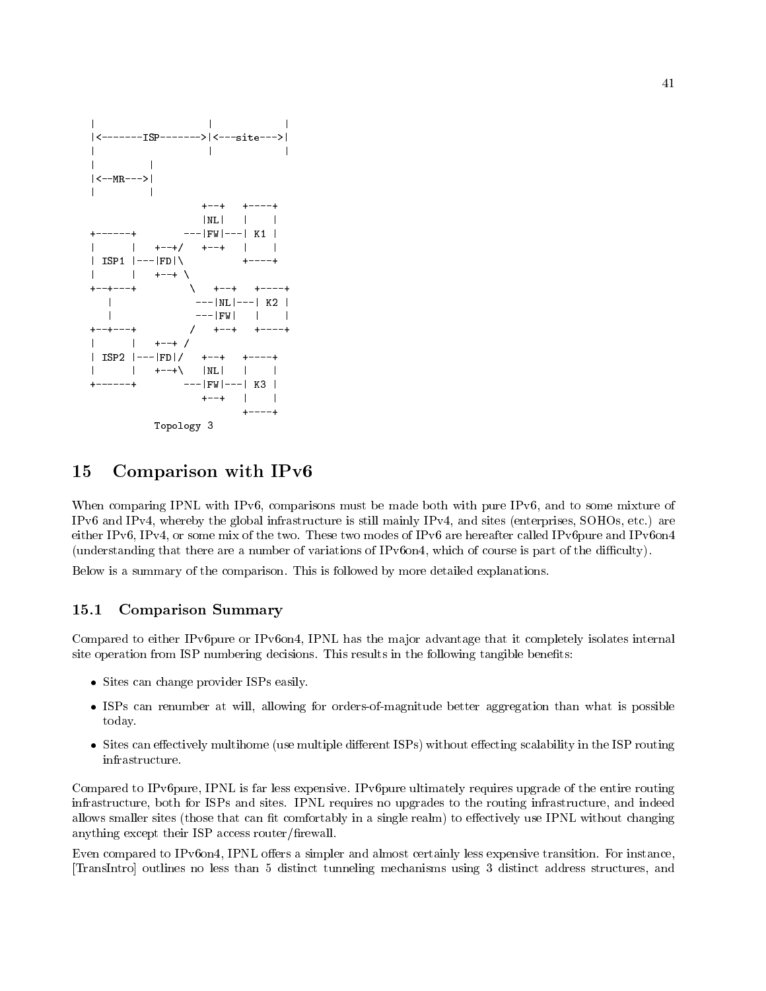

### 15 Comparison with IPv

When comparing IPNL with IPv6, comparisons must be made both with pure IPv6, and to some mixture of IPv6 and IPv4, whereby the global infrastructure is still mainly IPv4, and sites (enterprises, SOHOs, etc.) are either IPv6, IPv4, or some mix of the two. These two modes of IPv6 are hereafter called IPv6pure and IPv6on4 (understanding that there are a number of variations of IPv6on4, which of course is part of the difficulty).

Below is a summary of the comparison. This is followed by more detailed explanations.

### Comparison Summary

Compared to either IPv6pure or IPv6on4, IPNL has the major advantage that it completely isolates internal site operation from ISP numbering decisions. This results in the following tangible benefits:

- Sites can change provider it is a change
- ISPs can renumber at will allowing for ordersofmagnitude better aggregation than what is possible today
- Sites can eectively multihome use multiple dierent ISPs without eecting scalability in the ISP routing infrastructure.

Compared to IPv6pure, IPNL is far less expensive. IPv6pure ultimately requires upgrade of the entire routing infrastructure, both for ISPs and sites. IPNL requires no upgrades to the routing infrastructure, and indeed allows smaller sites (those that can fit comfortably in a single realm) to effectively use IPNL without changing anything except their  $ISP$  access router/firewall.

Even compared to IPv6on4, IPNL offers a simpler and almost certainly less expensive transition. For instance, TransIntro outlines no less than 5 distinct tunneling mechanisms using 3 distinct address structures, and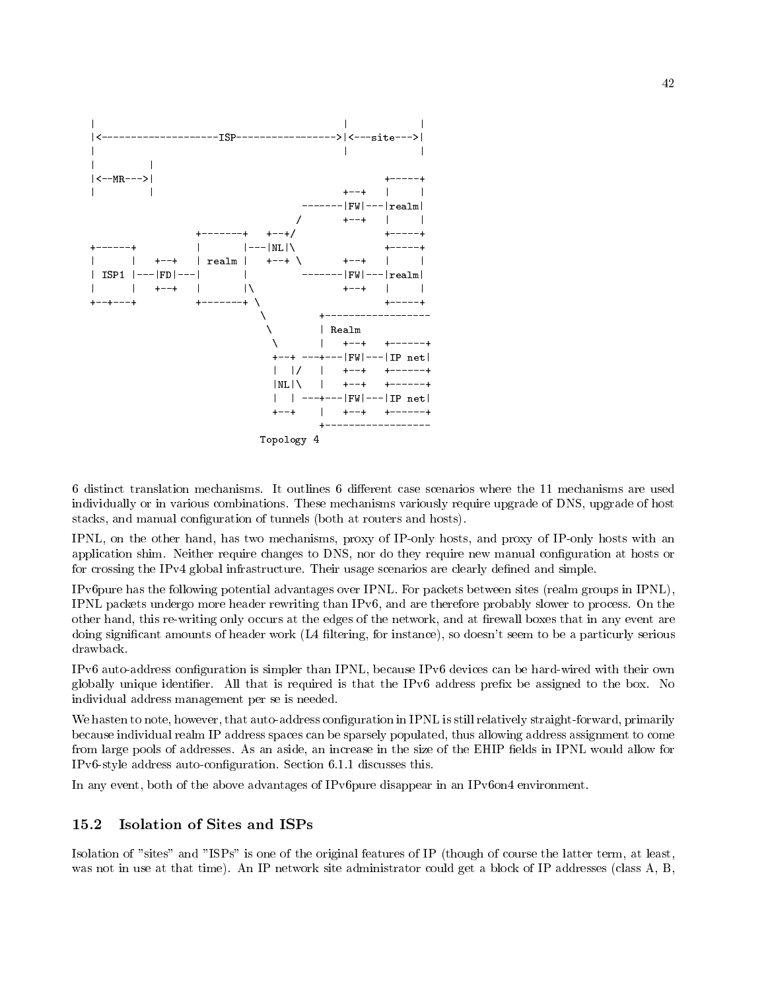

individually or in various combinations. These mechanisms variously require upgrade of DNS, upgrade of host stacks, and manual configuration of tunnels (both at routers and hosts).

IPNL, on the other hand, has two mechanisms, proxy of IP-only hosts, and proxy of IP-only hosts with an application shim. Neither require changes to DNS, nor do they require new manual configuration at hosts or for crossing the IPv4 global infrastructure. Their usage scenarios are clearly defined and simple.

IPv6pure has the following potential advantages over IPNL. For packets between sites (realm groups in IPNL), IPNL packets undergo more header rewriting than IPv6, and are therefore probably slower to process. On the other hand, this re-writing only occurs at the edges of the network, and at firewall boxes that in any event are doing significant amounts of header work (L4 filtering, for instance), so doesn't seem to be a particurly serious drawback

IPv6 auto-address configuration is simpler than IPNL, because IPv6 devices can be hard-wired with their own globally unique identifier. All that is required is that the IPv6 address prefix be assigned to the box. No individual address management per se is needed

We hasten to note, however, that auto-address configuration in IPNL is still relatively straight-forward, primarily because individual realm IP address spaces can be sparsely populated, thus allowing address assignment to come from large pools of addresses. As an aside, an increase in the size of the EHIP fields in IPNL would allow for IPvstyle address autocon
guration Section -- discusses this

In any event, both of the above advantages of IPv6pure disappear in an IPv6on4 environment.

#### 15.2 Isolation of Sites and ISPs

Isolation of "sites" and "ISPs" is one of the original features of IP (though of course the latter term, at least, was not in use at that time). An IP network site administrator could get a block of IP addresses (class  $A, B$ ,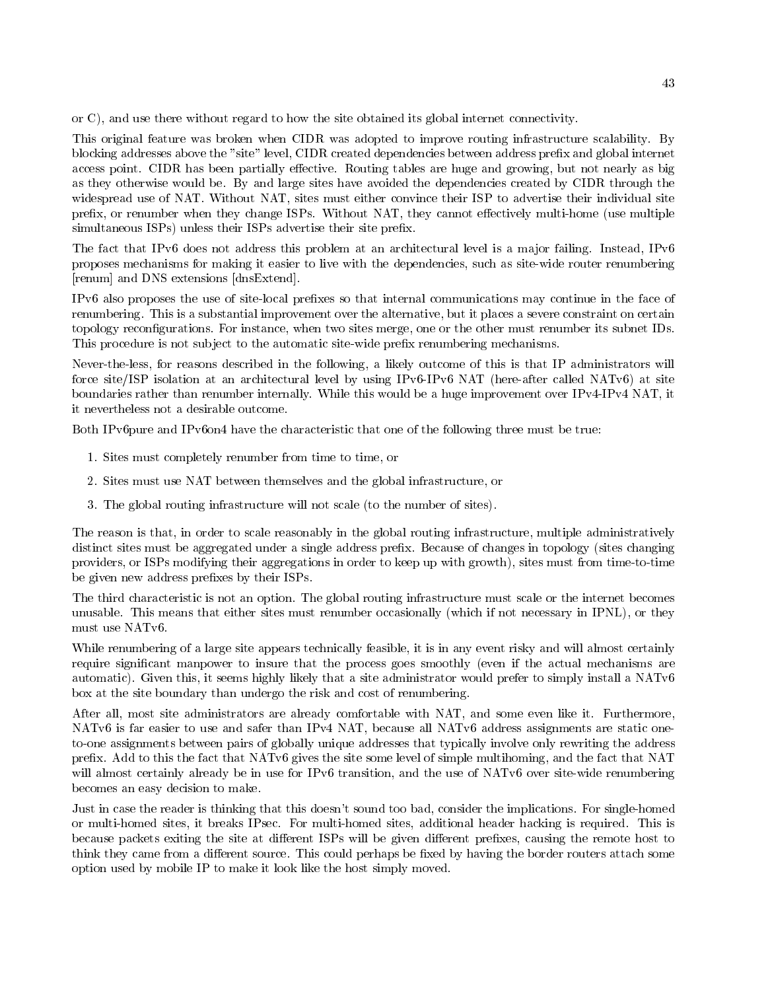or  $C$ ), and use there without regard to how the site obtained its global internet connectivity.

This original feature was broken when CIDR was adopted to improve routing infrastructure scalability. By blocking addresses above the "site" level, CIDR created dependencies between address prefix and global internet access point. CIDR has been partially effective. Routing tables are huge and growing, but not nearly as big as they otherwise would be. By and large sites have avoided the dependencies created by CIDR through the widespread use of NAT. Without NAT, sites must either convince their ISP to advertise their individual site prefix, or renumber when they change ISPs. Without NAT, they cannot effectively multi-home (use multiple simultaneous ISPs) unless their ISPs advertise their site prefix.

The fact that IPv6 does not address this problem at an architectural level is a major failing. Instead, IPv6 proposes mechanisms for making it easier to live with the dependencies such as sitewide router renumbering [renum] and DNS extensions [dnsExtend].

IPv6 also proposes the use of site-local prefixes so that internal communications may continue in the face of renumbering. This is a substantial improvement over the alternative, but it places a severe constraint on certain topology reconfigurations. For instance, when two sites merge, one or the other must renumber its subnet IDs. This procedure is not subject to the automatic site-wide prefix renumbering mechanisms.

Nevertheless for reasons described in the following a likely outcome of this is that IP administrators will force site/ISP isolation at an architectural level by using IPv6-IPv6 NAT (here-after called NATv6) at site boundaries rather than renumber internally. While this would be a huge improvement over IPv4-IPv4 NAT, it it nevertheless not a desirable outcome

Both IPv6pure and IPv6on4 have the characteristic that one of the following three must be true:

- Sites must completely renumber from time to time or
- 2. Sites must use NAT between themselves and the global infrastructure, or
- 3. The global routing infrastructure will not scale (to the number of sites).

The reason is that, in order to scale reasonably in the global routing infrastructure, multiple administratively distinct sites must be aggregated under a single address prefix. Because of changes in topology (sites changing providers, or ISPs modifying their aggregations in order to keep up with growth), sites must from time-to-time be given new address prefixes by their ISPs.

The third characteristic is not an option. The global routing infrastructure must scale or the internet becomes unusable. This means that either sites must renumber occasionally (which if not necessary in IPNL), or they must use NAT<sub>v6</sub>.

While renumbering of a large site appears technically feasible, it is in any event risky and will almost certainly require significant manpower to insure that the process goes smoothly (even if the actual mechanisms are automatic). Given this, it seems highly likely that a site administrator would prefer to simply install a  $NATv6$ box at the site boundary than undergo the risk and cost of renumbering

After all, most site administrators are already comfortable with NAT, and some even like it. Furthermore, NATv6 is far easier to use and safer than IPv4 NAT, because all NATv6 address assignments are static oneto-one assignments between pairs of globally unique addresses that typically involve only rewriting the address prefix. Add to this the fact that NATv6 gives the site some level of simple multihoming, and the fact that NAT will almost certainly already be in use for IPv6 transition, and the use of NATv6 over site-wide renumbering becomes an easy decision to make

Just in case the reader is thinking that this doesn't sound too bad, consider the implications. For single-homed or multi-homed sites, it breaks IPsec. For multi-homed sites, additional header hacking is required. This is because packets exiting the site at different ISPs will be given different prefixes, causing the remote host to think they came from a different source. This could perhaps be fixed by having the border routers attach some option used by mobile IP to make it look like the host simply moved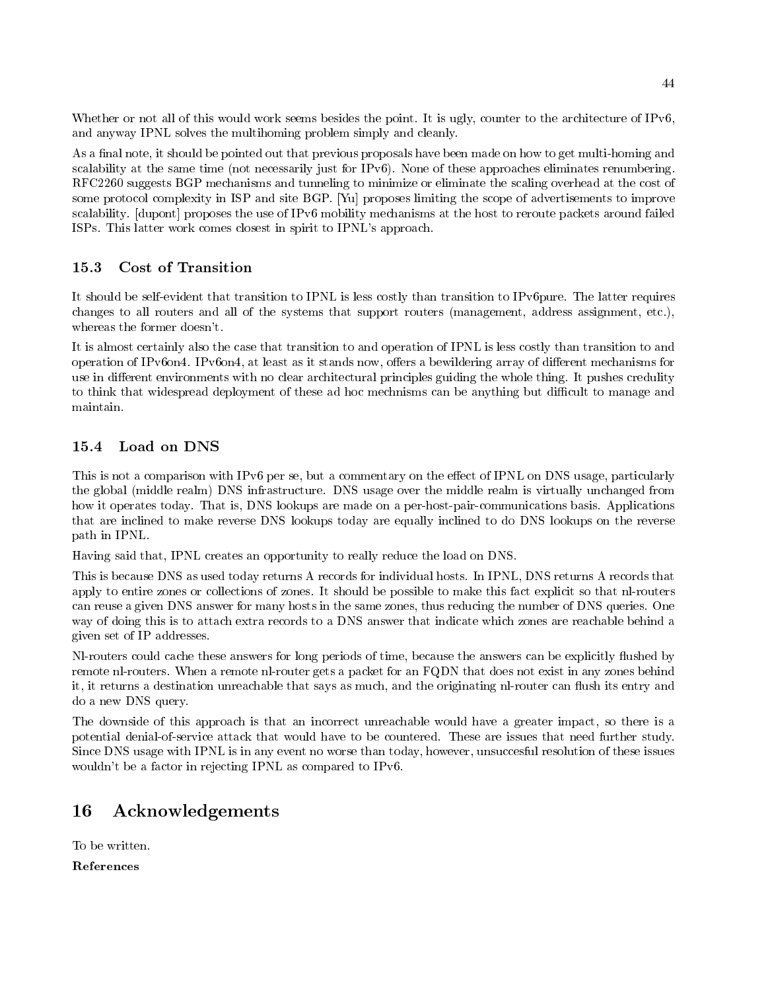Whether or not all of this would work seems besides the point. It is ugly, counter to the architecture of IPv6, and anyway IPNL solves the multihoming problem simply and cleanly

As a final note, it should be pointed out that previous proposals have been made on how to get multi-homing and scalability at the same time (not necessarily just for IPv $6$ ). None of these approaches eliminates renumbering. RFC2260 suggests BGP mechanisms and tunneling to minimize or eliminate the scaling overhead at the cost of some protocol complexity in ISP and site BGP. [Yu] proposes limiting the scope of advertisements to improve scalability. [dupont] proposes the use of IPv6 mobility mechanisms at the host to reroute packets around failed ISPs. This latter work comes closest in spirit to IPNL's approach.

### 15.3 Cost of Transition

It should be self-evident that transition to IPNL is less costly than transition to IPv6pure. The latter requires changes to all routers and all of the systems that support routers (management, address assignment, etc.), whereas the former doesn't.

It is almost certainly also the case that transition to and operation of IPNL is less costly than transition to and operation of IPv6on4. IPv6on4, at least as it stands now, offers a bewildering array of different mechanisms for use in different environments with no clear architectural principles guiding the whole thing. It pushes credulity to think that widespread deployment of these ad hoc mechnisms can be anything but difficult to manage and maintain.

### Load on DNS 15.4

This is not a comparison with IPv6 per se, but a commentary on the effect of IPNL on DNS usage, particularly the global (middle realm) DNS infrastructure. DNS usage over the middle realm is virtually unchanged from how it operates today. That is, DNS lookups are made on a per-host-pair-communications basis. Applications that are inclined to make reverse DNS lookups today are equally inclined to do DNS lookups on the reverse path in IPNL

Having said that, IPNL creates an opportunity to really reduce the load on DNS.

This is because DNS as used today returns A records for individual hosts In IPNL DNS returns A records that apply to entire zones or collections of zones. It should be possible to make this fact explicit so that nl-routers can reuse a given DNS answer for many hosts in the same zones, thus reducing the number of DNS queries. One way of doing this is to attach extra records to a DNS answer that indicate which zones are reachable behind a given set of IP addresses

Nl-routers could cache these answers for long periods of time, because the answers can be explicitly flushed by remote nl-routers. When a remote nl-router gets a packet for an FQDN that does not exist in any zones behind it, it returns a destination unreachable that says as much, and the originating nl-router can flush its entry and do a new DNS query

The downside of this approach is that an incorrect unreachable would have a greater impact, so there is a potential denial-of-service attack that would have to be countered. These are issues that need further study. Since DNS usage with IPNL is in any event no worse than today, however, unsuccesful resolution of these issues wouldn't be a factor in rejecting IPNL as compared to IPv6.

# Acknowledgements

To be written

References